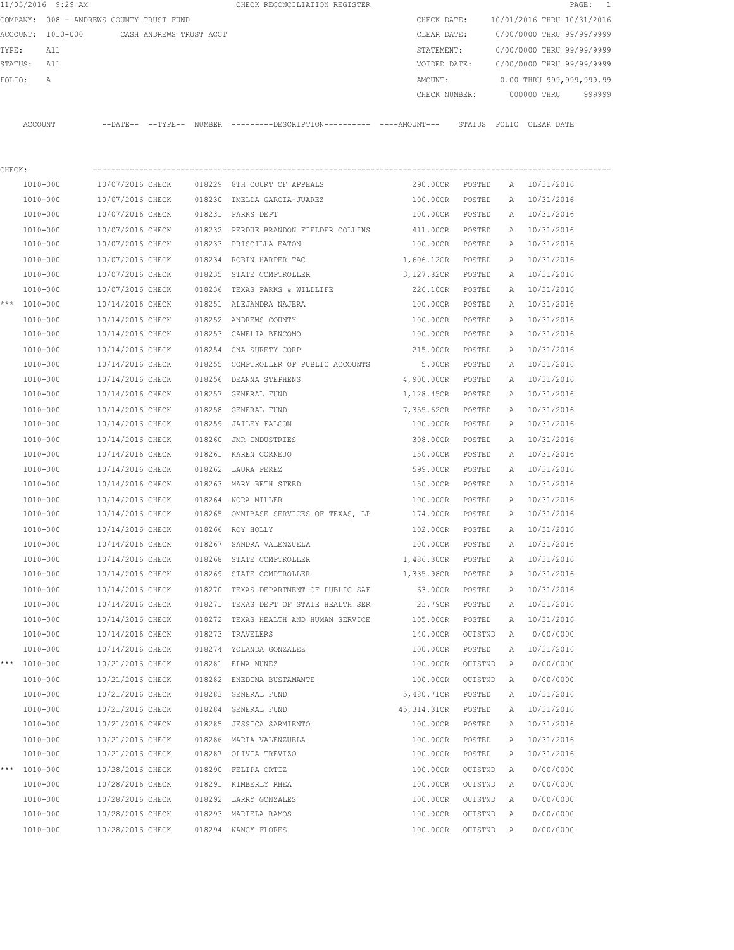|        |              | 11/03/2016 9:29 AM |                                          |                         |        | CHECK RECONCILIATION REGISTER                                                                |                   |         |   |                            | PAGE: 1 |
|--------|--------------|--------------------|------------------------------------------|-------------------------|--------|----------------------------------------------------------------------------------------------|-------------------|---------|---|----------------------------|---------|
|        |              |                    | COMPANY: 008 - ANDREWS COUNTY TRUST FUND |                         |        |                                                                                              | CHECK DATE:       |         |   | 10/01/2016 THRU 10/31/2016 |         |
|        |              | ACCOUNT: 1010-000  |                                          | CASH ANDREWS TRUST ACCT |        |                                                                                              | CLEAR DATE:       |         |   | 0/00/0000 THRU 99/99/9999  |         |
| TYPE:  |              | All                |                                          |                         |        |                                                                                              | STATEMENT:        |         |   | 0/00/0000 THRU 99/99/9999  |         |
|        | STATUS:      | All                |                                          |                         |        |                                                                                              | VOIDED DATE:      |         |   | 0/00/0000 THRU 99/99/9999  |         |
| FOLIO: |              | Α                  |                                          |                         |        |                                                                                              | AMOUNT:           |         |   | 0.00 THRU 999,999,999.99   |         |
|        |              |                    |                                          |                         |        |                                                                                              | CHECK NUMBER:     |         |   | 000000 THRU                | 999999  |
|        | ACCOUNT      |                    |                                          |                         |        | --DATE-- --TYPE-- NUMBER --------DESCRIPTION---------- ----AMOUNT--- STATUS FOLIO CLEAR DATE |                   |         |   |                            |         |
| CHECK: |              |                    |                                          |                         |        |                                                                                              |                   |         |   |                            |         |
|        | 1010-000     |                    | 10/07/2016 CHECK                         |                         |        | 018229 8TH COURT OF APPEALS                                                                  | 290.00CR POSTED   |         |   | A 10/31/2016               |         |
|        | 1010-000     |                    | 10/07/2016 CHECK                         |                         |        | 018230 IMELDA GARCIA-JUAREZ                                                                  | 100.00CR          | POSTED  | A | 10/31/2016                 |         |
|        | 1010-000     |                    | 10/07/2016 CHECK                         |                         |        | 018231 PARKS DEPT                                                                            | 100.00CR          | POSTED  | A | 10/31/2016                 |         |
|        | 1010-000     |                    | 10/07/2016 CHECK                         |                         |        | 018232 PERDUE BRANDON FIELDER COLLINS                                                        | 411.00CR POSTED   |         |   | A 10/31/2016               |         |
|        | 1010-000     |                    | 10/07/2016 CHECK                         |                         |        | 018233 PRISCILLA EATON                                                                       | 100.00CR POSTED   |         |   | A 10/31/2016               |         |
|        | 1010-000     |                    | 10/07/2016 CHECK                         |                         |        | 018234 ROBIN HARPER TAC                                                                      | 1,606.12CR POSTED |         |   | A 10/31/2016               |         |
|        | 1010-000     |                    | 10/07/2016 CHECK                         |                         |        | 018235 STATE COMPTROLLER                                                                     | 3,127.82CR POSTED |         |   | A 10/31/2016               |         |
|        | 1010-000     |                    | 10/07/2016 CHECK                         |                         | 018236 | TEXAS PARKS & WILDLIFE                                                                       | 226.10CR          | POSTED  | Α | 10/31/2016                 |         |
|        | *** 1010-000 |                    | 10/14/2016 CHECK                         |                         |        | 018251 ALEJANDRA NAJERA                                                                      | 100.00CR          | POSTED  | A | 10/31/2016                 |         |
|        | 1010-000     |                    | 10/14/2016 CHECK                         |                         |        | 018252 ANDREWS COUNTY                                                                        | 100.00CR          | POSTED  | A | 10/31/2016                 |         |
|        | 1010-000     |                    | 10/14/2016 CHECK                         |                         |        | 018253 CAMELIA BENCOMO                                                                       | 100.00CR          | POSTED  | A | 10/31/2016                 |         |
|        | 1010-000     |                    | 10/14/2016 CHECK                         |                         |        | 018254 CNA SURETY CORP                                                                       | 215.00CR          | POSTED  | A | 10/31/2016                 |         |
|        | 1010-000     |                    | 10/14/2016 CHECK                         |                         |        | 018255 COMPTROLLER OF PUBLIC ACCOUNTS                                                        | 5.00CR            | POSTED  | A | 10/31/2016                 |         |
|        | 1010-000     |                    | 10/14/2016 CHECK                         |                         |        | 018256 DEANNA STEPHENS                                                                       | 4,900.00CR POSTED |         | Α | 10/31/2016                 |         |
|        | 1010-000     |                    | 10/14/2016 CHECK                         |                         |        | 018257 GENERAL FUND                                                                          | 1,128.45CR        | POSTED  | Α | 10/31/2016                 |         |
|        | 1010-000     |                    | 10/14/2016 CHECK                         |                         |        | 018258 GENERAL FUND                                                                          | 7,355.62CR        | POSTED  | Α | 10/31/2016                 |         |
|        | 1010-000     |                    | 10/14/2016 CHECK                         |                         |        | 018259 JAILEY FALCON                                                                         | 100.00CR          | POSTED  | А | 10/31/2016                 |         |
|        | 1010-000     |                    | 10/14/2016 CHECK                         |                         | 018260 | JMR INDUSTRIES                                                                               | 308.00CR          | POSTED  | Α | 10/31/2016                 |         |
|        | 1010-000     |                    | 10/14/2016 CHECK                         |                         |        | 018261 KAREN CORNEJO                                                                         | 150.00CR          | POSTED  | Α | 10/31/2016                 |         |
|        | 1010-000     |                    | 10/14/2016 CHECK                         |                         |        | 018262 LAURA PEREZ                                                                           | 599.00CR          | POSTED  | Α | 10/31/2016                 |         |
|        | 1010-000     |                    | 10/14/2016 CHECK                         |                         |        | 018263 MARY BETH STEED                                                                       | 150.00CR          | POSTED  | А | 10/31/2016                 |         |
|        | 1010-000     |                    | 10/14/2016 CHECK                         |                         |        | 018264 NORA MILLER                                                                           | 100.00CR          | POSTED  |   | A 10/31/2016               |         |
|        | 1010-000     |                    | 10/14/2016 CHECK                         |                         |        | 018265 OMNIBASE SERVICES OF TEXAS, LP                                                        | 174.00CR          | POSTED  |   | A 10/31/2016               |         |
|        | 1010-000     |                    | 10/14/2016 CHECK                         |                         |        | 018266 ROY HOLLY                                                                             | 102.00CR          | POSTED  |   | A 10/31/2016               |         |
|        | 1010-000     |                    | 10/14/2016 CHECK                         |                         |        | 018267 SANDRA VALENZUELA                                                                     | 100.00CR          | POSTED  | Α | 10/31/2016                 |         |
|        | 1010-000     |                    | 10/14/2016 CHECK                         |                         |        | 018268 STATE COMPTROLLER                                                                     | 1,486.30CR        | POSTED  | Α | 10/31/2016                 |         |
|        | 1010-000     |                    | 10/14/2016 CHECK                         |                         |        | 018269 STATE COMPTROLLER                                                                     | 1,335.98CR        | POSTED  | Α | 10/31/2016                 |         |
|        | 1010-000     |                    | 10/14/2016 CHECK                         |                         |        | 018270 TEXAS DEPARTMENT OF PUBLIC SAF                                                        | 63.00CR           | POSTED  | Α | 10/31/2016                 |         |
|        | 1010-000     |                    | 10/14/2016 CHECK                         |                         |        | 018271 TEXAS DEPT OF STATE HEALTH SER                                                        | 23.79CR           | POSTED  | Α | 10/31/2016                 |         |
|        | 1010-000     |                    | 10/14/2016 CHECK                         |                         |        | 018272 TEXAS HEALTH AND HUMAN SERVICE                                                        | 105.00CR          | POSTED  | Α | 10/31/2016                 |         |
|        | 1010-000     |                    | 10/14/2016 CHECK                         |                         |        | 018273 TRAVELERS                                                                             | 140.00CR          | OUTSTND | A | 0/00/0000                  |         |
|        | 1010-000     |                    | 10/14/2016 CHECK                         |                         |        | 018274 YOLANDA GONZALEZ                                                                      | 100.00CR          | POSTED  | Α | 10/31/2016                 |         |
| ***    | 1010-000     |                    | 10/21/2016 CHECK                         |                         |        | 018281 ELMA NUNEZ                                                                            | 100.00CR          | OUTSTND | Α | 0/00/0000                  |         |
|        | 1010-000     |                    | 10/21/2016 CHECK                         |                         |        | 018282 ENEDINA BUSTAMANTE                                                                    | 100.00CR          | OUTSTND | Α | 0/00/0000                  |         |
|        | 1010-000     |                    | 10/21/2016 CHECK                         |                         |        | 018283 GENERAL FUND                                                                          | 5,480.71CR        | POSTED  | Α | 10/31/2016                 |         |
|        | 1010-000     |                    | 10/21/2016 CHECK                         |                         |        | 018284 GENERAL FUND                                                                          | 45, 314.31CR      | POSTED  | Α | 10/31/2016                 |         |
|        | 1010-000     |                    | 10/21/2016 CHECK                         |                         |        | 018285 JESSICA SARMIENTO                                                                     | 100.00CR          | POSTED  | Α | 10/31/2016                 |         |
|        | 1010-000     |                    | 10/21/2016 CHECK                         |                         |        | 018286 MARIA VALENZUELA                                                                      | 100.00CR          | POSTED  | Α | 10/31/2016                 |         |
|        | 1010-000     |                    | 10/21/2016 CHECK                         |                         |        | 018287 OLIVIA TREVIZO                                                                        | 100.00CR          | POSTED  | Α | 10/31/2016                 |         |
| $***$  | 1010-000     |                    | 10/28/2016 CHECK                         |                         |        | 018290 FELIPA ORTIZ                                                                          | 100.00CR          | OUTSTND | Α | 0/00/0000                  |         |
|        | 1010-000     |                    | 10/28/2016 CHECK                         |                         |        | 018291 KIMBERLY RHEA                                                                         | 100.00CR          | OUTSTND | A | 0/00/0000                  |         |
|        | 1010-000     |                    | 10/28/2016 CHECK                         |                         |        | 018292 LARRY GONZALES                                                                        | 100.00CR          | OUTSTND | A | 0/00/0000                  |         |
|        | 1010-000     |                    | 10/28/2016 CHECK                         |                         |        | 018293 MARIELA RAMOS                                                                         | 100.00CR          | OUTSTND | A | 0/00/0000                  |         |
|        | 1010-000     |                    | 10/28/2016 CHECK                         |                         |        | 018294 NANCY FLORES                                                                          | 100.00CR          | OUTSTND | A | 0/00/0000                  |         |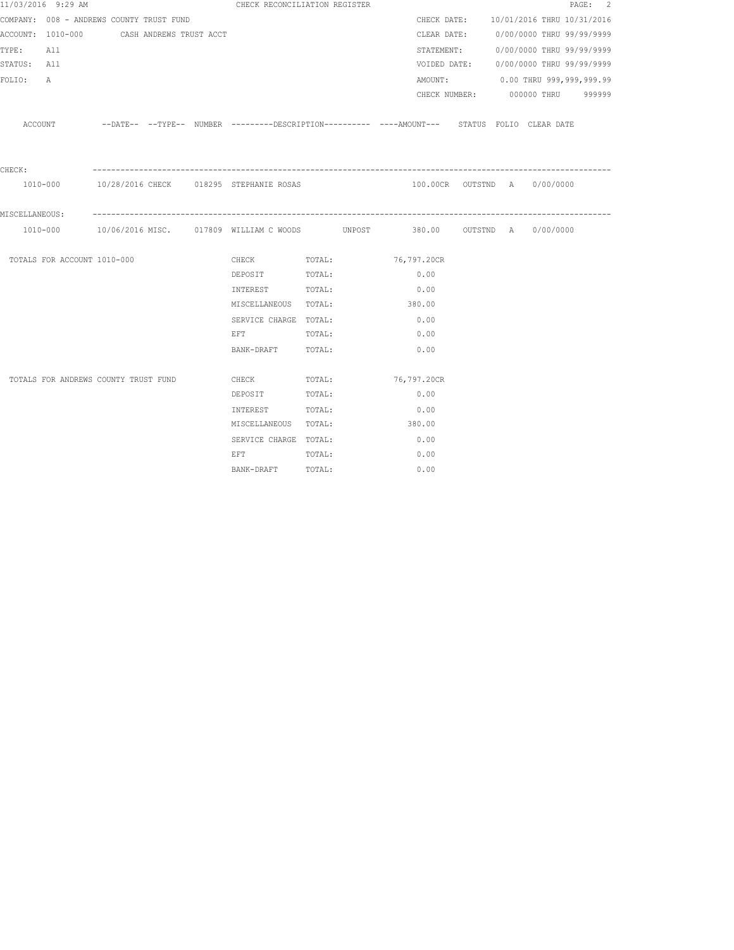| 11/03/2016 9:29 AM                        |  | CHECK RECONCILIATION REGISTER                                                                                  |        |                              |  |                                        | PAGE: 2 |
|-------------------------------------------|--|----------------------------------------------------------------------------------------------------------------|--------|------------------------------|--|----------------------------------------|---------|
| COMPANY: 008 - ANDREWS COUNTY TRUST FUND  |  |                                                                                                                |        |                              |  | CHECK DATE: 10/01/2016 THRU 10/31/2016 |         |
| ACCOUNT: 1010-000 CASH ANDREWS TRUST ACCT |  |                                                                                                                |        |                              |  | CLEAR DATE: 0/00/0000 THRU 99/99/9999  |         |
| TYPE: All                                 |  |                                                                                                                |        |                              |  | STATEMENT: 0/00/0000 THRU 99/99/9999   |         |
| STATUS: All                               |  |                                                                                                                |        |                              |  | VOIDED DATE: 0/00/0000 THRU 99/99/9999 |         |
| FOLIO:<br>Α                               |  |                                                                                                                |        |                              |  | AMOUNT: 0.00 THRU 999,999,999.99       |         |
|                                           |  |                                                                                                                |        |                              |  | CHECK NUMBER: 000000 THRU 999999       |         |
|                                           |  | ACCOUNT -DATE-- --TYPE-- NUMBER --------DESCRIPTION---------- ----AMOUNT--- STATUS FOLIO CLEAR DATE            |        |                              |  |                                        |         |
| CHECK:                                    |  |                                                                                                                |        |                              |  |                                        |         |
|                                           |  | 1010-000 10/28/2016 CHECK 018295 STEPHANIE ROSAS                                                               |        | 100.00CR OUTSTND A 0/00/0000 |  |                                        |         |
| MISCELLANEOUS:                            |  |                                                                                                                |        |                              |  |                                        |         |
|                                           |  |                                                                                                                |        |                              |  |                                        |         |
| TOTALS FOR ACCOUNT 1010-000               |  | CHECK TOTAL: 76,797.20CR                                                                                       |        |                              |  |                                        |         |
|                                           |  | DEPOSIT TOTAL:                                                                                                 |        | 0.00                         |  |                                        |         |
|                                           |  | INTEREST                                                                                                       | TOTAL: | 0.00                         |  |                                        |         |
|                                           |  | MISCELLANEOUS TOTAL:                                                                                           |        | 380.00                       |  |                                        |         |
|                                           |  | SERVICE CHARGE TOTAL:                                                                                          |        | 0.00                         |  |                                        |         |
|                                           |  | EFT TOTAL:                                                                                                     |        | 0.00                         |  |                                        |         |
|                                           |  | BANK-DRAFT TOTAL:                                                                                              |        | 0.00                         |  |                                        |         |
| TOTALS FOR ANDREWS COUNTY TRUST FUND      |  | CHECK                                                                                                          | TOTAL: | 76,797.20CR                  |  |                                        |         |
|                                           |  | DEPOSIT TOTAL:                                                                                                 |        | 0.00                         |  |                                        |         |
|                                           |  | INTEREST TOTAL:                                                                                                |        | 0.00                         |  |                                        |         |
|                                           |  | MISCELLANEOUS TOTAL:                                                                                           |        | 380.00                       |  |                                        |         |
|                                           |  | SERVICE CHARGE TOTAL:                                                                                          |        | 0.00                         |  |                                        |         |
|                                           |  | EFT FOR THE STATE OF THE STATE OF THE STATE OF THE STATE OF THE STATE OF THE STATE OF THE STATE OF THE STATE O | TOTAL: | 0.00                         |  |                                        |         |
|                                           |  | BANK-DRAFT TOTAL:                                                                                              |        | 0.00                         |  |                                        |         |
|                                           |  |                                                                                                                |        |                              |  |                                        |         |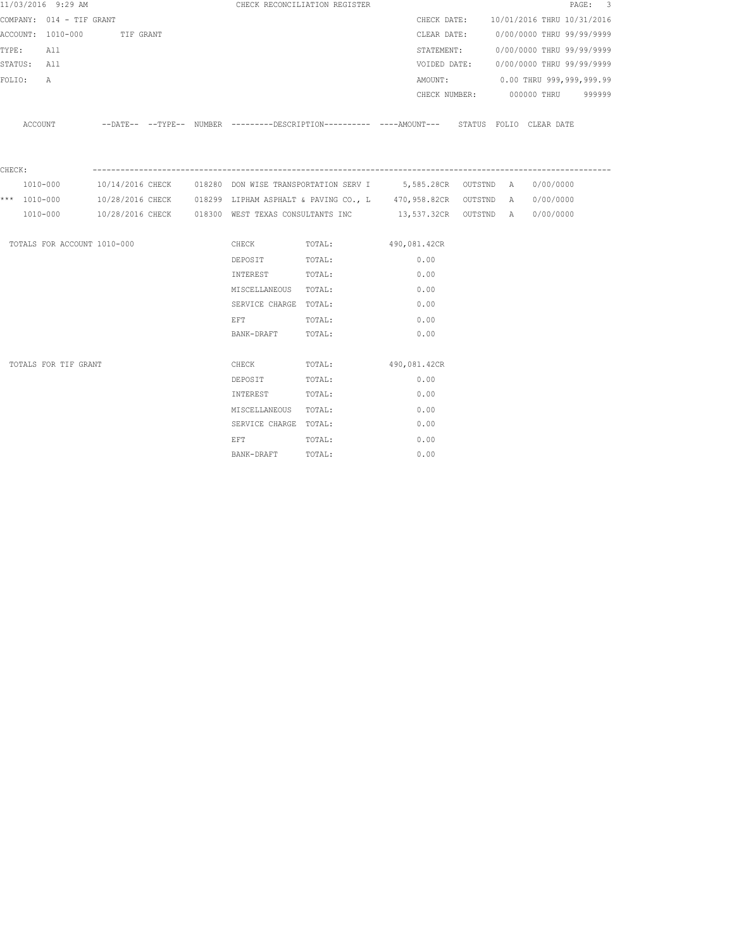|                  | 11/03/2016 9:29 AM          |           |  |                                                                                                                | CHECK RECONCILIATION REGISTER                                                                       |      |  |                                        | PAGE: 3 |  |
|------------------|-----------------------------|-----------|--|----------------------------------------------------------------------------------------------------------------|-----------------------------------------------------------------------------------------------------|------|--|----------------------------------------|---------|--|
|                  | COMPANY: 014 - TIF GRANT    |           |  |                                                                                                                |                                                                                                     |      |  | CHECK DATE: 10/01/2016 THRU 10/31/2016 |         |  |
|                  | ACCOUNT: 1010-000           | TIF GRANT |  |                                                                                                                |                                                                                                     |      |  | CLEAR DATE: 0/00/0000 THRU 99/99/9999  |         |  |
| TYPE:            | All                         |           |  |                                                                                                                |                                                                                                     |      |  | STATEMENT: 0/00/0000 THRU 99/99/9999   |         |  |
| STATUS: All      |                             |           |  |                                                                                                                |                                                                                                     |      |  | VOIDED DATE: 0/00/0000 THRU 99/99/9999 |         |  |
| FOLIO:           | A                           |           |  |                                                                                                                |                                                                                                     |      |  | AMOUNT: 0.00 THRU 999,999,999.99       |         |  |
|                  |                             |           |  |                                                                                                                |                                                                                                     |      |  | CHECK NUMBER: 000000 THRU 999999       |         |  |
|                  |                             |           |  |                                                                                                                | ACCOUNT --DATE-- --TYPE-- NUMBER --------DESCRIPTION---------- ---AMOUNT--- STATUS FOLIO CLEAR DATE |      |  |                                        |         |  |
| CHECK:           |                             |           |  |                                                                                                                |                                                                                                     |      |  |                                        |         |  |
|                  | 1010-000                    |           |  |                                                                                                                | 10/14/2016 CHECK 018280 DON WISE TRANSPORTATION SERV I 5,585.28CR OUTSTND A 0/00/0000               |      |  |                                        |         |  |
| *** $1010 - 000$ |                             |           |  |                                                                                                                | 10/28/2016 CHECK 6018299 LIPHAM ASPHALT & PAVING CO., L 670, 958.82CR OUTSTND A 60/00/0000          |      |  |                                        |         |  |
|                  |                             |           |  |                                                                                                                | 1010-000 10/28/2016 CHECK 018300 WEST TEXAS CONSULTANTS INC 13,537.32CR OUTSTND A 0/00/0000         |      |  |                                        |         |  |
|                  | TOTALS FOR ACCOUNT 1010-000 |           |  |                                                                                                                | CHECK TOTAL: 490,081.42CR                                                                           |      |  |                                        |         |  |
|                  |                             |           |  | DEPOSIT                                                                                                        | TOTAL:                                                                                              | 0.00 |  |                                        |         |  |
|                  |                             |           |  | INTEREST TOTAL:                                                                                                |                                                                                                     | 0.00 |  |                                        |         |  |
|                  |                             |           |  | MISCELLANEOUS TOTAL:                                                                                           |                                                                                                     | 0.00 |  |                                        |         |  |
|                  |                             |           |  | SERVICE CHARGE TOTAL:                                                                                          |                                                                                                     | 0.00 |  |                                        |         |  |
|                  |                             |           |  | EFT FOR THE STATE OF THE STATE OF THE STATE OF THE STATE OF THE STATE OF THE STATE OF THE STATE OF THE STATE O | TOTAL:                                                                                              | 0.00 |  |                                        |         |  |
|                  |                             |           |  | BANK-DRAFT                                                                                                     | TOTAL:                                                                                              | 0.00 |  |                                        |         |  |
|                  | TOTALS FOR TIF GRANT        |           |  |                                                                                                                | CHECK TOTAL: 490,081.42CR                                                                           |      |  |                                        |         |  |
|                  |                             |           |  | DEPOSIT                                                                                                        | TOTAL:                                                                                              | 0.00 |  |                                        |         |  |
|                  |                             |           |  | INTEREST                                                                                                       | TOTAL:                                                                                              | 0.00 |  |                                        |         |  |
|                  |                             |           |  | MISCELLANEOUS TOTAL:                                                                                           |                                                                                                     | 0.00 |  |                                        |         |  |
|                  |                             |           |  | SERVICE CHARGE TOTAL:                                                                                          |                                                                                                     | 0.00 |  |                                        |         |  |
|                  |                             |           |  | EFT                                                                                                            | TOTAL:                                                                                              | 0.00 |  |                                        |         |  |
|                  |                             |           |  | BANK-DRAFT                                                                                                     | TOTAL:                                                                                              | 0.00 |  |                                        |         |  |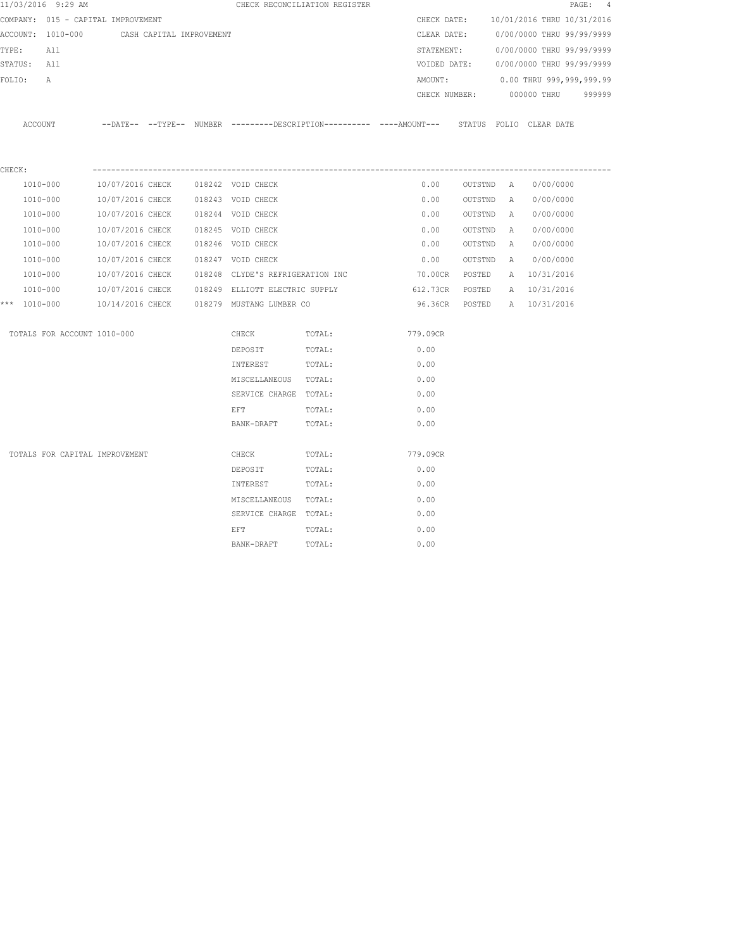|        | 11/03/2016 9:29 AM                 |                                    |                          |                                                 | CHECK RECONCILIATION REGISTER                                                                |          |               |           |              |                            | PAGE: 4 |
|--------|------------------------------------|------------------------------------|--------------------------|-------------------------------------------------|----------------------------------------------------------------------------------------------|----------|---------------|-----------|--------------|----------------------------|---------|
|        | COMPANY: 015 - CAPITAL IMPROVEMENT |                                    |                          |                                                 |                                                                                              |          | CHECK DATE:   |           |              | 10/01/2016 THRU 10/31/2016 |         |
|        | ACCOUNT: 1010-000                  |                                    | CASH CAPITAL IMPROVEMENT |                                                 |                                                                                              |          | CLEAR DATE:   |           |              | 0/00/0000 THRU 99/99/9999  |         |
| TYPE:  | All                                |                                    |                          |                                                 |                                                                                              |          | STATEMENT:    |           |              | 0/00/0000 THRU 99/99/9999  |         |
|        | STATUS: All                        |                                    |                          |                                                 |                                                                                              |          | VOIDED DATE:  |           |              | 0/00/0000 THRU 99/99/9999  |         |
| FOLIO: | A                                  |                                    |                          |                                                 |                                                                                              |          | AMOUNT:       |           |              | 0.00 THRU 999,999,999.99   |         |
|        |                                    |                                    |                          |                                                 |                                                                                              |          | CHECK NUMBER: |           |              | 000000 THRU                | 999999  |
|        | ACCOUNT                            |                                    |                          |                                                 | --DATE-- --TYPE-- NUMBER ---------DESCRIPTION---------- ----AMOUNT--- STATUS FOLIO CLEARDATE |          |               |           |              |                            |         |
| CHECK: |                                    |                                    |                          |                                                 |                                                                                              |          |               |           |              |                            |         |
|        | 1010-000                           | 10/07/2016 CHECK 018242 VOID CHECK |                          |                                                 |                                                                                              |          | 0.00          | OUTSTND A |              | 0/00/0000                  |         |
|        | 1010-000                           | 10/07/2016 CHECK                   | 018243 VOID CHECK        |                                                 |                                                                                              |          | 0.00          | OUTSTND   | A            | 0/00/0000                  |         |
|        | 1010-000                           | 10/07/2016 CHECK                   |                          | 018244 VOID CHECK                               |                                                                                              |          | 0.00          | OUTSTND   | $\mathbb{A}$ | 0/00/0000                  |         |
|        | 1010-000                           | 10/07/2016 CHECK                   | 018245 VOID CHECK        |                                                 |                                                                                              |          | 0.00          | OUTSTND   | A            | 0/00/0000                  |         |
|        | 1010-000                           | 10/07/2016 CHECK                   | 018246 VOID CHECK        |                                                 |                                                                                              |          | 0.00          | OUTSTND   | A            | 0/00/0000                  |         |
|        | 1010-000                           | 10/07/2016 CHECK                   | 018247 VOID CHECK        |                                                 |                                                                                              |          | 0.00          | OUTSTND   | $\mathbb{A}$ | 0/00/0000                  |         |
|        | 1010-000                           | 10/07/2016 CHECK                   |                          | 018248 CLYDE'S REFRIGERATION INC                |                                                                                              |          | 70.00CR       | POSTED    |              | A 10/31/2016               |         |
|        | 1010-000                           |                                    |                          | 10/07/2016 CHECK 018249 ELLIOTT ELECTRIC SUPPLY |                                                                                              |          | 612.73CR      | POSTED    |              | A 10/31/2016               |         |
|        | *** 1010-000                       |                                    |                          | 10/14/2016 CHECK 018279 MUSTANG LUMBER CO       |                                                                                              |          | 96.36CR       | POSTED    |              | A 10/31/2016               |         |
|        | TOTALS FOR ACCOUNT 1010-000        |                                    |                          | CHECK                                           | TOTAL:                                                                                       | 779.09CR |               |           |              |                            |         |
|        |                                    |                                    |                          | DEPOSIT                                         | TOTAL:                                                                                       | 0.00     |               |           |              |                            |         |
|        |                                    |                                    |                          | INTEREST                                        | TOTAL:                                                                                       | 0.00     |               |           |              |                            |         |
|        |                                    |                                    |                          | MISCELLANEOUS                                   | TOTAL:                                                                                       | 0.00     |               |           |              |                            |         |
|        |                                    |                                    |                          | SERVICE CHARGE TOTAL:                           |                                                                                              | 0.00     |               |           |              |                            |         |
|        |                                    |                                    |                          | EFT                                             | TOTAL:                                                                                       | 0.00     |               |           |              |                            |         |
|        |                                    |                                    |                          | BANK-DRAFT                                      | TOTAL:                                                                                       | 0.00     |               |           |              |                            |         |
|        | TOTALS FOR CAPITAL IMPROVEMENT     |                                    |                          | CHECK                                           | TOTAL:                                                                                       | 779.09CR |               |           |              |                            |         |
|        |                                    |                                    |                          | DEPOSIT                                         | TOTAL:                                                                                       | 0.00     |               |           |              |                            |         |
|        |                                    |                                    |                          | INTEREST                                        | TOTAL:                                                                                       | 0.00     |               |           |              |                            |         |
|        |                                    |                                    |                          | MISCELLANEOUS                                   | TOTAL:                                                                                       | 0.00     |               |           |              |                            |         |
|        |                                    |                                    |                          | SERVICE CHARGE TOTAL:                           |                                                                                              | 0.00     |               |           |              |                            |         |
|        |                                    |                                    |                          | EFT                                             | TOTAL:                                                                                       | 0.00     |               |           |              |                            |         |
|        |                                    |                                    |                          | BANK-DRAFT                                      | TOTAL:                                                                                       | 0.00     |               |           |              |                            |         |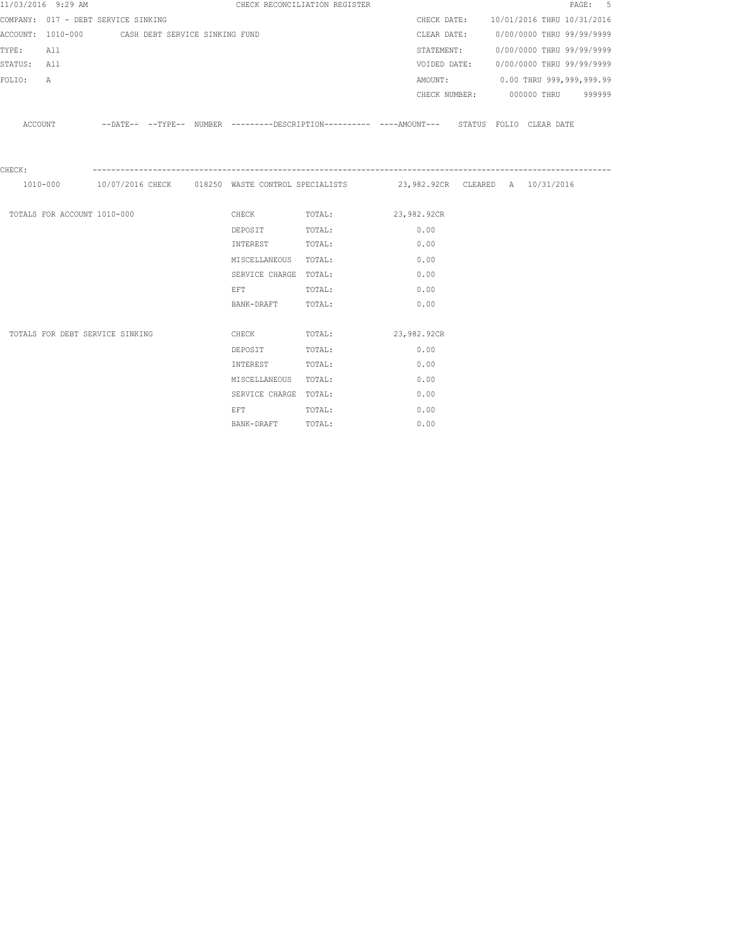|             | 11/03/2016 9:29 AM          |                                                  |  |                                                                                                                | CHECK RECONCILIATION REGISTER                                                               |             |                                        |                           | PAGE: 5 |  |
|-------------|-----------------------------|--------------------------------------------------|--|----------------------------------------------------------------------------------------------------------------|---------------------------------------------------------------------------------------------|-------------|----------------------------------------|---------------------------|---------|--|
|             |                             | COMPANY: 017 - DEBT SERVICE SINKING              |  |                                                                                                                |                                                                                             |             | CHECK DATE: 10/01/2016 THRU 10/31/2016 |                           |         |  |
|             |                             | ACCOUNT: 1010-000 CASH DEBT SERVICE SINKING FUND |  |                                                                                                                |                                                                                             |             | CLEAR DATE: 0/00/0000 THRU 99/99/9999  |                           |         |  |
| TYPE:       | All                         |                                                  |  |                                                                                                                |                                                                                             |             | STATEMENT:                             | 0/00/0000 THRU 99/99/9999 |         |  |
| STATUS: All |                             |                                                  |  |                                                                                                                |                                                                                             |             | VOIDED DATE: 0/00/0000 THRU 99/99/9999 |                           |         |  |
| FOLIO:      | $\mathbb{A}$                |                                                  |  |                                                                                                                |                                                                                             |             | AMOUNT: 0.00 THRU 999,999,999.99       |                           |         |  |
|             |                             |                                                  |  |                                                                                                                |                                                                                             |             | CHECK NUMBER: 000000 THRU 999999       |                           |         |  |
|             | ACCOUNT                     |                                                  |  |                                                                                                                | --DATE-- --TYPE-- NUMBER --------DESCRIPTION---------- ----AMOUNT--- STATUS FOLIO CLEARDATE |             |                                        |                           |         |  |
| CHECK:      |                             |                                                  |  |                                                                                                                |                                                                                             |             |                                        |                           |         |  |
|             |                             |                                                  |  |                                                                                                                | 1010-000 10/07/2016 CHECK 018250 WASTE CONTROL SPECIALISTS 23,982.92CR CLEARED A 10/31/2016 |             |                                        |                           |         |  |
|             | TOTALS FOR ACCOUNT 1010-000 |                                                  |  |                                                                                                                | CHECK TOTAL: 23,982.92CR                                                                    |             |                                        |                           |         |  |
|             |                             |                                                  |  | DEPOSIT                                                                                                        | TOTAL:                                                                                      | 0.00        |                                        |                           |         |  |
|             |                             |                                                  |  | INTEREST                                                                                                       | TOTAL:                                                                                      | 0.00        |                                        |                           |         |  |
|             |                             |                                                  |  | MISCELLANEOUS TOTAL:                                                                                           |                                                                                             | 0.00        |                                        |                           |         |  |
|             |                             |                                                  |  | SERVICE CHARGE TOTAL:                                                                                          |                                                                                             | 0.00        |                                        |                           |         |  |
|             |                             |                                                  |  | EFT FOR THE STATE OF THE STATE OF THE STATE OF THE STATE OF THE STATE OF THE STATE OF THE STATE OF THE STATE O | TOTAL:                                                                                      | 0.00        |                                        |                           |         |  |
|             |                             |                                                  |  | BANK-DRAFT TOTAL:                                                                                              |                                                                                             | 0.00        |                                        |                           |         |  |
|             |                             |                                                  |  |                                                                                                                |                                                                                             |             |                                        |                           |         |  |
|             |                             | TOTALS FOR DEBT SERVICE SINKING                  |  | CHECK                                                                                                          | TOTAL:                                                                                      | 23,982.92CR |                                        |                           |         |  |
|             |                             |                                                  |  | DEPOSIT                                                                                                        | TOTAL:                                                                                      | 0.00        |                                        |                           |         |  |
|             |                             |                                                  |  | INTEREST                                                                                                       | TOTAL:                                                                                      | 0.00        |                                        |                           |         |  |
|             |                             |                                                  |  | MISCELLANEOUS TOTAL:                                                                                           |                                                                                             | 0.00        |                                        |                           |         |  |
|             |                             |                                                  |  | SERVICE CHARGE TOTAL:                                                                                          |                                                                                             | 0.00        |                                        |                           |         |  |
|             |                             |                                                  |  | EFT FOR THE STATE OF THE STATE OF THE STATE OF THE STATE OF THE STATE OF THE STATE OF THE STATE OF THE STATE O | TOTAL:                                                                                      | 0.00        |                                        |                           |         |  |
|             |                             |                                                  |  | BANK-DRAFT                                                                                                     | TOTAL:                                                                                      | 0.00        |                                        |                           |         |  |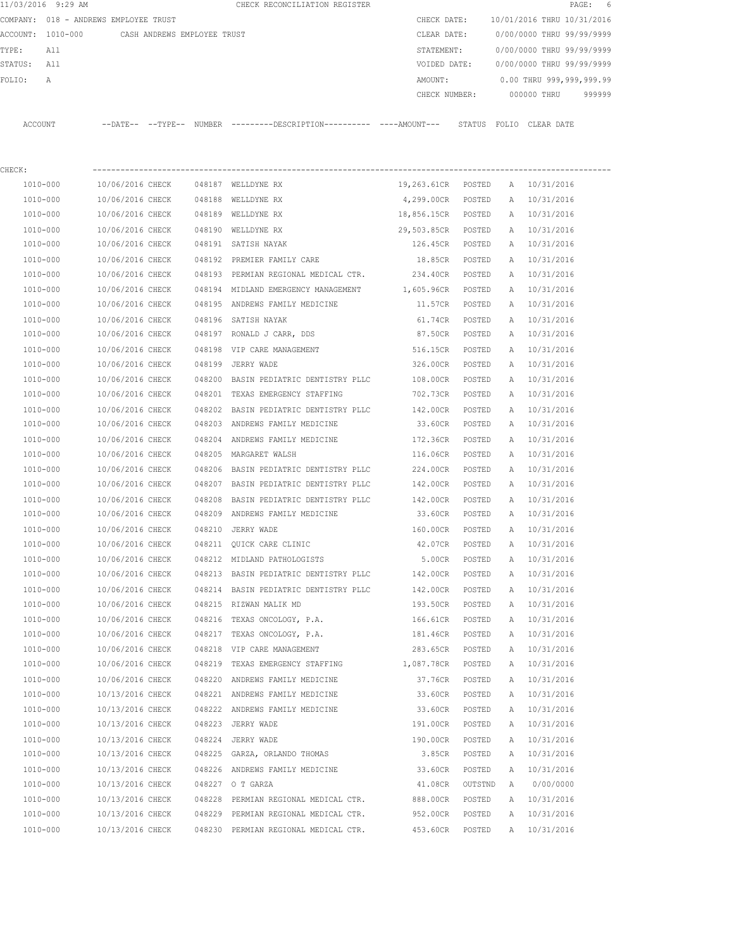| 11/03/2016 9:29 AM                    |                                      |                             |        | CHECK RECONCILIATION REGISTER                                                             |                    |                  |              | $\texttt{PAGE}$ :          | -6 |
|---------------------------------------|--------------------------------------|-----------------------------|--------|-------------------------------------------------------------------------------------------|--------------------|------------------|--------------|----------------------------|----|
| COMPANY: 018 - ANDREWS EMPLOYEE TRUST |                                      |                             |        |                                                                                           | CHECK DATE:        |                  |              | 10/01/2016 THRU 10/31/2016 |    |
| ACCOUNT: 1010-000                     |                                      | CASH ANDREWS EMPLOYEE TRUST |        |                                                                                           | CLEAR DATE:        |                  |              | 0/00/0000 THRU 99/99/9999  |    |
| TYPE:<br>All                          |                                      |                             |        |                                                                                           | STATEMENT:         |                  |              | 0/00/0000 THRU 99/99/9999  |    |
| STATUS:<br>All                        |                                      |                             |        |                                                                                           | VOIDED DATE:       |                  |              | 0/00/0000 THRU 99/99/9999  |    |
| FOLIO:<br>Α                           |                                      |                             |        |                                                                                           | AMOUNT:            |                  |              | 0.00 THRU 999,999,999.99   |    |
|                                       |                                      |                             |        |                                                                                           | CHECK NUMBER:      |                  |              | 000000 THRU<br>999999      |    |
| ACCOUNT                               |                                      |                             |        | --DATE-- --TYPE-- NUMBER --------DESCRIPTION--------- ---AMOUNT--- STATUS FOLIO CLEARDATE |                    |                  |              |                            |    |
| CHECK:                                |                                      |                             |        |                                                                                           |                    |                  |              |                            |    |
| 1010-000                              | 10/06/2016 CHECK                     |                             |        | 048187 WELLDYNE RX                                                                        | 19,263.61CR POSTED |                  | A            | 10/31/2016                 |    |
| 1010-000                              | 10/06/2016 CHECK                     |                             |        | 048188 WELLDYNE RX                                                                        | 4,299.00CR POSTED  |                  |              | A 10/31/2016               |    |
| 1010-000                              | 10/06/2016 CHECK                     |                             |        | 048189 WELLDYNE RX                                                                        | 18,856.15CR POSTED |                  |              | A 10/31/2016               |    |
| 1010-000                              | 10/06/2016 CHECK                     |                             |        | 048190 WELLDYNE RX                                                                        | 29,503.85CR POSTED |                  |              | A 10/31/2016               |    |
| 1010-000                              | 10/06/2016 CHECK                     |                             |        | 048191 SATISH NAYAK                                                                       | 126.45CR POSTED    |                  |              | A 10/31/2016               |    |
| 1010-000                              | 10/06/2016 CHECK                     |                             |        | 048192 PREMIER FAMILY CARE                                                                | 18.85CR            | POSTED           | A            | 10/31/2016                 |    |
| 1010-000                              | 10/06/2016 CHECK                     |                             |        | 048193 PERMIAN REGIONAL MEDICAL CTR.                                                      | 234.40CR           | POSTED           | Α            | 10/31/2016                 |    |
| 1010-000                              | 10/06/2016 CHECK                     |                             |        | 048194 MIDLAND EMERGENCY MANAGEMENT 1,605.96CR                                            |                    | POSTED           |              | A 10/31/2016               |    |
| 1010-000                              | 10/06/2016 CHECK                     |                             |        | 048195 ANDREWS FAMILY MEDICINE                                                            | 11.57CR            | POSTED           | A            | 10/31/2016                 |    |
| 1010-000                              | 10/06/2016 CHECK                     |                             |        | 048196 SATISH NAYAK                                                                       | 61.74CR            | POSTED           | A            | 10/31/2016                 |    |
| 1010-000                              | 10/06/2016 CHECK                     |                             |        | 048197 RONALD J CARR, DDS                                                                 | 87.50CR            | POSTED           | A            | 10/31/2016                 |    |
| 1010-000                              | 10/06/2016 CHECK                     |                             | 048198 | VIP CARE MANAGEMENT                                                                       | 516.15CR           | POSTED           | Α            | 10/31/2016                 |    |
| 1010-000                              | 10/06/2016 CHECK                     |                             | 048199 | JERRY WADE                                                                                | 326.00CR           | POSTED           | Α            | 10/31/2016                 |    |
| 1010-000                              | 10/06/2016 CHECK                     |                             |        | 048200 BASIN PEDIATRIC DENTISTRY PLLC                                                     | 108.00CR           | POSTED           | A            | 10/31/2016                 |    |
| 1010-000                              | 10/06/2016 CHECK                     |                             | 048201 | TEXAS EMERGENCY STAFFING                                                                  | 702.73CR           | POSTED           | A            | 10/31/2016                 |    |
| 1010-000                              | 10/06/2016 CHECK                     |                             | 048202 | BASIN PEDIATRIC DENTISTRY PLLC                                                            | 142.00CR           | POSTED           | A            | 10/31/2016                 |    |
| 1010-000                              | 10/06/2016 CHECK                     |                             | 048203 | ANDREWS FAMILY MEDICINE                                                                   | 33.60CR            | POSTED           | A            | 10/31/2016                 |    |
| 1010-000                              | 10/06/2016 CHECK                     |                             | 048204 | ANDREWS FAMILY MEDICINE                                                                   | 172.36CR           | POSTED           | $\mathbb{A}$ | 10/31/2016                 |    |
| 1010-000                              | 10/06/2016 CHECK                     |                             | 048205 | MARGARET WALSH                                                                            | 116.06CR           | POSTED           | A            | 10/31/2016                 |    |
| 1010-000                              | 10/06/2016 CHECK                     |                             | 048206 | BASIN PEDIATRIC DENTISTRY PLLC                                                            | 224.00CR           | POSTED           | A            | 10/31/2016                 |    |
| 1010-000                              | 10/06/2016 CHECK                     |                             |        | 048207 BASIN PEDIATRIC DENTISTRY PLLC                                                     | 142.00CR           | POSTED           |              | A 10/31/2016               |    |
| 1010-000                              | 10/06/2016 CHECK                     |                             | 048208 | BASIN PEDIATRIC DENTISTRY PLLC                                                            | 142.00CR           | POSTED           | A            | 10/31/2016                 |    |
| 1010-000                              | 10/06/2016 CHECK                     |                             |        | 048209 ANDREWS FAMILY MEDICINE                                                            | 33.60CR            | POSTED           | A            | 10/31/2016                 |    |
| 1010-000                              | 10/06/2016 CHECK                     |                             |        | 048210 JERRY WADE                                                                         | 160.00CR           | POSTED           | $\mathbb{A}$ | 10/31/2016                 |    |
| 1010-000                              | 10/06/2016 CHECK                     |                             |        | 048211 QUICK CARE CLINIC                                                                  | 42.07CR            | POSTED           | Α            | 10/31/2016                 |    |
| 1010-000                              | 10/06/2016 CHECK                     |                             |        | 048212 MIDLAND PATHOLOGISTS                                                               | 5.00CR             | POSTED           | $\mathbb{A}$ | 10/31/2016                 |    |
| $1010 - 000$                          | 10/06/2016 CHECK                     |                             |        | 048213 BASIN PEDIATRIC DENTISTRY PLLC                                                     | 142.00CR           | POSTED           | Α            | 10/31/2016                 |    |
| 1010-000                              | 10/06/2016 CHECK                     |                             |        | 048214 BASIN PEDIATRIC DENTISTRY PLLC                                                     | 142.00CR           | POSTED           | $\mathbb{A}$ | 10/31/2016                 |    |
| 1010-000                              | 10/06/2016 CHECK                     |                             |        | 048215 RIZWAN MALIK MD                                                                    | 193.50CR           | POSTED           | Α            | 10/31/2016                 |    |
| 1010-000                              | 10/06/2016 CHECK                     |                             |        | 048216 TEXAS ONCOLOGY, P.A.                                                               | 166.61CR           | POSTED           | Α            | 10/31/2016                 |    |
| 1010-000                              | 10/06/2016 CHECK                     |                             | 048217 | TEXAS ONCOLOGY, P.A.                                                                      | 181.46CR           | POSTED           | Α            | 10/31/2016                 |    |
| $1010 - 000$<br>1010-000              | 10/06/2016 CHECK<br>10/06/2016 CHECK |                             |        | 048218 VIP CARE MANAGEMENT<br>048219 TEXAS EMERGENCY STAFFING 1,087.78CR                  | 283.65CR           | POSTED<br>POSTED | Α<br>Α       | 10/31/2016<br>10/31/2016   |    |
| 1010-000                              | 10/06/2016 CHECK                     |                             |        | 048220 ANDREWS FAMILY MEDICINE                                                            | 37.76CR            | POSTED           | Α            | 10/31/2016                 |    |
| 1010-000                              | 10/13/2016 CHECK                     |                             |        | 048221 ANDREWS FAMILY MEDICINE                                                            | 33.60CR            | POSTED           | Α            | 10/31/2016                 |    |
| 1010-000                              | 10/13/2016 CHECK                     |                             |        | 048222 ANDREWS FAMILY MEDICINE                                                            | 33.60CR            | POSTED           | Α            | 10/31/2016                 |    |
| 1010-000                              | 10/13/2016 CHECK                     |                             |        | 048223 JERRY WADE                                                                         | 191.00CR           | POSTED           | Α            | 10/31/2016                 |    |
| 1010-000                              | 10/13/2016 CHECK                     |                             |        | 048224 JERRY WADE                                                                         | 190.00CR           | POSTED           | Α            | 10/31/2016                 |    |
| 1010-000                              | 10/13/2016 CHECK                     |                             |        | 048225 GARZA, ORLANDO THOMAS                                                              | 3.85CR             | POSTED           | Α            | 10/31/2016                 |    |
| 1010-000                              | 10/13/2016 CHECK                     |                             |        | 048226 ANDREWS FAMILY MEDICINE                                                            | 33.60CR            | POSTED           | Α            | 10/31/2016                 |    |
| 1010-000                              | 10/13/2016 CHECK                     |                             |        | 048227 O T GARZA                                                                          | 41.08CR            | OUTSTND          | Α            | 0/00/0000                  |    |
| 1010-000                              | 10/13/2016 CHECK                     |                             |        | 048228 PERMIAN REGIONAL MEDICAL CTR.                                                      | 888.00CR           | POSTED           | Α            | 10/31/2016                 |    |
| 1010-000                              | 10/13/2016 CHECK                     |                             |        | 048229 PERMIAN REGIONAL MEDICAL CTR.                                                      | 952.00CR           | POSTED           | Α            | 10/31/2016                 |    |
| 1010-000                              | 10/13/2016 CHECK                     |                             |        | 048230 PERMIAN REGIONAL MEDICAL CTR.                                                      | 453.60CR           | POSTED           | A            | 10/31/2016                 |    |
|                                       |                                      |                             |        |                                                                                           |                    |                  |              |                            |    |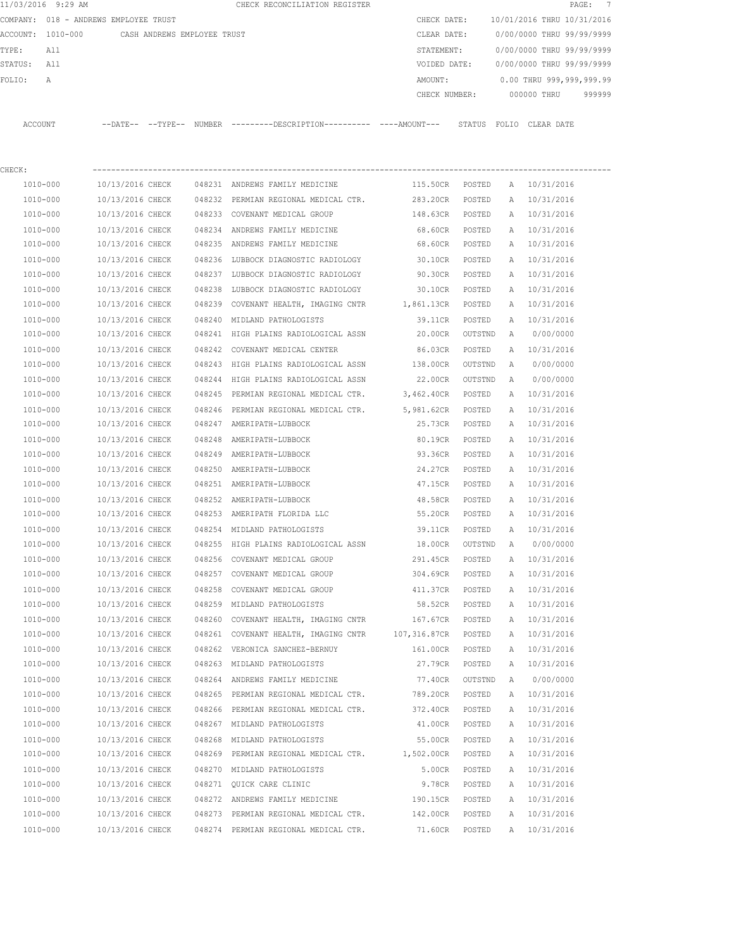|         | 11/03/2016 9:29 AM |                                       |                             |        | CHECK RECONCILIATION REGISTER                                                                 |                     |         |   |                            | 7<br>$\mathtt{PAGE}$ : |
|---------|--------------------|---------------------------------------|-----------------------------|--------|-----------------------------------------------------------------------------------------------|---------------------|---------|---|----------------------------|------------------------|
|         |                    | COMPANY: 018 - ANDREWS EMPLOYEE TRUST |                             |        |                                                                                               | CHECK DATE:         |         |   | 10/01/2016 THRU 10/31/2016 |                        |
|         | ACCOUNT: 1010-000  |                                       | CASH ANDREWS EMPLOYEE TRUST |        |                                                                                               | CLEAR DATE:         |         |   | 0/00/0000 THRU 99/99/9999  |                        |
| TYPE:   | All                |                                       |                             |        |                                                                                               | STATEMENT:          |         |   | 0/00/0000 THRU 99/99/9999  |                        |
| STATUS: | All                |                                       |                             |        |                                                                                               | VOIDED DATE:        |         |   | 0/00/0000 THRU 99/99/9999  |                        |
| FOLIO:  | A                  |                                       |                             |        |                                                                                               | AMOUNT:             |         |   | 0.00 THRU 999,999,999.99   |                        |
|         |                    |                                       |                             |        |                                                                                               | CHECK NUMBER:       |         |   | 000000 THRU                | 999999                 |
|         | ACCOUNT            |                                       |                             |        | --DATE-- --TYPE-- NUMBER ---------DESCRIPTION---------- ----AMOUNT--- STATUS FOLIO CLEAR DATE |                     |         |   |                            |                        |
| CHECK:  |                    |                                       |                             |        |                                                                                               |                     |         |   |                            |                        |
|         | 1010-000           | 10/13/2016 CHECK                      |                             |        | 048231 ANDREWS FAMILY MEDICINE                                                                | 115.50CR POSTED     |         |   | A 10/31/2016               |                        |
|         | 1010-000           | 10/13/2016 CHECK                      |                             |        | 048232 PERMIAN REGIONAL MEDICAL CTR.                                                          | 283.20CR            | POSTED  | A | 10/31/2016                 |                        |
|         | 1010-000           | 10/13/2016 CHECK                      |                             |        | 048233 COVENANT MEDICAL GROUP                                                                 | 148.63CR            | POSTED  | A | 10/31/2016                 |                        |
|         | 1010-000           | 10/13/2016 CHECK                      |                             |        | 048234 ANDREWS FAMILY MEDICINE                                                                | 68.60CR POSTED      |         |   | A 10/31/2016               |                        |
|         | 1010-000           | 10/13/2016 CHECK                      |                             |        | 048235 ANDREWS FAMILY MEDICINE                                                                | 68.60CR POSTED      |         |   | A 10/31/2016               |                        |
|         | 1010-000           | 10/13/2016 CHECK                      |                             |        | 048236 LUBBOCK DIAGNOSTIC RADIOLOGY                                                           | 30.10CR             | POSTED  |   | A 10/31/2016               |                        |
|         | 1010-000           | 10/13/2016 CHECK                      |                             |        | 048237 LUBBOCK DIAGNOSTIC RADIOLOGY                                                           | 90.30CR             | POSTED  |   | A 10/31/2016               |                        |
|         | 1010-000           | 10/13/2016 CHECK                      |                             | 048238 | LUBBOCK DIAGNOSTIC RADIOLOGY                                                                  | 30.10CR             | POSTED  | A | 10/31/2016                 |                        |
|         | 1010-000           | 10/13/2016 CHECK                      |                             |        | 048239 COVENANT HEALTH, IMAGING CNTR 1,861.13CR                                               |                     | POSTED  | A | 10/31/2016                 |                        |
|         | 1010-000           | 10/13/2016 CHECK                      |                             |        | 048240 MIDLAND PATHOLOGISTS                                                                   | 39.11CR             | POSTED  |   | A 10/31/2016               |                        |
|         | 1010-000           | 10/13/2016 CHECK                      |                             |        | 048241 HIGH PLAINS RADIOLOGICAL ASSN                                                          | 20.00CR             | OUTSTND | A | 0/00/0000                  |                        |
|         | 1010-000           | 10/13/2016 CHECK                      |                             |        | 048242 COVENANT MEDICAL CENTER                                                                | 86.03CR             | POSTED  | A | 10/31/2016                 |                        |
|         | 1010-000           | 10/13/2016 CHECK                      |                             |        | 048243 HIGH PLAINS RADIOLOGICAL ASSN 138.00CR                                                 |                     | OUTSTND | A | 0/00/0000                  |                        |
|         | 1010-000           | 10/13/2016 CHECK                      |                             | 048244 | HIGH PLAINS RADIOLOGICAL ASSN                                                                 | 22.00CR             | OUTSTND | Α | 0/00/0000                  |                        |
|         | 1010-000           | 10/13/2016 CHECK                      |                             | 048245 | PERMIAN REGIONAL MEDICAL CTR.                                                                 | 3,462.40CR          | POSTED  | A | 10/31/2016                 |                        |
|         | 1010-000           | 10/13/2016 CHECK                      |                             |        | 048246 PERMIAN REGIONAL MEDICAL CTR.                                                          | 5,981.62CR POSTED   |         | A | 10/31/2016                 |                        |
|         | 1010-000           | 10/13/2016 CHECK                      |                             |        | 048247 AMERIPATH-LUBBOCK                                                                      | 25.73CR             | POSTED  | A | 10/31/2016                 |                        |
|         | 1010-000           | 10/13/2016 CHECK                      |                             | 048248 | AMERIPATH-LUBBOCK                                                                             | 80.19CR             | POSTED  | A | 10/31/2016                 |                        |
|         | 1010-000           | 10/13/2016 CHECK                      |                             |        | 048249 AMERIPATH-LUBBOCK                                                                      | 93.36CR             | POSTED  | A | 10/31/2016                 |                        |
|         | 1010-000           | 10/13/2016 CHECK                      |                             | 048250 | AMERIPATH-LUBBOCK                                                                             | 24.27CR             | POSTED  | Α | 10/31/2016                 |                        |
|         | 1010-000           | 10/13/2016 CHECK                      |                             |        | 048251 AMERIPATH-LUBBOCK                                                                      | 47.15CR             | POSTED  | A | 10/31/2016                 |                        |
|         | 1010-000           | 10/13/2016 CHECK                      |                             |        | 048252 AMERIPATH-LUBBOCK                                                                      | 48.58CR             | POSTED  |   | A 10/31/2016               |                        |
|         | 1010-000           | 10/13/2016 CHECK                      |                             |        | 048253 AMERIPATH FLORIDA LLC                                                                  | 55.20CR             | POSTED  |   | A 10/31/2016               |                        |
|         | 1010-000           | 10/13/2016 CHECK                      |                             |        | 048254 MIDLAND PATHOLOGISTS                                                                   | 39.11CR             | POSTED  |   | A 10/31/2016               |                        |
|         | 1010-000           | 10/13/2016 CHECK                      |                             |        | 048255 HIGH PLAINS RADIOLOGICAL ASSN                                                          | 18.00CR             | OUTSTND | A | 0/00/0000                  |                        |
|         | 1010-000           | 10/13/2016 CHECK                      |                             |        | 048256 COVENANT MEDICAL GROUP                                                                 | 291.45CR            | POSTED  | Α | 10/31/2016                 |                        |
|         | 1010-000           | 10/13/2016 CHECK                      |                             |        | 048257 COVENANT MEDICAL GROUP                                                                 | 304.69CR            | POSTED  | Α | 10/31/2016                 |                        |
|         | 1010-000           | 10/13/2016 CHECK                      |                             |        | 048258 COVENANT MEDICAL GROUP                                                                 | 411.37CR            | POSTED  | Α | 10/31/2016                 |                        |
|         | 1010-000           | 10/13/2016 CHECK                      |                             |        | 048259 MIDLAND PATHOLOGISTS                                                                   | 58.52CR             | POSTED  | Α | 10/31/2016                 |                        |
|         | 1010-000           | 10/13/2016 CHECK                      |                             |        | 048260 COVENANT HEALTH, IMAGING CNTR                                                          | 167.67CR POSTED     |         | Α | 10/31/2016                 |                        |
|         | 1010-000           | 10/13/2016 CHECK                      |                             |        | 048261 COVENANT HEALTH, IMAGING CNTR                                                          | 107,316.87CR POSTED |         | Α | 10/31/2016                 |                        |
|         | 1010-000           | 10/13/2016 CHECK                      |                             |        | 048262 VERONICA SANCHEZ-BERNUY                                                                | 161.00CR            | POSTED  | Α | 10/31/2016                 |                        |
|         | 1010-000           | 10/13/2016 CHECK                      |                             |        | 048263 MIDLAND PATHOLOGISTS                                                                   | 27.79CR             | POSTED  | Α | 10/31/2016                 |                        |
|         | 1010-000           | 10/13/2016 CHECK                      |                             |        | 048264 ANDREWS FAMILY MEDICINE                                                                | 77.40CR             | OUTSTND | Α | 0/00/0000                  |                        |
|         | 1010-000           | 10/13/2016 CHECK                      |                             |        | 048265 PERMIAN REGIONAL MEDICAL CTR.                                                          | 789.20CR            | POSTED  | A | 10/31/2016                 |                        |
|         | 1010-000           | 10/13/2016 CHECK                      |                             |        | 048266 PERMIAN REGIONAL MEDICAL CTR.                                                          | 372.40CR            | POSTED  | Α | 10/31/2016                 |                        |
|         | 1010-000           | 10/13/2016 CHECK                      |                             |        | 048267 MIDLAND PATHOLOGISTS                                                                   | 41.00CR             | POSTED  | Α | 10/31/2016                 |                        |
|         | 1010-000           | 10/13/2016 CHECK                      |                             |        | 048268 MIDLAND PATHOLOGISTS                                                                   | 55.00CR             | POSTED  | Α | 10/31/2016                 |                        |
|         | 1010-000           | 10/13/2016 CHECK                      |                             |        | 048269 PERMIAN REGIONAL MEDICAL CTR. 1,502.00CR                                               |                     | POSTED  | Α | 10/31/2016                 |                        |
|         | 1010-000           | 10/13/2016 CHECK                      |                             |        | 048270 MIDLAND PATHOLOGISTS                                                                   | 5.00CR              | POSTED  | A | 10/31/2016                 |                        |
|         | 1010-000           | 10/13/2016 CHECK                      |                             |        | 048271 QUICK CARE CLINIC                                                                      | 9.78CR POSTED       |         |   | A 10/31/2016               |                        |
|         | 1010-000           | 10/13/2016 CHECK                      |                             |        | 048272 ANDREWS FAMILY MEDICINE                                                                | 190.15CR POSTED     |         | A | 10/31/2016                 |                        |
|         | 1010-000           | 10/13/2016 CHECK                      |                             |        | 048273 PERMIAN REGIONAL MEDICAL CTR.                                                          | 142.00CR POSTED     |         | A | 10/31/2016                 |                        |
|         | 1010-000           | 10/13/2016 CHECK                      |                             |        | 048274 PERMIAN REGIONAL MEDICAL CTR.                                                          | 71.60CR             | POSTED  | A | 10/31/2016                 |                        |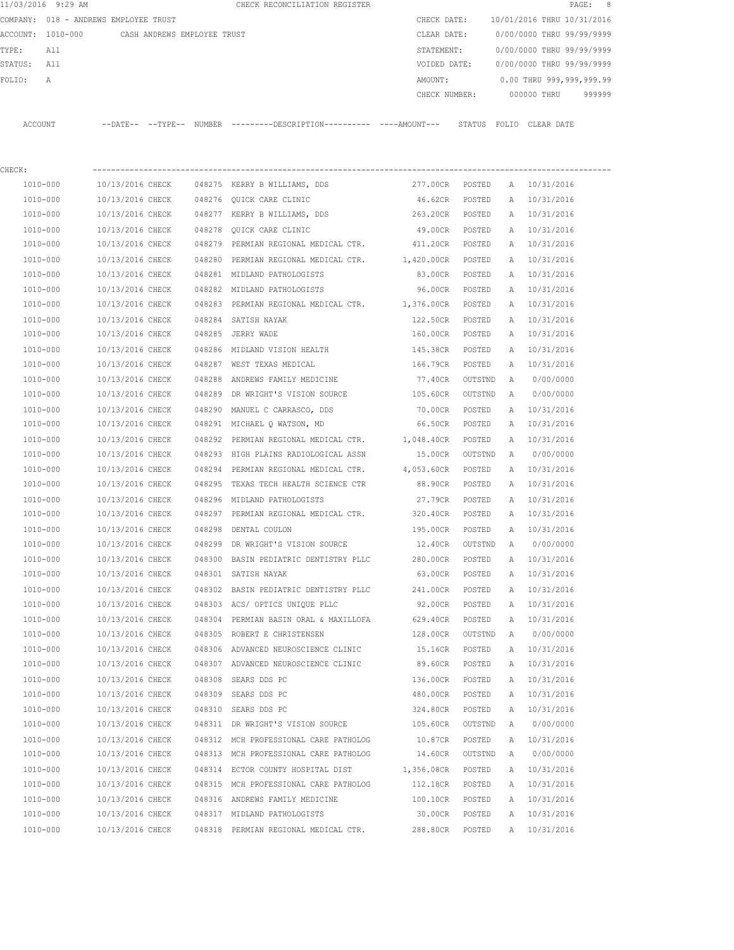|             | 11/03/2016 9:29 AM                            |                  |        | CHECK RECONCILIATION REGISTER                                                                |                   |         |   |                            | 8<br>$\texttt{PAGE}$ : |
|-------------|-----------------------------------------------|------------------|--------|----------------------------------------------------------------------------------------------|-------------------|---------|---|----------------------------|------------------------|
|             | COMPANY: 018 - ANDREWS EMPLOYEE TRUST         |                  |        |                                                                                              | CHECK DATE:       |         |   | 10/01/2016 THRU 10/31/2016 |                        |
|             | ACCOUNT: 1010-000 CASH ANDREWS EMPLOYEE TRUST |                  |        |                                                                                              | CLEAR DATE:       |         |   | 0/00/0000 THRU 99/99/9999  |                        |
| TYPE:       | All                                           |                  |        |                                                                                              | STATEMENT:        |         |   | 0/00/0000 THRU 99/99/9999  |                        |
| STATUS: All |                                               |                  |        |                                                                                              | VOIDED DATE:      |         |   | 0/00/0000 THRU 99/99/9999  |                        |
| FOLIO:      | Α                                             |                  |        |                                                                                              | AMOUNT:           |         |   | 0.00 THRU 999,999,999.99   |                        |
|             |                                               |                  |        |                                                                                              | CHECK NUMBER:     |         |   | 000000 THRU                | 999999                 |
|             | ACCOUNT                                       |                  |        | --DATE-- --TYPE-- NUMBER ---------DESCRIPTION---------- ----AMOUNT--- STATUS FOLIO CLEARDATE |                   |         |   |                            |                        |
| CHECK:      |                                               |                  |        |                                                                                              |                   |         |   |                            |                        |
|             | 1010-000                                      | 10/13/2016 CHECK |        | 048275 KERRY B WILLIAMS, DDS                                                                 | 277.00CR POSTED   |         |   | A 10/31/2016               |                        |
|             | 1010-000                                      | 10/13/2016 CHECK |        | 048276 QUICK CARE CLINIC                                                                     | 46.62CR           | POSTED  |   | A 10/31/2016               |                        |
|             | 1010-000                                      | 10/13/2016 CHECK |        | 048277 KERRY B WILLIAMS, DDS                                                                 | 263.20CR POSTED   |         |   | A 10/31/2016               |                        |
|             | 1010-000                                      | 10/13/2016 CHECK |        | 048278 QUICK CARE CLINIC                                                                     | 49.00CR POSTED    |         |   | A 10/31/2016               |                        |
|             | 1010-000                                      | 10/13/2016 CHECK |        | 048279 PERMIAN REGIONAL MEDICAL CTR.                                                         | 411.20CR POSTED   |         |   | A 10/31/2016               |                        |
|             | 1010-000                                      | 10/13/2016 CHECK |        | 048280 PERMIAN REGIONAL MEDICAL CTR.                                                         | 1,420.00CR POSTED |         |   | A 10/31/2016               |                        |
|             | 1010-000                                      | 10/13/2016 CHECK |        | 048281 MIDLAND PATHOLOGISTS                                                                  | 83.00CR POSTED    |         |   | A 10/31/2016               |                        |
|             | 1010-000                                      | 10/13/2016 CHECK |        | 048282 MIDLAND PATHOLOGISTS                                                                  | 96.00CR POSTED    |         |   | A 10/31/2016               |                        |
|             | 1010-000                                      | 10/13/2016 CHECK |        | 048283 PERMIAN REGIONAL MEDICAL CTR. 1,376.00CR POSTED                                       |                   |         |   | A 10/31/2016               |                        |
|             | 1010-000                                      | 10/13/2016 CHECK |        | 048284 SATISH NAYAK                                                                          | 122.50CR POSTED   |         |   | A 10/31/2016               |                        |
|             | 1010-000                                      | 10/13/2016 CHECK |        | 048285 JERRY WADE                                                                            | 160.00CR POSTED   |         |   | A 10/31/2016               |                        |
|             | 1010-000                                      | 10/13/2016 CHECK |        | 048286 MIDLAND VISION HEALTH                                                                 | 145.38CR          | POSTED  | A | 10/31/2016                 |                        |
|             | 1010-000                                      | 10/13/2016 CHECK |        | 048287 WEST TEXAS MEDICAL                                                                    | 166.79CR          | POSTED  | A | 10/31/2016                 |                        |
|             | 1010-000                                      | 10/13/2016 CHECK |        | 048288 ANDREWS FAMILY MEDICINE                                                               | 77.40CR           | OUTSTND | A | 0/00/0000                  |                        |
|             | 1010-000                                      | 10/13/2016 CHECK |        | 048289 DR WRIGHT'S VISION SOURCE                                                             | 105.60CR          | OUTSTND | A | 0/00/0000                  |                        |
|             | 1010-000                                      | 10/13/2016 CHECK |        | 048290 MANUEL C CARRASCO, DDS                                                                | 70.00CR POSTED    |         | A | 10/31/2016                 |                        |
|             | 1010-000                                      | 10/13/2016 CHECK |        | 048291 MICHAEL Q WATSON, MD                                                                  | 66.50CR POSTED    |         | A | 10/31/2016                 |                        |
|             | 1010-000                                      | 10/13/2016 CHECK |        | 048292 PERMIAN REGIONAL MEDICAL CTR.                                                         | 1,048.40CR POSTED |         |   | A 10/31/2016               |                        |
|             | 1010-000                                      | 10/13/2016 CHECK |        | 048293 HIGH PLAINS RADIOLOGICAL ASSN                                                         | 15.00CR OUTSTND   |         | A | 0/00/0000                  |                        |
|             | 1010-000                                      | 10/13/2016 CHECK | 048294 | PERMIAN REGIONAL MEDICAL CTR.                                                                | 4,053.60CR POSTED |         |   | A 10/31/2016               |                        |
|             | 1010-000                                      | 10/13/2016 CHECK | 048295 | TEXAS TECH HEALTH SCIENCE CTR                                                                | 88.90CR POSTED    |         |   | A 10/31/2016               |                        |
|             | 1010-000                                      | 10/13/2016 CHECK |        | 048296 MIDLAND PATHOLOGISTS                                                                  | 27.79CR           | POSTED  |   | A 10/31/2016               |                        |
|             | 1010-000                                      | 10/13/2016 CHECK |        | 048297 PERMIAN REGIONAL MEDICAL CTR. 320.40CR POSTED                                         |                   |         |   | A 10/31/2016               |                        |
|             | 1010-000                                      | 10/13/2016 CHECK |        | 048298 DENTAL COULON                                                                         | 195.00CR          | POSTED  |   | A 10/31/2016               |                        |
|             | 1010-000                                      | 10/13/2016 CHECK |        | 048299 DR WRIGHT'S VISION SOURCE                                                             | 12.40CR           | OUTSTND | A | 0/00/0000                  |                        |
|             | 1010-000                                      | 10/13/2016 CHECK |        | 048300 BASIN PEDIATRIC DENTISTRY PLLC                                                        | 280.00CR          | POSTED  | Α | 10/31/2016                 |                        |
|             | 1010-000                                      | 10/13/2016 CHECK |        | 048301 SATISH NAYAK                                                                          | 63.00CR           | POSTED  | Α | 10/31/2016                 |                        |
|             | 1010-000                                      | 10/13/2016 CHECK |        | 048302 BASIN PEDIATRIC DENTISTRY PLLC                                                        | 241.00CR          | POSTED  | Α | 10/31/2016                 |                        |
|             | 1010-000                                      | 10/13/2016 CHECK |        | 048303 ACS/ OPTICS UNIQUE PLLC                                                               | 92.00CR           | POSTED  | Α | 10/31/2016                 |                        |
|             | 1010-000                                      | 10/13/2016 CHECK |        | 048304 PERMIAN BASIN ORAL & MAXILLOFA                                                        | 629.40CR          | POSTED  | Α | 10/31/2016                 |                        |
|             | 1010-000                                      | 10/13/2016 CHECK |        | 048305 ROBERT E CHRISTENSEN                                                                  | 128.00CR          | OUTSTND | Α | 0/00/0000                  |                        |
|             | 1010-000                                      | 10/13/2016 CHECK |        | 048306 ADVANCED NEUROSCIENCE CLINIC                                                          | 15.16CR           | POSTED  | Α | 10/31/2016                 |                        |
|             | 1010-000                                      | 10/13/2016 CHECK |        | 048307 ADVANCED NEUROSCIENCE CLINIC                                                          | 89.60CR           | POSTED  | Α | 10/31/2016                 |                        |
|             | 1010-000                                      | 10/13/2016 CHECK |        | 048308 SEARS DDS PC                                                                          | 136.00CR          | POSTED  | Α | 10/31/2016                 |                        |
|             | 1010-000                                      | 10/13/2016 CHECK |        | 048309 SEARS DDS PC                                                                          | 480.00CR          | POSTED  | Α | 10/31/2016                 |                        |
|             | 1010-000                                      | 10/13/2016 CHECK |        | 048310 SEARS DDS PC                                                                          | 324.80CR          | POSTED  | Α | 10/31/2016                 |                        |
|             | 1010-000                                      | 10/13/2016 CHECK |        | 048311 DR WRIGHT'S VISION SOURCE                                                             | 105.60CR          | OUTSTND | Α | 0/00/0000                  |                        |
|             | 1010-000                                      | 10/13/2016 CHECK |        | 048312 MCH PROFESSIONAL CARE PATHOLOG                                                        | 10.87CR           | POSTED  | A | 10/31/2016                 |                        |
|             | 1010-000                                      | 10/13/2016 CHECK |        | 048313 MCH PROFESSIONAL CARE PATHOLOG                                                        | 14.60CR           | OUTSTND | Α | 0/00/0000                  |                        |
|             | 1010-000                                      | 10/13/2016 CHECK |        | 048314 ECTOR COUNTY HOSPITAL DIST                                                            | 1,356.08CR        | POSTED  | A | 10/31/2016                 |                        |
|             | 1010-000                                      | 10/13/2016 CHECK |        | 048315 MCH PROFESSIONAL CARE PATHOLOG                                                        | 112.18CR POSTED   |         | Α | 10/31/2016                 |                        |
|             | 1010-000                                      | 10/13/2016 CHECK |        | 048316 ANDREWS FAMILY MEDICINE                                                               | 100.10CR          | POSTED  | A | 10/31/2016                 |                        |
|             | 1010-000                                      | 10/13/2016 CHECK |        | 048317 MIDLAND PATHOLOGISTS                                                                  | 30.00CR           | POSTED  | A | 10/31/2016                 |                        |
|             | 1010-000                                      | 10/13/2016 CHECK |        | 048318 PERMIAN REGIONAL MEDICAL CTR.                                                         | 288.80CR          | POSTED  |   | A 10/31/2016               |                        |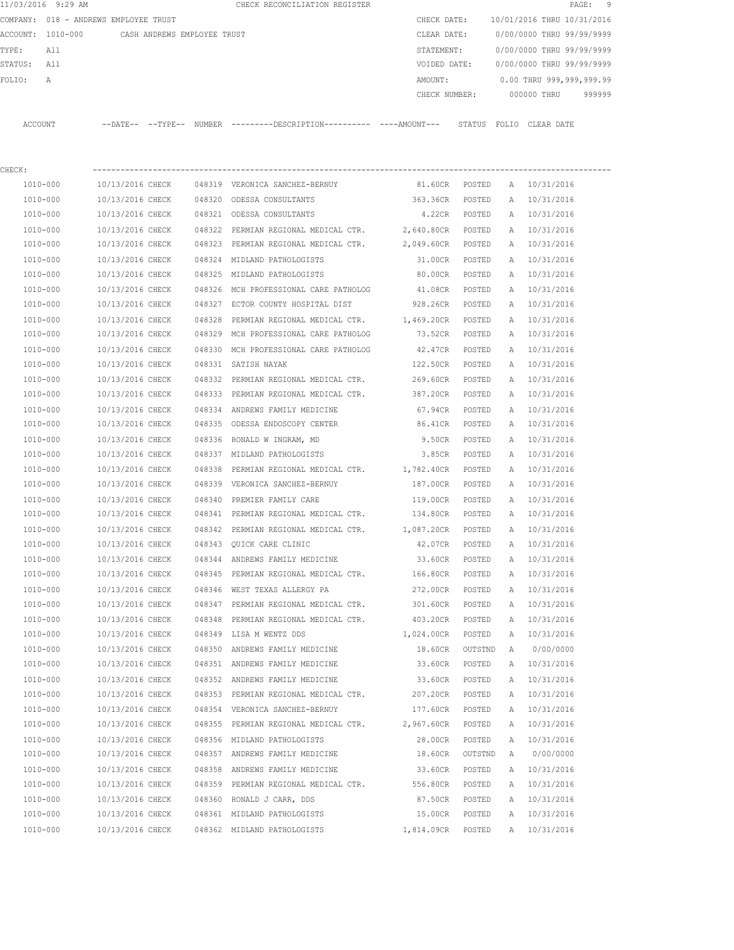|          | 11/03/2016 9:29 AM |                                               |        | CHECK RECONCILIATION REGISTER                                                |               |        |                            |            | PAGE: 9 |  |
|----------|--------------------|-----------------------------------------------|--------|------------------------------------------------------------------------------|---------------|--------|----------------------------|------------|---------|--|
|          |                    | COMPANY: 018 - ANDREWS EMPLOYEE TRUST         |        |                                                                              | CHECK DATE:   |        | 10/01/2016 THRU 10/31/2016 |            |         |  |
|          |                    | ACCOUNT: 1010-000 CASH ANDREWS EMPLOYEE TRUST |        |                                                                              | CLEAR DATE:   |        | 0/00/0000 THRU 99/99/9999  |            |         |  |
| TYPE:    | All                |                                               |        |                                                                              | STATEMENT:    |        | 0/00/0000 THRU 99/99/9999  |            |         |  |
| STATUS:  | All                |                                               |        |                                                                              | VOIDED DATE:  |        | 0/00/0000 THRU 99/99/9999  |            |         |  |
| FOLIO:   | $\mathcal{A}$      |                                               |        |                                                                              | AMOUNT:       |        | 0.00 THRU 999,999,999.99   |            |         |  |
|          |                    |                                               |        |                                                                              | CHECK NUMBER: |        | 000000 THRU                |            | 999999  |  |
| ACCOUNT  |                    |                                               |        | --DATE-- --TYPE-- NUMBER ---------DESCRIPTION---------- ----AMOUNT--- STATUS |               |        | FOLIO                      | CLEAR DATE |         |  |
| CHECK:   |                    |                                               |        |                                                                              |               |        |                            |            |         |  |
| 1010-000 |                    | 10/13/2016 CHECK                              | 048319 | VERONICA SANCHEZ-BERNUY                                                      | 81.60CR       | POSTED | A 10/31/2016               |            |         |  |

| 1010-000     | 10/13/2016 CHECK | 048320 ODESSA CONSULTANTS                       | 363.36CR   | POSTED  |              | A 10/31/2016 |
|--------------|------------------|-------------------------------------------------|------------|---------|--------------|--------------|
| 1010-000     | 10/13/2016 CHECK | 048321 ODESSA CONSULTANTS                       | 4.22CR     | POSTED  |              | A 10/31/2016 |
| 1010-000     | 10/13/2016 CHECK | 048322 PERMIAN REGIONAL MEDICAL CTR. 2,640.80CR |            | POSTED  |              | A 10/31/2016 |
| 1010-000     | 10/13/2016 CHECK | 048323 PERMIAN REGIONAL MEDICAL CTR. 2,049.60CR |            | POSTED  |              | A 10/31/2016 |
| 1010-000     | 10/13/2016 CHECK | 048324 MIDLAND PATHOLOGISTS                     | 31.00CR    | POSTED  |              | A 10/31/2016 |
| 1010-000     | 10/13/2016 CHECK | 048325 MIDLAND PATHOLOGISTS                     | 80.00CR    | POSTED  |              | A 10/31/2016 |
| 1010-000     | 10/13/2016 CHECK | 048326 MCH PROFESSIONAL CARE PATHOLOG           | 41.08CR    | POSTED  |              | A 10/31/2016 |
| 1010-000     | 10/13/2016 CHECK | 048327 ECTOR COUNTY HOSPITAL DIST               | 928.26CR   | POSTED  |              | A 10/31/2016 |
| 1010-000     | 10/13/2016 CHECK | 048328 PERMIAN REGIONAL MEDICAL CTR.            | 1,469.20CR | POSTED  |              | A 10/31/2016 |
| 1010-000     | 10/13/2016 CHECK | 048329 MCH PROFESSIONAL CARE PATHOLOG           | 73.52CR    | POSTED  |              | A 10/31/2016 |
| 1010-000     | 10/13/2016 CHECK | 048330 MCH PROFESSIONAL CARE PATHOLOG           | 42.47CR    | POSTED  |              | A 10/31/2016 |
| 1010-000     | 10/13/2016 CHECK | 048331 SATISH NAYAK                             | 122.50CR   | POSTED  |              | A 10/31/2016 |
| 1010-000     | 10/13/2016 CHECK | 048332 PERMIAN REGIONAL MEDICAL CTR.            | 269.60CR   | POSTED  |              | A 10/31/2016 |
| 1010-000     | 10/13/2016 CHECK | 048333 PERMIAN REGIONAL MEDICAL CTR.            | 387.20CR   | POSTED  |              | A 10/31/2016 |
| 1010-000     | 10/13/2016 CHECK | 048334 ANDREWS FAMILY MEDICINE                  | 67.94CR    | POSTED  |              | A 10/31/2016 |
| 1010-000     | 10/13/2016 CHECK | 048335 ODESSA ENDOSCOPY CENTER                  | 86.41CR    | POSTED  |              | A 10/31/2016 |
| 1010-000     | 10/13/2016 CHECK | 048336 RONALD W INGRAM, MD                      | 9.50CR     | POSTED  | A            | 10/31/2016   |
| 1010-000     | 10/13/2016 CHECK | 048337 MIDLAND PATHOLOGISTS                     | 3.85CR     | POSTED  | A            | 10/31/2016   |
| 1010-000     | 10/13/2016 CHECK | 048338 PERMIAN REGIONAL MEDICAL CTR.            | 1,782.40CR | POSTED  | A            | 10/31/2016   |
| 1010-000     | 10/13/2016 CHECK | 048339 VERONICA SANCHEZ-BERNUY                  | 187.00CR   | POSTED  | A            | 10/31/2016   |
| 1010-000     | 10/13/2016 CHECK | 048340 PREMIER FAMILY CARE                      | 119.00CR   | POSTED  | $\mathbb{A}$ | 10/31/2016   |
| 1010-000     | 10/13/2016 CHECK | 048341 PERMIAN REGIONAL MEDICAL CTR.            | 134.80CR   | POSTED  | A            | 10/31/2016   |
| 1010-000     | 10/13/2016 CHECK | 048342 PERMIAN REGIONAL MEDICAL CTR. 1,087.20CR |            | POSTED  |              | A 10/31/2016 |
| 1010-000     | 10/13/2016 CHECK | 048343 QUICK CARE CLINIC                        | 42.07CR    | POSTED  |              | A 10/31/2016 |
| 1010-000     | 10/13/2016 CHECK | 048344 ANDREWS FAMILY MEDICINE                  | 33.60CR    | POSTED  |              | A 10/31/2016 |
| 1010-000     | 10/13/2016 CHECK | 048345 PERMIAN REGIONAL MEDICAL CTR. 166.80CR   |            | POSTED  |              | A 10/31/2016 |
| 1010-000     | 10/13/2016 CHECK | 048346 WEST TEXAS ALLERGY PA                    | 272.00CR   | POSTED  |              | A 10/31/2016 |
| 1010-000     | 10/13/2016 CHECK | 048347 PERMIAN REGIONAL MEDICAL CTR.            | 301.60CR   | POSTED  |              | A 10/31/2016 |
| 1010-000     | 10/13/2016 CHECK | 048348 PERMIAN REGIONAL MEDICAL CTR.            | 403.20CR   | POSTED  |              | A 10/31/2016 |
| 1010-000     | 10/13/2016 CHECK | 048349 LISA M WENTZ DDS                         | 1,024.00CR | POSTED  |              | A 10/31/2016 |
| 1010-000     | 10/13/2016 CHECK | 048350 ANDREWS FAMILY MEDICINE                  | 18.60CR    | OUTSTND | A            | 0/00/0000    |
| 1010-000     | 10/13/2016 CHECK | 048351 ANDREWS FAMILY MEDICINE                  | 33.60CR    | POSTED  |              | A 10/31/2016 |
| 1010-000     | 10/13/2016 CHECK | 048352 ANDREWS FAMILY MEDICINE                  | 33.60CR    | POSTED  | $\mathbb{A}$ | 10/31/2016   |
| 1010-000     | 10/13/2016 CHECK | 048353 PERMIAN REGIONAL MEDICAL CTR.            | 207.20CR   | POSTED  |              | A 10/31/2016 |
| 1010-000     | 10/13/2016 CHECK | 048354 VERONICA SANCHEZ-BERNUY                  | 177.60CR   | POSTED  | $\mathbb{A}$ | 10/31/2016   |
| 1010-000     | 10/13/2016 CHECK | 048355 PERMIAN REGIONAL MEDICAL CTR.            | 2,967.60CR | POSTED  | A            | 10/31/2016   |
| 1010-000     | 10/13/2016 CHECK | 048356 MIDLAND PATHOLOGISTS                     | 28.00CR    | POSTED  | Α            | 10/31/2016   |
| $1010 - 000$ | 10/13/2016 CHECK | 048357 ANDREWS FAMILY MEDICINE                  | 18.60CR    | OUTSTND | Α            | 0/00/0000    |
| 1010-000     | 10/13/2016 CHECK | 048358 ANDREWS FAMILY MEDICINE                  | 33.60CR    | POSTED  | Α            | 10/31/2016   |
| 1010-000     | 10/13/2016 CHECK | 048359 PERMIAN REGIONAL MEDICAL CTR.            | 556.80CR   | POSTED  | Α            | 10/31/2016   |
| 1010-000     | 10/13/2016 CHECK | 048360 RONALD J CARR, DDS                       | 87.50CR    | POSTED  | Α            | 10/31/2016   |
| 1010-000     | 10/13/2016 CHECK | 048361 MIDLAND PATHOLOGISTS                     | 15.00CR    | POSTED  | Α            | 10/31/2016   |
| 1010-000     | 10/13/2016 CHECK | 048362 MIDLAND PATHOLOGISTS                     | 1,814.09CR | POSTED  | Α            | 10/31/2016   |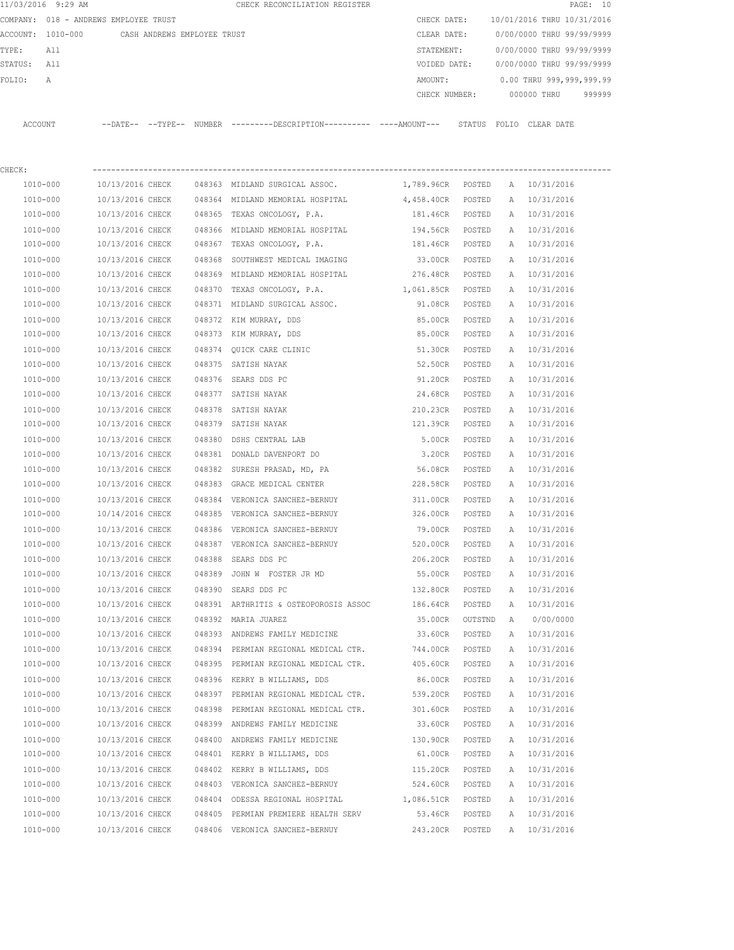|             | 11/03/2016 9:29 AM                            |                  |  | CHECK RECONCILIATION REGISTER                                                              |                                |         |   |                            | PAGE: 10 |
|-------------|-----------------------------------------------|------------------|--|--------------------------------------------------------------------------------------------|--------------------------------|---------|---|----------------------------|----------|
|             | COMPANY: 018 - ANDREWS EMPLOYEE TRUST         |                  |  |                                                                                            | CHECK DATE:                    |         |   | 10/01/2016 THRU 10/31/2016 |          |
|             | ACCOUNT: 1010-000 CASH ANDREWS EMPLOYEE TRUST |                  |  |                                                                                            | CLEAR DATE:                    |         |   | 0/00/0000 THRU 99/99/9999  |          |
| TYPE:       | All                                           |                  |  |                                                                                            | STATEMENT:                     |         |   | 0/00/0000 THRU 99/99/9999  |          |
| STATUS: All |                                               |                  |  |                                                                                            | VOIDED DATE:                   |         |   | 0/00/0000 THRU 99/99/9999  |          |
| FOLIO:      | Α                                             |                  |  |                                                                                            | AMOUNT:                        |         |   | 0.00 THRU 999,999,999.99   |          |
|             |                                               |                  |  |                                                                                            | CHECK NUMBER:                  |         |   | 000000 THRU                | 999999   |
|             | ACCOUNT                                       |                  |  | --DATE-- --TYPE-- NUMBER --------DESCRIPTION--------- ----AMOUNT--- STATUS FOLIO CLEARDATE |                                |         |   |                            |          |
| CHECK:      |                                               |                  |  |                                                                                            |                                |         |   |                            |          |
|             | 1010-000                                      |                  |  | 10/13/2016 CHECK 048363 MIDLAND SURGICAL ASSOC.                                            | 1,789.96CR POSTED A 10/31/2016 |         |   |                            |          |
|             | 1010-000                                      |                  |  | 10/13/2016 CHECK 048364 MIDLAND MEMORIAL HOSPITAL 4,458.40CR POSTED                        |                                |         |   | A 10/31/2016               |          |
|             | 1010-000                                      | 10/13/2016 CHECK |  | 048365 TEXAS ONCOLOGY, P.A.                                                                | 181.46CR POSTED                |         |   | A 10/31/2016               |          |
|             | 1010-000                                      |                  |  | 10/13/2016 CHECK 048366 MIDLAND MEMORIAL HOSPITAL                                          | 194.56CR POSTED                |         |   | A 10/31/2016               |          |
|             | 1010-000                                      | 10/13/2016 CHECK |  | 048367 TEXAS ONCOLOGY, P.A.                                                                | 181.46CR POSTED                |         |   | A 10/31/2016               |          |
|             | 1010-000                                      | 10/13/2016 CHECK |  | 048368 SOUTHWEST MEDICAL IMAGING                                                           | 33.00CR POSTED                 |         |   | A 10/31/2016               |          |
|             | 1010-000                                      | 10/13/2016 CHECK |  | 048369 MIDLAND MEMORIAL HOSPITAL                                                           | 276.48CR POSTED                |         |   | A 10/31/2016               |          |
|             | 1010-000                                      | 10/13/2016 CHECK |  | 048370 TEXAS ONCOLOGY, P.A.                                                                | 1,061.85CR POSTED              |         |   | A 10/31/2016               |          |
|             | 1010-000                                      | 10/13/2016 CHECK |  | 048371 MIDLAND SURGICAL ASSOC.                                                             | 91.08CR POSTED                 |         |   | A 10/31/2016               |          |
|             | 1010-000                                      | 10/13/2016 CHECK |  | 048372 KIM MURRAY, DDS                                                                     | 85.00CR                        | POSTED  |   | A 10/31/2016               |          |
|             | 1010-000                                      | 10/13/2016 CHECK |  | 048373 KIM MURRAY, DDS                                                                     | 85.00CR                        | POSTED  |   | A 10/31/2016               |          |
|             | 1010-000                                      | 10/13/2016 CHECK |  | 048374 OUICK CARE CLINIC                                                                   | 51.30CR                        | POSTED  |   | A 10/31/2016               |          |
|             | 1010-000                                      | 10/13/2016 CHECK |  | 048375 SATISH NAYAK                                                                        | 52.50CR                        | POSTED  |   | A 10/31/2016               |          |
|             | 1010-000                                      | 10/13/2016 CHECK |  | 048376 SEARS DDS PC                                                                        | 91.20CR POSTED                 |         |   | A 10/31/2016               |          |
|             | 1010-000                                      | 10/13/2016 CHECK |  | 048377 SATISH NAYAK                                                                        | 24.68CR POSTED                 |         |   | A 10/31/2016               |          |
|             | 1010-000                                      | 10/13/2016 CHECK |  | 048378 SATISH NAYAK                                                                        | 210.23CR POSTED                |         |   | A 10/31/2016               |          |
|             | 1010-000                                      | 10/13/2016 CHECK |  | 048379 SATISH NAYAK                                                                        | 121.39CR POSTED                |         |   | A 10/31/2016               |          |
|             | 1010-000                                      | 10/13/2016 CHECK |  | 048380 DSHS CENTRAL LAB                                                                    | 5.00CR POSTED                  |         |   | A 10/31/2016               |          |
|             | 1010-000                                      | 10/13/2016 CHECK |  | 048381 DONALD DAVENPORT DO                                                                 | 3.20CR POSTED                  |         |   | A 10/31/2016               |          |
|             | 1010-000                                      | 10/13/2016 CHECK |  | 048382 SURESH PRASAD, MD, PA                                                               | 56.08CR POSTED                 |         |   | A 10/31/2016               |          |
|             | 1010-000                                      | 10/13/2016 CHECK |  | 048383 GRACE MEDICAL CENTER                                                                | 228.58CR POSTED                |         |   | A 10/31/2016               |          |
|             | 1010-000                                      | 10/13/2016 CHECK |  | 048384 VERONICA SANCHEZ-BERNUY                                                             | 311.00CR                       | POSTED  |   | A 10/31/2016               |          |
|             | 1010-000                                      |                  |  | 10/14/2016 CHECK 048385 VERONICA SANCHEZ-BERNUY                                            | 326.00CR POSTED                |         |   | A 10/31/2016               |          |
|             | 1010-000                                      |                  |  | 10/13/2016 CHECK 048386 VERONICA SANCHEZ-BERNUY                                            | 79.00CR                        | POSTED  |   | A 10/31/2016               |          |
|             | 1010-000                                      | 10/13/2016 CHECK |  | 048387 VERONICA SANCHEZ-BERNUY                                                             | 520.00CR                       | POSTED  | А | 10/31/2016                 |          |
|             | 1010-000                                      | 10/13/2016 CHECK |  | 048388 SEARS DDS PC                                                                        | 206.20CR                       | POSTED  | Α | 10/31/2016                 |          |
|             | 1010-000                                      | 10/13/2016 CHECK |  | 048389 JOHN W FOSTER JR MD                                                                 | 55.00CR                        | POSTED  | Α | 10/31/2016                 |          |
|             | 1010-000                                      | 10/13/2016 CHECK |  | 048390 SEARS DDS PC                                                                        | 132.80CR                       | POSTED  | Α | 10/31/2016                 |          |
|             | 1010-000                                      | 10/13/2016 CHECK |  | 048391 ARTHRITIS & OSTEOPOROSIS ASSOC                                                      | 186.64CR                       | POSTED  | Α | 10/31/2016                 |          |
|             | 1010-000                                      | 10/13/2016 CHECK |  | 048392 MARIA JUAREZ                                                                        | 35.00CR                        | OUTSTND | A | 0/00/0000                  |          |
|             | 1010-000                                      | 10/13/2016 CHECK |  | 048393 ANDREWS FAMILY MEDICINE                                                             | 33.60CR                        | POSTED  | A | 10/31/2016                 |          |
|             | 1010-000                                      | 10/13/2016 CHECK |  | 048394 PERMIAN REGIONAL MEDICAL CTR.                                                       | 744.00CR                       | POSTED  | Α | 10/31/2016                 |          |
|             | 1010-000                                      | 10/13/2016 CHECK |  | 048395 PERMIAN REGIONAL MEDICAL CTR.                                                       | 405.60CR                       | POSTED  | Α | 10/31/2016                 |          |
|             | $1010 - 000$                                  | 10/13/2016 CHECK |  | 048396 KERRY B WILLIAMS, DDS                                                               | 86.00CR                        | POSTED  | Α | 10/31/2016                 |          |
|             | 1010-000                                      | 10/13/2016 CHECK |  | 048397 PERMIAN REGIONAL MEDICAL CTR.                                                       | 539.20CR                       | POSTED  | Α | 10/31/2016                 |          |
|             | 1010-000                                      | 10/13/2016 CHECK |  | 048398 PERMIAN REGIONAL MEDICAL CTR.                                                       | 301.60CR                       | POSTED  | A | 10/31/2016                 |          |
|             | 1010-000                                      | 10/13/2016 CHECK |  | 048399 ANDREWS FAMILY MEDICINE                                                             | 33.60CR                        | POSTED  | A | 10/31/2016                 |          |
|             | 1010-000                                      | 10/13/2016 CHECK |  | 048400 ANDREWS FAMILY MEDICINE                                                             | 130.90CR                       | POSTED  | Α | 10/31/2016                 |          |
|             | 1010-000                                      | 10/13/2016 CHECK |  | 048401 KERRY B WILLIAMS, DDS                                                               | 61.00CR                        | POSTED  | Α | 10/31/2016                 |          |
|             | 1010-000                                      | 10/13/2016 CHECK |  | 048402 KERRY B WILLIAMS, DDS                                                               | 115.20CR                       | POSTED  | Α | 10/31/2016                 |          |
|             | 1010-000                                      | 10/13/2016 CHECK |  | 048403 VERONICA SANCHEZ-BERNUY                                                             | 524.60CR                       | POSTED  |   | A 10/31/2016               |          |
|             | 1010-000                                      | 10/13/2016 CHECK |  | 048404 ODESSA REGIONAL HOSPITAL                                                            | 1,086.51CR                     | POSTED  |   | A 10/31/2016               |          |
|             | 1010-000                                      | 10/13/2016 CHECK |  | 048405 PERMIAN PREMIERE HEALTH SERV                                                        | 53.46CR                        | POSTED  |   | A 10/31/2016               |          |
|             | 1010-000                                      | 10/13/2016 CHECK |  | 048406 VERONICA SANCHEZ-BERNUY                                                             | 243.20CR                       | POSTED  |   | A 10/31/2016               |          |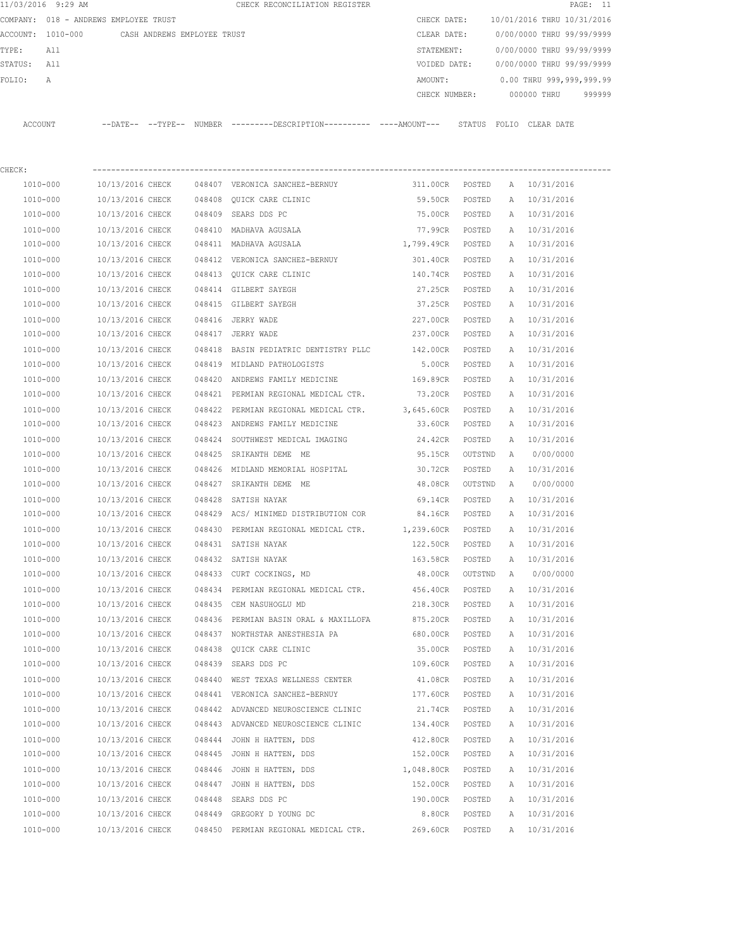| 11/03/2016 9:29 AM |                                       |                  |                             |        | CHECK RECONCILIATION REGISTER                                                               |                   |         |   |                                        | PAGE: 11 |
|--------------------|---------------------------------------|------------------|-----------------------------|--------|---------------------------------------------------------------------------------------------|-------------------|---------|---|----------------------------------------|----------|
|                    | COMPANY: 018 - ANDREWS EMPLOYEE TRUST |                  |                             |        |                                                                                             |                   |         |   | CHECK DATE: 10/01/2016 THRU 10/31/2016 |          |
| ACCOUNT: 1010-000  |                                       |                  | CASH ANDREWS EMPLOYEE TRUST |        |                                                                                             | CLEAR DATE:       |         |   | 0/00/0000 THRU 99/99/9999              |          |
| TYPE:              | All                                   |                  |                             |        |                                                                                             | STATEMENT:        |         |   | 0/00/0000 THRU 99/99/9999              |          |
| STATUS:            | All                                   |                  |                             |        |                                                                                             | VOIDED DATE:      |         |   | 0/00/0000 THRU 99/99/9999              |          |
| FOLIO:             | Α                                     |                  |                             |        |                                                                                             | AMOUNT:           |         |   | 0.00 THRU 999,999,999.99               |          |
|                    |                                       |                  |                             |        |                                                                                             | CHECK NUMBER:     |         |   | 000000 THRU                            | 999999   |
| ACCOUNT            |                                       |                  |                             |        | --DATE-- --TYPE-- NUMBER --------DESCRIPTION---------- ----AMOUNT--- STATUS FOLIO CLEARDATE |                   |         |   |                                        |          |
| CHECK:             |                                       |                  |                             |        |                                                                                             |                   |         |   |                                        |          |
| 1010-000           |                                       | 10/13/2016 CHECK |                             |        | 048407 VERONICA SANCHEZ-BERNUY                                                              | 311.00CR POSTED   |         |   | A 10/31/2016                           |          |
| 1010-000           |                                       | 10/13/2016 CHECK |                             |        | 048408 QUICK CARE CLINIC                                                                    | 59.50CR POSTED    |         |   | A 10/31/2016                           |          |
| 1010-000           |                                       | 10/13/2016 CHECK |                             |        | 048409 SEARS DDS PC                                                                         | 75.00CR POSTED    |         |   | A 10/31/2016                           |          |
| 1010-000           |                                       | 10/13/2016 CHECK |                             |        | 048410 MADHAVA AGUSALA                                                                      | 77.99CR POSTED    |         |   | A 10/31/2016                           |          |
| 1010-000           |                                       | 10/13/2016 CHECK |                             |        | 048411 MADHAVA AGUSALA                                                                      | 1,799.49CR POSTED |         |   | A 10/31/2016                           |          |
| 1010-000           |                                       | 10/13/2016 CHECK |                             |        | 048412 VERONICA SANCHEZ-BERNUY                                                              | 301.40CR POSTED   |         |   | A 10/31/2016                           |          |
| 1010-000           |                                       | 10/13/2016 CHECK |                             |        | 048413 OUICK CARE CLINIC                                                                    | 140.74CR POSTED   |         |   | A 10/31/2016                           |          |
| 1010-000           |                                       | 10/13/2016 CHECK |                             |        | 048414 GILBERT SAYEGH                                                                       | 27.25CR           | POSTED  |   | A 10/31/2016                           |          |
| 1010-000           |                                       | 10/13/2016 CHECK |                             |        | 048415 GILBERT SAYEGH                                                                       | 37.25CR           | POSTED  |   | A 10/31/2016                           |          |
| 1010-000           |                                       | 10/13/2016 CHECK |                             |        | 048416 JERRY WADE                                                                           | 227.00CR          | POSTED  |   | A 10/31/2016                           |          |
| 1010-000           |                                       | 10/13/2016 CHECK |                             |        | 048417 JERRY WADE                                                                           | 237.00CR          | POSTED  |   | A 10/31/2016                           |          |
| 1010-000           |                                       | 10/13/2016 CHECK |                             |        | 048418 BASIN PEDIATRIC DENTISTRY PLLC 142.00CR                                              |                   | POSTED  |   | A 10/31/2016                           |          |
| 1010-000           |                                       | 10/13/2016 CHECK |                             |        | 048419 MIDLAND PATHOLOGISTS                                                                 | 5.00CR            | POSTED  |   | A 10/31/2016                           |          |
| 1010-000           |                                       | 10/13/2016 CHECK |                             |        | 048420 ANDREWS FAMILY MEDICINE                                                              | 169.89CR POSTED   |         |   | A 10/31/2016                           |          |
| 1010-000           |                                       | 10/13/2016 CHECK |                             |        | 048421 PERMIAN REGIONAL MEDICAL CTR.                                                        | 73.20CR POSTED    |         |   | A 10/31/2016                           |          |
| 1010-000           |                                       | 10/13/2016 CHECK |                             |        | 048422 PERMIAN REGIONAL MEDICAL CTR.                                                        | 3,645.60CR POSTED |         |   | A 10/31/2016                           |          |
| 1010-000           |                                       | 10/13/2016 CHECK |                             |        | 048423 ANDREWS FAMILY MEDICINE                                                              | 33.60CR           | POSTED  |   | A 10/31/2016                           |          |
|                    |                                       |                  |                             |        |                                                                                             |                   |         |   |                                        |          |
| 1010-000           |                                       | 10/13/2016 CHECK |                             | 048424 | SOUTHWEST MEDICAL IMAGING                                                                   | 24.42CR           | POSTED  |   | A 10/31/2016                           |          |
| 1010-000           |                                       | 10/13/2016 CHECK |                             | 048425 | SRIKANTH DEME ME                                                                            | 95.15CR           | OUTSTND | A | 0/00/0000                              |          |
| 1010-000           |                                       | 10/13/2016 CHECK |                             |        | 048426 MIDLAND MEMORIAL HOSPITAL                                                            | 30.72CR           | POSTED  |   | A 10/31/2016                           |          |
| 1010-000           |                                       | 10/13/2016 CHECK |                             |        | 048427 SRIKANTH DEME ME                                                                     | 48.08CR           | OUTSTND |   | A 0/00/0000                            |          |
| 1010-000           |                                       | 10/13/2016 CHECK |                             |        | 048428 SATISH NAYAK                                                                         | 69.14CR           | POSTED  |   | A 10/31/2016                           |          |
| 1010-000           |                                       |                  |                             |        | 10/13/2016 CHECK 048429 ACS/ MINIMED DISTRIBUTION COR 84.16CR                               |                   | POSTED  | A | 10/31/2016                             |          |
| 1010-000           |                                       | 10/13/2016 CHECK |                             |        | 048430 PERMIAN REGIONAL MEDICAL CTR. 1,239.60CR                                             |                   | POSTED  | A | 10/31/2016                             |          |
| 1010-000           |                                       | 10/13/2016 CHECK |                             |        | 048431 SATISH NAYAK                                                                         | 122.50CR          | POSTED  | А | 10/31/2016                             |          |
| 1010-000           |                                       | 10/13/2016 CHECK |                             |        | 048432 SATISH NAYAK                                                                         | 163.58CR          | POSTED  | Α | 10/31/2016                             |          |
| 1010-000           |                                       | 10/13/2016 CHECK |                             |        | 048433 CURT COCKINGS, MD                                                                    | 48.00CR           | OUTSTND | Α | 0/00/0000                              |          |
| 1010-000           |                                       | 10/13/2016 CHECK |                             |        | 048434 PERMIAN REGIONAL MEDICAL CTR.                                                        | 456.40CR          | POSTED  | Α | 10/31/2016                             |          |
| 1010-000           |                                       | 10/13/2016 CHECK |                             |        | 048435 CEM NASUHOGLU MD                                                                     | 218.30CR          | POSTED  | Α | 10/31/2016                             |          |
| $1010 - 000$       |                                       | 10/13/2016 CHECK |                             |        | 048436 PERMIAN BASIN ORAL & MAXILLOFA                                                       | 875.20CR          | POSTED  | Α | 10/31/2016                             |          |
| 1010-000           |                                       | 10/13/2016 CHECK |                             |        | 048437 NORTHSTAR ANESTHESIA PA                                                              | 680.00CR          | POSTED  | Α | 10/31/2016                             |          |
| $1010 - 000$       |                                       | 10/13/2016 CHECK |                             |        | 048438 QUICK CARE CLINIC                                                                    | 35.00CR           | POSTED  | Α | 10/31/2016                             |          |
| 1010-000           |                                       | 10/13/2016 CHECK |                             |        | 048439 SEARS DDS PC                                                                         | 109.60CR          | POSTED  | Α | 10/31/2016                             |          |
| $1010 - 000$       |                                       | 10/13/2016 CHECK |                             |        | 048440 WEST TEXAS WELLNESS CENTER                                                           | 41.08CR           | POSTED  | Α | 10/31/2016                             |          |
| 1010-000           |                                       | 10/13/2016 CHECK |                             |        | 048441 VERONICA SANCHEZ-BERNUY                                                              | 177.60CR          | POSTED  | Α | 10/31/2016                             |          |
| 1010-000           |                                       | 10/13/2016 CHECK |                             |        | 048442 ADVANCED NEUROSCIENCE CLINIC                                                         | 21.74CR           | POSTED  | Α | 10/31/2016                             |          |
| 1010-000           |                                       | 10/13/2016 CHECK |                             |        | 048443 ADVANCED NEUROSCIENCE CLINIC                                                         | 134.40CR          | POSTED  | Α | 10/31/2016                             |          |
| 1010-000           |                                       | 10/13/2016 CHECK |                             |        | 048444 JOHN H HATTEN, DDS                                                                   | 412.80CR          | POSTED  | Α | 10/31/2016                             |          |
| 1010-000           |                                       | 10/13/2016 CHECK |                             |        | 048445 JOHN H HATTEN, DDS                                                                   | 152.00CR          | POSTED  | Α | 10/31/2016                             |          |
| 1010-000           |                                       | 10/13/2016 CHECK |                             |        | 048446 JOHN H HATTEN, DDS                                                                   | 1,048.80CR        | POSTED  | Α | 10/31/2016                             |          |
| 1010-000           |                                       | 10/13/2016 CHECK |                             |        | 048447 JOHN H HATTEN, DDS                                                                   | 152.00CR          | POSTED  | Α | 10/31/2016                             |          |
| 1010-000           |                                       | 10/13/2016 CHECK |                             | 048448 | SEARS DDS PC                                                                                | 190.00CR          | POSTED  | Α | 10/31/2016                             |          |
| 1010-000           |                                       | 10/13/2016 CHECK |                             |        | 048449 GREGORY D YOUNG DC                                                                   | 8.80CR            | POSTED  | Α | 10/31/2016                             |          |
| 1010-000           |                                       | 10/13/2016 CHECK |                             |        | 048450 PERMIAN REGIONAL MEDICAL CTR.                                                        | 269.60CR          | POSTED  |   | A 10/31/2016                           |          |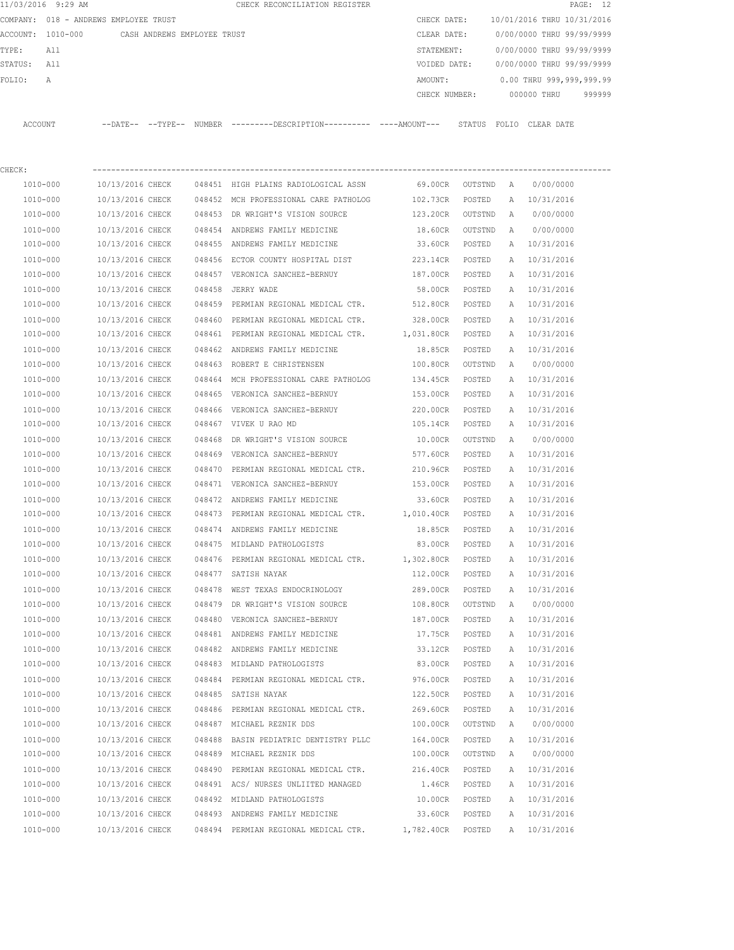|             | 11/03/2016 9:29 AM |                                       |        | CHECK RECONCILIATION REGISTER                                                                |                  |         |   | PAGE: 12                   |
|-------------|--------------------|---------------------------------------|--------|----------------------------------------------------------------------------------------------|------------------|---------|---|----------------------------|
|             |                    | COMPANY: 018 - ANDREWS EMPLOYEE TRUST |        |                                                                                              | CHECK DATE:      |         |   | 10/01/2016 THRU 10/31/2016 |
|             | ACCOUNT: 1010-000  | CASH ANDREWS EMPLOYEE TRUST           |        |                                                                                              | CLEAR DATE:      |         |   | 0/00/0000 THRU 99/99/9999  |
| TYPE:       | All                |                                       |        |                                                                                              | STATEMENT:       |         |   | 0/00/0000 THRU 99/99/9999  |
| STATUS: All |                    |                                       |        |                                                                                              | VOIDED DATE:     |         |   | 0/00/0000 THRU 99/99/9999  |
| FOLIO:      | А                  |                                       |        |                                                                                              | AMOUNT:          |         |   | 0.00 THRU 999,999,999.99   |
|             |                    |                                       |        |                                                                                              | CHECK NUMBER:    |         |   | 000000 THRU 999999         |
|             | ACCOUNT            |                                       |        | --DATE-- --TYPE-- NUMBER ---------DESCRIPTION---------- ----AMOUNT--- STATUS FOLIO CLEARDATE |                  |         |   |                            |
|             |                    |                                       |        |                                                                                              |                  |         |   |                            |
| CHECK:      | 1010-000           |                                       |        | 10/13/2016 CHECK   048451 HIGH PLAINS RADIOLOGICAL ASSN      69.00CR  OUTSTND   A            |                  |         |   | 0/00/0000                  |
|             | 1010-000           |                                       |        | 10/13/2016 CHECK 048452 MCH PROFESSIONAL CARE PATHOLOG 102.73CR                              |                  | POSTED  |   | A 10/31/2016               |
|             | 1010-000           |                                       |        | 10/13/2016 CHECK 048453 DR WRIGHT'S VISION SOURCE                                            | 123.20CR OUTSTND |         | A | 0/00/0000                  |
|             | 1010-000           | 10/13/2016 CHECK                      |        | 048454 ANDREWS FAMILY MEDICINE                                                               | 18.60CR          | OUTSTND | A | 0/00/0000                  |
|             | 1010-000           | 10/13/2016 CHECK                      |        | 048455 ANDREWS FAMILY MEDICINE                                                               | 33.60CR          | POSTED  |   | A 10/31/2016               |
|             | 1010-000           | 10/13/2016 CHECK                      |        | 048456 ECTOR COUNTY HOSPITAL DIST                                                            | 223.14CR         | POSTED  | A | 10/31/2016                 |
|             | 1010-000           | 10/13/2016 CHECK                      |        | 048457 VERONICA SANCHEZ-BERNUY                                                               | 187.00CR         | POSTED  | A | 10/31/2016                 |
|             | 1010-000           | 10/13/2016 CHECK                      |        | 048458 JERRY WADE                                                                            | 58.00CR          | POSTED  |   | A 10/31/2016               |
|             | 1010-000           | 10/13/2016 CHECK                      |        | 048459 PERMIAN REGIONAL MEDICAL CTR.                                                         | 512.80CR         | POSTED  |   | A 10/31/2016               |
|             | 1010-000           | 10/13/2016 CHECK                      | 048460 | PERMIAN REGIONAL MEDICAL CTR.                                                                | 328.00CR         | POSTED  | A | 10/31/2016                 |
|             | 1010-000           | 10/13/2016 CHECK                      |        | 048461 PERMIAN REGIONAL MEDICAL CTR. 1,031.80CR                                              |                  | POSTED  | A | 10/31/2016                 |
|             | 1010-000           | 10/13/2016 CHECK                      |        | 048462 ANDREWS FAMILY MEDICINE                                                               | 18.85CR          | POSTED  |   | A 10/31/2016               |
|             | 1010-000           | 10/13/2016 CHECK                      |        | 048463 ROBERT E CHRISTENSEN                                                                  | 100.80CR         | OUTSTND | A | 0/00/0000                  |
|             | 1010-000           | 10/13/2016 CHECK                      |        | 048464 MCH PROFESSIONAL CARE PATHOLOG                                                        | 134.45CR         | POSTED  |   | A 10/31/2016               |
|             | 1010-000           | 10/13/2016 CHECK                      |        | 048465 VERONICA SANCHEZ-BERNUY                                                               | 153.00CR         | POSTED  |   | A 10/31/2016               |
|             | 1010-000           | 10/13/2016 CHECK                      |        | 048466 VERONICA SANCHEZ-BERNUY                                                               | 220.00CR         | POSTED  | A | 10/31/2016                 |
|             | 1010-000           | 10/13/2016 CHECK                      |        | 048467 VIVEK U RAO MD                                                                        | 105.14CR         | POSTED  |   | A 10/31/2016               |
|             | 1010-000           | 10/13/2016 CHECK                      |        | 048468 DR WRIGHT'S VISION SOURCE                                                             | 10.00CR          | OUTSTND | A | 0/00/0000                  |
|             | 1010-000           | 10/13/2016 CHECK                      |        | 048469 VERONICA SANCHEZ-BERNUY                                                               | 577.60CR         | POSTED  |   | A 10/31/2016               |
|             | 1010-000           | 10/13/2016 CHECK                      |        | 048470 PERMIAN REGIONAL MEDICAL CTR.                                                         | 210.96CR         | POSTED  |   | A 10/31/2016               |
|             | 1010-000           | 10/13/2016 CHECK                      |        | 048471 VERONICA SANCHEZ-BERNUY                                                               | 153.00CR POSTED  |         |   | A 10/31/2016               |
|             | 1010-000           | 10/13/2016 CHECK                      |        | 048472 ANDREWS FAMILY MEDICINE                                                               | 33.60CR          | POSTED  |   | A 10/31/2016               |
|             | 1010-000           | 10/13/2016 CHECK                      |        | 048473 PERMIAN REGIONAL MEDICAL CTR. 1,010.40CR POSTED                                       |                  |         |   | A 10/31/2016               |
|             | 1010-000           | 10/13/2016 CHECK                      |        | 048474 ANDREWS FAMILY MEDICINE                                                               | 18.85CR          | POSTED  |   | A 10/31/2016               |
|             | 1010-000           | 10/13/2016 CHECK                      |        | 048475 MIDLAND PATHOLOGISTS                                                                  | 83.00CR          | POSTED  | A | 10/31/2016                 |
|             | 1010-000           | 10/13/2016 CHECK                      |        | 048476 PERMIAN REGIONAL MEDICAL CTR. 1,302.80CR                                              |                  | POSTED  | A | 10/31/2016                 |
|             | 1010-000           | 10/13/2016 CHECK                      |        | 048477 SATISH NAYAK                                                                          | 112.00CR         | POSTED  | A | 10/31/2016                 |
|             | 1010-000           | 10/13/2016 CHECK                      |        | 048478 WEST TEXAS ENDOCRINOLOGY                                                              | 289.00CR         | POSTED  |   | A 10/31/2016               |
|             | 1010-000           | 10/13/2016 CHECK                      |        | 048479 DR WRIGHT'S VISION SOURCE                                                             | 108.80CR         | OUTSTND | A | 0/00/0000                  |
|             | 1010-000           | 10/13/2016 CHECK                      |        | 048480 VERONICA SANCHEZ-BERNUY                                                               | 187.00CR         | POSTED  |   | A 10/31/2016               |
|             | 1010-000           | 10/13/2016 CHECK                      |        | 048481 ANDREWS FAMILY MEDICINE                                                               | 17.75CR          | POSTED  |   | A 10/31/2016               |
|             | 1010-000           | 10/13/2016 CHECK                      |        | 048482 ANDREWS FAMILY MEDICINE                                                               | 33.12CR          | POSTED  |   | A 10/31/2016               |
|             | 1010-000           | 10/13/2016 CHECK                      |        | 048483 MIDLAND PATHOLOGISTS                                                                  | 83.00CR          | POSTED  |   | A 10/31/2016               |
|             | 1010-000           | 10/13/2016 CHECK                      |        | 048484 PERMIAN REGIONAL MEDICAL CTR.                                                         | 976.00CR         | POSTED  | Α | 10/31/2016                 |
|             | 1010-000           | 10/13/2016 CHECK                      |        | 048485 SATISH NAYAK                                                                          | 122.50CR         | POSTED  | A | 10/31/2016                 |
|             | 1010-000           | 10/13/2016 CHECK                      |        | 048486 PERMIAN REGIONAL MEDICAL CTR.                                                         | 269.60CR         | POSTED  |   | A 10/31/2016               |
|             | 1010-000           | 10/13/2016 CHECK                      |        | 048487 MICHAEL REZNIK DDS                                                                    | 100.00CR         | OUTSTND | A | 0/00/0000                  |
|             | 1010-000           | 10/13/2016 CHECK                      |        | 048488 BASIN PEDIATRIC DENTISTRY PLLC                                                        | 164.00CR         | POSTED  | A | 10/31/2016                 |
|             | 1010-000           | 10/13/2016 CHECK                      |        | 048489 MICHAEL REZNIK DDS                                                                    | 100.00CR         | OUTSTND | A | 0/00/0000                  |
|             | 1010-000           | 10/13/2016 CHECK                      |        | 048490 PERMIAN REGIONAL MEDICAL CTR.                                                         | 216.40CR         | POSTED  | Α | 10/31/2016                 |
|             | 1010-000           | 10/13/2016 CHECK                      |        | 048491 ACS/ NURSES UNLIITED MANAGED                                                          | 1.46CR           | POSTED  | Α | 10/31/2016                 |
|             | 1010-000           | 10/13/2016 CHECK                      |        | 048492 MIDLAND PATHOLOGISTS                                                                  | 10.00CR          | POSTED  |   | A 10/31/2016               |
|             |                    |                                       |        |                                                                                              |                  |         |   |                            |

 1010-000 10/13/2016 CHECK 048493 ANDREWS FAMILY MEDICINE 33.60CR POSTED A 10/31/2016 1010-000 10/13/2016 CHECK 048494 PERMIAN REGIONAL MEDICAL CTR. 1,782.40CR POSTED A 10/31/2016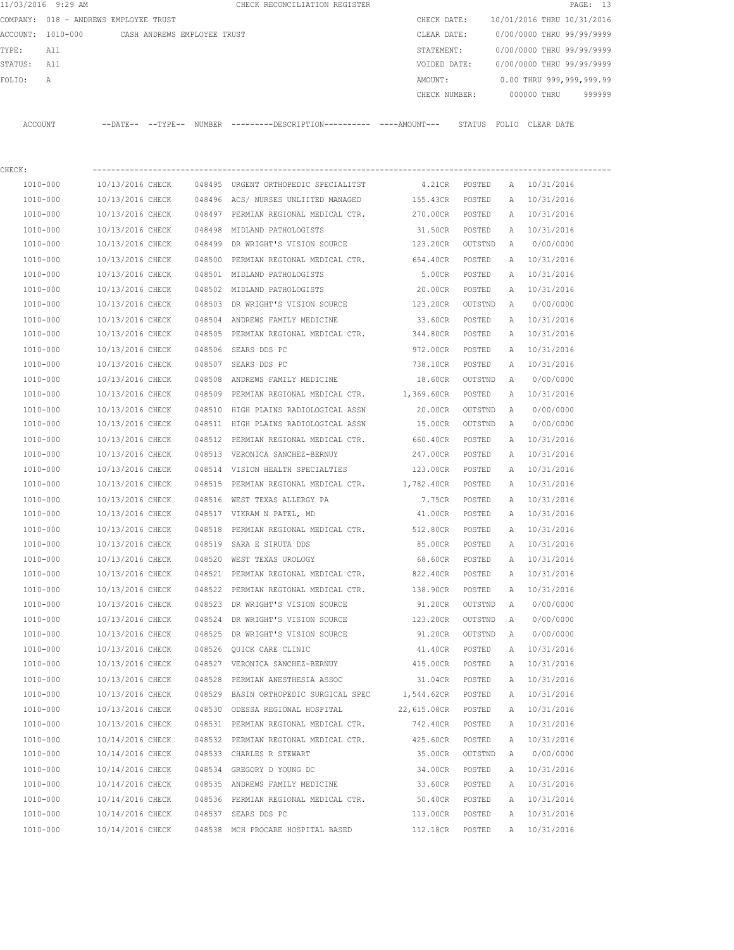|             | 11/03/2016 9:29 AM                            |                                      |        | CHECK RECONCILIATION REGISTER                                                              |                            |                    |              |                            | PAGE: 13 |
|-------------|-----------------------------------------------|--------------------------------------|--------|--------------------------------------------------------------------------------------------|----------------------------|--------------------|--------------|----------------------------|----------|
|             | COMPANY: 018 - ANDREWS EMPLOYEE TRUST         |                                      |        |                                                                                            | CHECK DATE:                |                    |              | 10/01/2016 THRU 10/31/2016 |          |
|             | ACCOUNT: 1010-000 CASH ANDREWS EMPLOYEE TRUST |                                      |        |                                                                                            | CLEAR DATE:                |                    |              | 0/00/0000 THRU 99/99/9999  |          |
| TYPE:       | All                                           |                                      |        |                                                                                            | STATEMENT:                 |                    |              | 0/00/0000 THRU 99/99/9999  |          |
| STATUS: All |                                               |                                      |        |                                                                                            | VOIDED DATE:               |                    |              | 0/00/0000 THRU 99/99/9999  |          |
| FOLIO:      | $\mathbb A$                                   |                                      |        |                                                                                            | AMOUNT:                    |                    |              | 0.00 THRU 999,999,999.99   |          |
|             |                                               |                                      |        |                                                                                            | CHECK NUMBER:              |                    |              | 000000 THRU                | 999999   |
|             | ACCOUNT                                       |                                      |        | --DATE-- --TYPE-- NUMBER --------DESCRIPTION--------- ----AMOUNT--- STATUS FOLIO CLEARDATE |                            |                    |              |                            |          |
| CHECK:      |                                               |                                      |        |                                                                                            |                            |                    |              |                            |          |
|             | 1010-000                                      |                                      |        | 10/13/2016 CHECK 048495 URGENT ORTHOPEDIC SPECIALITST                                      | 4.21CR POSTED              |                    |              | A 10/31/2016               |          |
|             | 1010-000                                      |                                      |        | 10/13/2016 CHECK 048496 ACS/ NURSES UNLIITED MANAGED 155.43CR                              |                            | POSTED             |              | A 10/31/2016               |          |
|             | 1010-000                                      | 10/13/2016 CHECK                     |        | 048497 PERMIAN REGIONAL MEDICAL CTR.                                                       | 270.00CR POSTED            |                    |              | A 10/31/2016               |          |
|             | 1010-000                                      | 10/13/2016 CHECK                     |        | 048498 MIDLAND PATHOLOGISTS                                                                | 31.50CR POSTED             |                    |              | A 10/31/2016               |          |
|             | $1010 - 000$                                  | 10/13/2016 CHECK                     |        | 048499 DR WRIGHT'S VISION SOURCE                                                           | 123.20CR OUTSTND           |                    | A            | 0/00/0000                  |          |
|             | 1010-000                                      | 10/13/2016 CHECK                     |        | 048500 PERMIAN REGIONAL MEDICAL CTR.                                                       | 654.40CR                   | POSTED             |              | A 10/31/2016               |          |
|             | 1010-000                                      | 10/13/2016 CHECK                     |        | 048501 MIDLAND PATHOLOGISTS                                                                | 5.00CR POSTED              |                    |              | A 10/31/2016               |          |
|             | 1010-000                                      | 10/13/2016 CHECK                     |        | 048502 MIDLAND PATHOLOGISTS                                                                | 20.00CR                    | POSTED             |              | A 10/31/2016               |          |
|             | 1010-000                                      | 10/13/2016 CHECK                     |        | 048503 DR WRIGHT'S VISION SOURCE                                                           | 123.20CR                   | OUTSTND            | A            | 0/00/0000                  |          |
|             | 1010-000                                      | 10/13/2016 CHECK                     |        | 048504 ANDREWS FAMILY MEDICINE                                                             | 33.60CR                    | POSTED             |              | A 10/31/2016               |          |
|             | 1010-000                                      | 10/13/2016 CHECK                     |        | 048505 PERMIAN REGIONAL MEDICAL CTR. 344.80CR                                              |                            | POSTED             | A            | 10/31/2016                 |          |
|             | 1010-000                                      | 10/13/2016 CHECK                     |        | 048506 SEARS DDS PC                                                                        | 972.00CR                   | POSTED             | A            | 10/31/2016                 |          |
|             | 1010-000                                      | 10/13/2016 CHECK                     |        | 048507 SEARS DDS PC                                                                        | 738.10CR                   | POSTED             |              | A 10/31/2016               |          |
|             | 1010-000                                      | 10/13/2016 CHECK                     |        | 048508 ANDREWS FAMILY MEDICINE                                                             | 18.60CR OUTSTND            |                    | A            | 0/00/0000                  |          |
|             | 1010-000                                      | 10/13/2016 CHECK                     |        | 048509 PERMIAN REGIONAL MEDICAL CTR. 1,369.60CR                                            |                            | POSTED             |              | A 10/31/2016               |          |
|             | 1010-000                                      | 10/13/2016 CHECK                     |        | 048510 HIGH PLAINS RADIOLOGICAL ASSN                                                       | 20.00CR                    | OUTSTND            | A            | 0/00/0000                  |          |
|             | 1010-000                                      | 10/13/2016 CHECK                     |        | 048511 HIGH PLAINS RADIOLOGICAL ASSN                                                       | 15.00CR                    | OUTSTND            | A            | 0/00/0000                  |          |
|             | 1010-000                                      | 10/13/2016 CHECK                     |        | 048512 PERMIAN REGIONAL MEDICAL CTR.                                                       | 660.40CR                   | POSTED             |              | A 10/31/2016               |          |
|             | 1010-000                                      | 10/13/2016 CHECK                     |        | 048513 VERONICA SANCHEZ-BERNUY                                                             | 247.00CR                   | POSTED             | A            | 10/31/2016                 |          |
|             | 1010-000                                      | 10/13/2016 CHECK                     |        | 048514 VISION HEALTH SPECIALTIES                                                           | 123.00CR                   | POSTED             | A            | 10/31/2016                 |          |
|             | 1010-000                                      | 10/13/2016 CHECK                     | 048515 | PERMIAN REGIONAL MEDICAL CTR. 1,782.40CR                                                   |                            | POSTED             | A            | 10/31/2016                 |          |
|             | 1010-000                                      | 10/13/2016 CHECK                     |        | 048516 WEST TEXAS ALLERGY PA                                                               | 7.75CR                     | POSTED             |              | A 10/31/2016               |          |
|             | 1010-000                                      | 10/13/2016 CHECK                     |        | 048517 VIKRAM N PATEL, MD                                                                  | 41.00CR                    | POSTED             |              | A 10/31/2016               |          |
|             | 1010-000                                      | 10/13/2016 CHECK                     |        | 048518 PERMIAN REGIONAL MEDICAL CTR. 512.80CR                                              |                            | POSTED             |              | A 10/31/2016               |          |
|             | $1010 - 000$                                  | 10/13/2016 CHECK                     |        | 048519 SARA E SIRUTA DDS                                                                   | 85.00CR                    |                    |              | 10/31/2016                 |          |
|             | 1010-000                                      | 10/13/2016 CHECK                     |        | 048520 WEST TEXAS UROLOGY                                                                  | 68.60CR                    | POSTED<br>POSTED   | Α<br>Α       | 10/31/2016                 |          |
|             | 1010-000                                      | 10/13/2016 CHECK                     |        | 048521 PERMIAN REGIONAL MEDICAL CTR.                                                       | 822.40CR                   | POSTED             | Α            | 10/31/2016                 |          |
|             | 1010-000                                      | 10/13/2016 CHECK                     |        | 048522 PERMIAN REGIONAL MEDICAL CTR.                                                       | 138.90CR                   | POSTED             | Α            | 10/31/2016                 |          |
|             | 1010-000                                      | 10/13/2016 CHECK                     |        | 048523 DR WRIGHT'S VISION SOURCE                                                           | 91.20CR                    | OUTSTND            | Α            | 0/00/0000                  |          |
|             | 1010-000                                      | 10/13/2016 CHECK                     |        | 048524 DR WRIGHT'S VISION SOURCE                                                           | 123.20CR                   |                    | $\mathbb{A}$ | 0/00/0000                  |          |
|             | 1010-000                                      | 10/13/2016 CHECK                     |        | 048525 DR WRIGHT'S VISION SOURCE                                                           | 91.20CR                    | OUTSTND<br>OUTSTND | A            | 0/00/0000                  |          |
|             | 1010-000                                      | 10/13/2016 CHECK                     |        | 048526 QUICK CARE CLINIC                                                                   | 41.40CR                    | POSTED             | Α            | 10/31/2016                 |          |
|             | 1010-000                                      | 10/13/2016 CHECK                     |        | 048527 VERONICA SANCHEZ-BERNUY                                                             | 415.00CR                   | POSTED             | Α            | 10/31/2016                 |          |
|             | $1010 - 000$                                  | 10/13/2016 CHECK                     |        | 048528 PERMIAN ANESTHESIA ASSOC                                                            | 31.04CR                    | POSTED             | Α            | 10/31/2016                 |          |
|             | 1010-000                                      | 10/13/2016 CHECK                     |        | 048529 BASIN ORTHOPEDIC SURGICAL SPEC 1,544.62CR                                           |                            | POSTED             | Α            | 10/31/2016                 |          |
|             | 1010-000                                      | 10/13/2016 CHECK                     |        | 048530 ODESSA REGIONAL HOSPITAL                                                            | 22,615.08CR POSTED         |                    | Α            | 10/31/2016                 |          |
|             | 1010-000                                      | 10/13/2016 CHECK                     |        | 048531 PERMIAN REGIONAL MEDICAL CTR.                                                       | 742.40CR                   | POSTED             | Α            | 10/31/2016                 |          |
|             |                                               |                                      |        |                                                                                            |                            |                    |              |                            |          |
|             | 1010-000<br>1010-000                          | 10/14/2016 CHECK<br>10/14/2016 CHECK |        | 048532 PERMIAN REGIONAL MEDICAL CTR.<br>048533 CHARLES R STEWART                           | 425.60CR<br>35.00CR        | POSTED<br>OUTSTND  | Α<br>Α       | 10/31/2016<br>0/00/0000    |          |
|             |                                               |                                      |        |                                                                                            |                            |                    |              |                            |          |
|             | 1010-000<br>1010-000                          | 10/14/2016 CHECK<br>10/14/2016 CHECK |        | 048534 GREGORY D YOUNG DC<br>048535 ANDREWS FAMILY MEDICINE                                | 34.00CR<br>33.60CR         | POSTED<br>POSTED   | Α<br>Α       | 10/31/2016<br>10/31/2016   |          |
|             | 1010-000                                      | 10/14/2016 CHECK                     |        | 048536 PERMIAN REGIONAL MEDICAL CTR.                                                       |                            |                    |              |                            |          |
|             | 1010-000                                      | 10/14/2016 CHECK                     |        | 048537 SEARS DDS PC                                                                        | 50.40CR<br>113.00CR POSTED | POSTED             | Α<br>Α       | 10/31/2016<br>10/31/2016   |          |
|             |                                               |                                      |        |                                                                                            |                            |                    |              |                            |          |
|             | 1010-000                                      | 10/14/2016 CHECK                     |        | 048538 MCH PROCARE HOSPITAL BASED                                                          | 112.18CR                   | POSTED             |              | A 10/31/2016               |          |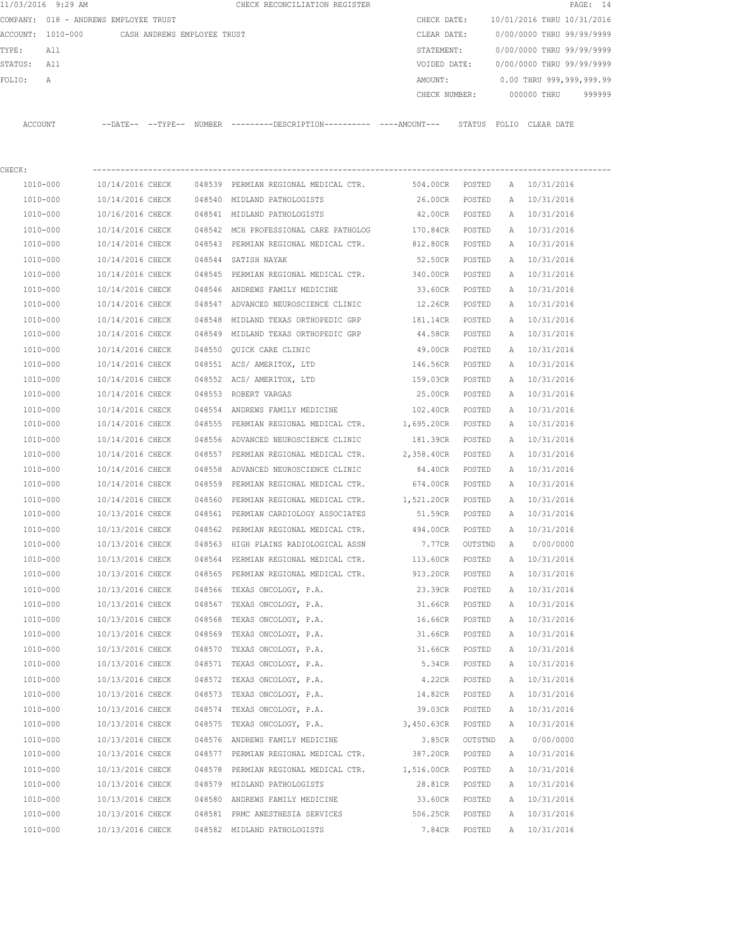|             | 11/03/2016 9:29 AM                            |                  |        | CHECK RECONCILIATION REGISTER                                                                |                   |         |   |                            | PAGE: 14 |
|-------------|-----------------------------------------------|------------------|--------|----------------------------------------------------------------------------------------------|-------------------|---------|---|----------------------------|----------|
|             | COMPANY: 018 - ANDREWS EMPLOYEE TRUST         |                  |        |                                                                                              | CHECK DATE:       |         |   | 10/01/2016 THRU 10/31/2016 |          |
|             | ACCOUNT: 1010-000 CASH ANDREWS EMPLOYEE TRUST |                  |        |                                                                                              | CLEAR DATE:       |         |   | 0/00/0000 THRU 99/99/9999  |          |
| TYPE:       | All                                           |                  |        |                                                                                              | STATEMENT:        |         |   | 0/00/0000 THRU 99/99/9999  |          |
| STATUS: All |                                               |                  |        |                                                                                              | VOIDED DATE:      |         |   | 0/00/0000 THRU 99/99/9999  |          |
| FOLIO:      | Α                                             |                  |        |                                                                                              | AMOUNT:           |         |   | 0.00 THRU 999,999,999.99   |          |
|             |                                               |                  |        |                                                                                              | CHECK NUMBER:     |         |   | 000000 THRU                | 999999   |
|             | ACCOUNT                                       |                  |        | --DATE-- --TYPE-- NUMBER ---------DESCRIPTION---------- ----AMOUNT--- STATUS FOLIO CLEARDATE |                   |         |   |                            |          |
| CHECK:      |                                               |                  |        |                                                                                              |                   |         |   |                            |          |
|             | 1010-000                                      | 10/14/2016 CHECK |        | 048539 PERMIAN REGIONAL MEDICAL CTR. 504.00CR POSTED                                         |                   |         |   | A 10/31/2016               |          |
|             | 1010-000                                      | 10/14/2016 CHECK |        | 048540 MIDLAND PATHOLOGISTS                                                                  | 26.00CR           | POSTED  |   | A 10/31/2016               |          |
|             | 1010-000                                      | 10/16/2016 CHECK |        | 048541 MIDLAND PATHOLOGISTS                                                                  | 42.00CR           | POSTED  |   | A 10/31/2016               |          |
|             | 1010-000                                      | 10/14/2016 CHECK |        | 048542 MCH PROFESSIONAL CARE PATHOLOG                                                        | 170.84CR POSTED   |         |   | A 10/31/2016               |          |
|             | 1010-000                                      | 10/14/2016 CHECK |        | 048543 PERMIAN REGIONAL MEDICAL CTR.                                                         | 812.80CR POSTED   |         |   | A 10/31/2016               |          |
|             | 1010-000                                      | 10/14/2016 CHECK |        | 048544 SATISH NAYAK                                                                          | 52.50CR POSTED    |         |   | A 10/31/2016               |          |
|             | 1010-000                                      | 10/14/2016 CHECK |        | 048545 PERMIAN REGIONAL MEDICAL CTR.                                                         | 340.00CR POSTED   |         |   | A 10/31/2016               |          |
|             | 1010-000                                      | 10/14/2016 CHECK |        | 048546 ANDREWS FAMILY MEDICINE                                                               | 33.60CR POSTED    |         |   | A 10/31/2016               |          |
|             | 1010-000                                      | 10/14/2016 CHECK |        | 048547 ADVANCED NEUROSCIENCE CLINIC                                                          | 12.26CR POSTED    |         |   | A 10/31/2016               |          |
|             | 1010-000                                      | 10/14/2016 CHECK | 048548 | MIDLAND TEXAS ORTHOPEDIC GRP                                                                 | 181.14CR          | POSTED  |   | A 10/31/2016               |          |
|             | 1010-000                                      | 10/14/2016 CHECK |        | 048549 MIDLAND TEXAS ORTHOPEDIC GRP                                                          | 44.58CR           | POSTED  |   | A 10/31/2016               |          |
|             | 1010-000                                      | 10/14/2016 CHECK |        | 048550 OUICK CARE CLINIC                                                                     | 49.00CR           | POSTED  | A | 10/31/2016                 |          |
|             | 1010-000                                      | 10/14/2016 CHECK |        | 048551 ACS/AMERITOX, LTD                                                                     | 146.56CR          | POSTED  | A | 10/31/2016                 |          |
|             | 1010-000                                      | 10/14/2016 CHECK |        | 048552 ACS/AMERITOX, LTD                                                                     | 159.03CR          | POSTED  |   | A 10/31/2016               |          |
|             | 1010-000                                      | 10/14/2016 CHECK |        | 048553 ROBERT VARGAS                                                                         | 25.00CR           | POSTED  | A | 10/31/2016                 |          |
|             | 1010-000                                      | 10/14/2016 CHECK |        | 048554 ANDREWS FAMILY MEDICINE                                                               | 102.40CR POSTED   |         |   | A 10/31/2016               |          |
|             | 1010-000                                      | 10/14/2016 CHECK |        | 048555 PERMIAN REGIONAL MEDICAL CTR.                                                         | 1,695.20CR POSTED |         |   | A 10/31/2016               |          |
|             | 1010-000                                      | 10/14/2016 CHECK |        | 048556 ADVANCED NEUROSCIENCE CLINIC                                                          | 181.39CR POSTED   |         |   | A 10/31/2016               |          |
|             | 1010-000                                      | 10/14/2016 CHECK |        | 048557 PERMIAN REGIONAL MEDICAL CTR.                                                         | 2,358.40CR POSTED |         |   | A 10/31/2016               |          |
|             | 1010-000                                      | 10/14/2016 CHECK | 048558 | ADVANCED NEUROSCIENCE CLINIC                                                                 | 84.40CR POSTED    |         |   | A 10/31/2016               |          |
|             | 1010-000                                      | 10/14/2016 CHECK |        | 048559 PERMIAN REGIONAL MEDICAL CTR.                                                         | 674.00CR POSTED   |         |   | A 10/31/2016               |          |
|             | 1010-000                                      | 10/14/2016 CHECK |        | 048560 PERMIAN REGIONAL MEDICAL CTR.                                                         | 1,521.20CR POSTED |         |   | A 10/31/2016               |          |
|             | 1010-000                                      | 10/13/2016 CHECK |        | 048561 PERMIAN CARDIOLOGY ASSOCIATES                                                         | 51.59CR           | POSTED  |   | A 10/31/2016               |          |
|             | 1010-000                                      | 10/13/2016 CHECK |        | 048562 PERMIAN REGIONAL MEDICAL CTR.                                                         | 494.00CR          | POSTED  |   | A 10/31/2016               |          |
|             | 1010-000                                      | 10/13/2016 CHECK |        | 048563 HIGH PLAINS RADIOLOGICAL ASSN                                                         | 7.77CR            | OUTSTND | A | 0/00/0000                  |          |
|             | 1010-000                                      | 10/13/2016 CHECK |        | 048564 PERMIAN REGIONAL MEDICAL CTR.                                                         | 113.60CR          | POSTED  | Α | 10/31/2016                 |          |
|             | 1010-000                                      | 10/13/2016 CHECK |        | 048565 PERMIAN REGIONAL MEDICAL CTR.                                                         | 913.20CR          | POSTED  | Α | 10/31/2016                 |          |
|             | 1010-000                                      | 10/13/2016 CHECK |        | 048566 TEXAS ONCOLOGY, P.A.                                                                  | 23.39CR           | POSTED  | Α | 10/31/2016                 |          |
|             | 1010-000                                      | 10/13/2016 CHECK |        | 048567 TEXAS ONCOLOGY, P.A.                                                                  | 31.66CR           | POSTED  | Α | 10/31/2016                 |          |
|             | 1010-000                                      | 10/13/2016 CHECK | 048568 | TEXAS ONCOLOGY, P.A.                                                                         | 16.66CR           | POSTED  | Α | 10/31/2016                 |          |
|             | 1010-000                                      | 10/13/2016 CHECK | 048569 | TEXAS ONCOLOGY, P.A.                                                                         | 31.66CR           | POSTED  | Α | 10/31/2016                 |          |
|             | 1010-000                                      | 10/13/2016 CHECK | 048570 | TEXAS ONCOLOGY, P.A.                                                                         | 31.66CR           | POSTED  | Α | 10/31/2016                 |          |
|             | 1010-000                                      | 10/13/2016 CHECK |        | 048571 TEXAS ONCOLOGY, P.A.                                                                  | 5.34CR            | POSTED  | Α | 10/31/2016                 |          |
|             | 1010-000                                      | 10/13/2016 CHECK | 048572 | TEXAS ONCOLOGY, P.A.                                                                         | 4.22CR            | POSTED  | Α | 10/31/2016                 |          |
|             | 1010-000                                      | 10/13/2016 CHECK | 048573 | TEXAS ONCOLOGY, P.A.                                                                         | 14.82CR           | POSTED  | Α | 10/31/2016                 |          |
|             | 1010-000                                      | 10/13/2016 CHECK | 048574 | TEXAS ONCOLOGY, P.A.                                                                         | 39.03CR           | POSTED  | Α | 10/31/2016                 |          |
|             | 1010-000                                      | 10/13/2016 CHECK | 048575 | TEXAS ONCOLOGY, P.A. 3,450.63CR                                                              |                   | POSTED  | Α | 10/31/2016                 |          |
|             | 1010-000                                      | 10/13/2016 CHECK |        | 048576 ANDREWS FAMILY MEDICINE                                                               | 3.85CR            | OUTSTND | Α | 0/00/0000                  |          |
|             | 1010-000                                      | 10/13/2016 CHECK |        | 048577 PERMIAN REGIONAL MEDICAL CTR.                                                         | 387.20CR          | POSTED  | Α | 10/31/2016                 |          |
|             | 1010-000                                      | 10/13/2016 CHECK |        | 048578 PERMIAN REGIONAL MEDICAL CTR.                                                         | 1,516.00CR        | POSTED  | Α | 10/31/2016                 |          |
|             | 1010-000                                      | 10/13/2016 CHECK |        | 048579 MIDLAND PATHOLOGISTS                                                                  | 28.81CR           | POSTED  | Α | 10/31/2016                 |          |
|             | 1010-000                                      | 10/13/2016 CHECK |        | 048580 ANDREWS FAMILY MEDICINE                                                               | 33.60CR           | POSTED  | Α | 10/31/2016                 |          |
|             | 1010-000                                      | 10/13/2016 CHECK |        | 048581 PRMC ANESTHESIA SERVICES                                                              | 506.25CR          | POSTED  | Α | 10/31/2016                 |          |
|             | 1010-000                                      | 10/13/2016 CHECK |        | 048582 MIDLAND PATHOLOGISTS                                                                  | 7.84CR            | POSTED  | Α | 10/31/2016                 |          |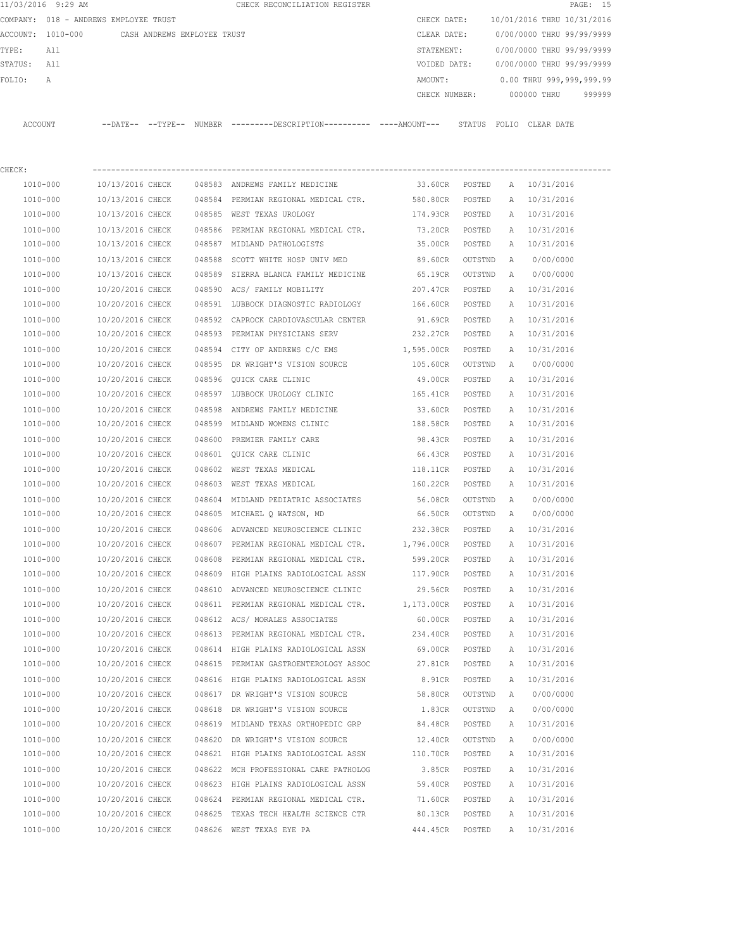|          | 11/03/2016 9:29 AM |                                                                                                                 |  | CHECK RECONCILIATION REGISTER                                                                 |               |        |                                                                                                                 | PAGE: 15 |  |
|----------|--------------------|-----------------------------------------------------------------------------------------------------------------|--|-----------------------------------------------------------------------------------------------|---------------|--------|-----------------------------------------------------------------------------------------------------------------|----------|--|
|          |                    | COMPANY: 018 - ANDREWS EMPLOYEE TRUST                                                                           |  |                                                                                               | CHECK DATE:   |        | 10/01/2016 THRU 10/31/2016                                                                                      |          |  |
|          |                    | ACCOUNT: 1010-000 CASH ANDREWS EMPLOYEE TRUST                                                                   |  |                                                                                               | CLEAR DATE:   |        | 0/00/0000 THRU 99/99/9999                                                                                       |          |  |
| TYPE:    | All                |                                                                                                                 |  |                                                                                               | STATEMENT:    |        | 0/00/0000 THRU 99/99/9999                                                                                       |          |  |
| STATUS:  | All                |                                                                                                                 |  |                                                                                               | VOIDED DATE:  |        | 0/00/0000 THRU 99/99/9999                                                                                       |          |  |
| FOLIO:   | A                  |                                                                                                                 |  |                                                                                               | AMOUNT:       |        | 0.00 THRU 999,999,999.99                                                                                        |          |  |
|          |                    |                                                                                                                 |  |                                                                                               | CHECK NUMBER: |        | 000000 THRU                                                                                                     | 999999   |  |
| ACCOUNT  |                    |                                                                                                                 |  | --DATE-- --TYPE-- NUMBER ---------DESCRIPTION---------- ----AMOUNT--- STATUS FOLIO CLEAR-DATE |               |        |                                                                                                                 |          |  |
| CHECK:   |                    |                                                                                                                 |  |                                                                                               |               |        |                                                                                                                 |          |  |
| 1010-000 |                    |                                                                                                                 |  | 10/13/2016 CHECK 048583 ANDREWS FAMILY MEDICINE                                               | 33.60CR       | POSTED | A 10/31/2016                                                                                                    |          |  |
|          |                    | the contract of the contract of the contract of the contract of the contract of the contract of the contract of |  |                                                                                               |               |        | the contract of the contract of the contract of the contract of the contract of the contract of the contract of |          |  |

| 1010-000     | 10/13/2016 CHECK |        | 048584 PERMIAN REGIONAL MEDICAL CTR.  | 580.80CR   | POSTED  | А | 10/31/2016 |
|--------------|------------------|--------|---------------------------------------|------------|---------|---|------------|
| 1010-000     | 10/13/2016 CHECK |        | 048585 WEST TEXAS UROLOGY             | 174.93CR   | POSTED  | Α | 10/31/2016 |
| 1010-000     | 10/13/2016 CHECK |        | 048586 PERMIAN REGIONAL MEDICAL CTR.  | 73.20CR    | POSTED  | Α | 10/31/2016 |
| 1010-000     | 10/13/2016 CHECK |        | 048587 MIDLAND PATHOLOGISTS           | 35.00CR    | POSTED  | Α | 10/31/2016 |
| 1010-000     | 10/13/2016 CHECK |        | 048588 SCOTT WHITE HOSP UNIV MED      | 89.60CR    | OUTSTND | Α | 0/00/0000  |
| 1010-000     | 10/13/2016 CHECK |        | 048589 SIERRA BLANCA FAMILY MEDICINE  | 65.19CR    | OUTSTND | Α | 0/00/0000  |
| 1010-000     | 10/20/2016 CHECK |        | 048590 ACS/ FAMILY MOBILITY           | 207.47CR   | POSTED  | Α | 10/31/2016 |
| 1010-000     | 10/20/2016 CHECK |        | 048591 LUBBOCK DIAGNOSTIC RADIOLOGY   | 166.60CR   | POSTED  | Α | 10/31/2016 |
| 1010-000     | 10/20/2016 CHECK |        | 048592 CAPROCK CARDIOVASCULAR CENTER  | 91.69CR    | POSTED  | Α | 10/31/2016 |
| 1010-000     | 10/20/2016 CHECK |        | 048593 PERMIAN PHYSICIANS SERV        | 232.27CR   | POSTED  | Α | 10/31/2016 |
| 1010-000     | 10/20/2016 CHECK |        | 048594 CITY OF ANDREWS C/C EMS        | 1,595.00CR | POSTED  | Α | 10/31/2016 |
| 1010-000     | 10/20/2016 CHECK |        | 048595 DR WRIGHT'S VISION SOURCE      | 105.60CR   | OUTSTND | A | 0/00/0000  |
| 1010-000     | 10/20/2016 CHECK |        | 048596 QUICK CARE CLINIC              | 49.00CR    | POSTED  | Α | 10/31/2016 |
| 1010-000     | 10/20/2016 CHECK |        | 048597 LUBBOCK UROLOGY CLINIC         | 165.41CR   | POSTED  | Α | 10/31/2016 |
| 1010-000     | 10/20/2016 CHECK |        | 048598 ANDREWS FAMILY MEDICINE        | 33.60CR    | POSTED  | Α | 10/31/2016 |
| 1010-000     | 10/20/2016 CHECK |        | 048599 MIDLAND WOMENS CLINIC          | 188.58CR   | POSTED  | Α | 10/31/2016 |
| 1010-000     | 10/20/2016 CHECK |        | 048600 PREMIER FAMILY CARE            | 98.43CR    | POSTED  | Α | 10/31/2016 |
| 1010-000     | 10/20/2016 CHECK |        | 048601 OUICK CARE CLINIC              | 66.43CR    | POSTED  | Α | 10/31/2016 |
| 1010-000     | 10/20/2016 CHECK |        | 048602 WEST TEXAS MEDICAL             | 118.11CR   | POSTED  | Α | 10/31/2016 |
| 1010-000     | 10/20/2016 CHECK |        | 048603 WEST TEXAS MEDICAL             | 160.22CR   | POSTED  | Α | 10/31/2016 |
| 1010-000     | 10/20/2016 CHECK |        | 048604 MIDLAND PEDIATRIC ASSOCIATES   | 56.08CR    | OUTSTND | Α | 0/00/0000  |
| 1010-000     | 10/20/2016 CHECK |        | 048605 MICHAEL Q WATSON, MD           | 66.50CR    | OUTSTND | Α | 0/00/0000  |
| 1010-000     | 10/20/2016 CHECK |        | 048606 ADVANCED NEUROSCIENCE CLINIC   | 232.38CR   | POSTED  | Α | 10/31/2016 |
| 1010-000     | 10/20/2016 CHECK |        | 048607 PERMIAN REGIONAL MEDICAL CTR.  | 1,796.00CR | POSTED  | Α | 10/31/2016 |
| 1010-000     | 10/20/2016 CHECK |        | 048608 PERMIAN REGIONAL MEDICAL CTR.  | 599.20CR   | POSTED  | Α | 10/31/2016 |
| 1010-000     | 10/20/2016 CHECK |        | 048609 HIGH PLAINS RADIOLOGICAL ASSN  | 117.90CR   | POSTED  | Α | 10/31/2016 |
| 1010-000     | 10/20/2016 CHECK |        | 048610 ADVANCED NEUROSCIENCE CLINIC   | 29.56CR    | POSTED  | Α | 10/31/2016 |
| 1010-000     | 10/20/2016 CHECK |        | 048611 PERMIAN REGIONAL MEDICAL CTR.  | 1,173.00CR | POSTED  | Α | 10/31/2016 |
| 1010-000     | 10/20/2016 CHECK |        | 048612 ACS/ MORALES ASSOCIATES        | 60.00CR    | POSTED  | Α | 10/31/2016 |
| 1010-000     | 10/20/2016 CHECK |        | 048613 PERMIAN REGIONAL MEDICAL CTR.  | 234.40CR   | POSTED  | Α | 10/31/2016 |
| 1010-000     | 10/20/2016 CHECK |        | 048614 HIGH PLAINS RADIOLOGICAL ASSN  | 69.00CR    | POSTED  | Α | 10/31/2016 |
| 1010-000     | 10/20/2016 CHECK |        | 048615 PERMIAN GASTROENTEROLOGY ASSOC | 27.81CR    | POSTED  | Α | 10/31/2016 |
| 1010-000     | 10/20/2016 CHECK |        | 048616 HIGH PLAINS RADIOLOGICAL ASSN  | 8.91CR     | POSTED  | Α | 10/31/2016 |
| 1010-000     | 10/20/2016 CHECK |        | 048617 DR WRIGHT'S VISION SOURCE      | 58.80CR    | OUTSTND | Α | 0/00/0000  |
| 1010-000     | 10/20/2016 CHECK |        | 048618 DR WRIGHT'S VISION SOURCE      | 1.83CR     | OUTSTND | A | 0/00/0000  |
| 1010-000     | 10/20/2016 CHECK |        | 048619 MIDLAND TEXAS ORTHOPEDIC GRP   | 84.48CR    | POSTED  | A | 10/31/2016 |
| 1010-000     | 10/20/2016 CHECK |        | 048620 DR WRIGHT'S VISION SOURCE      | 12.40CR    | OUTSTND | Α | 0/00/0000  |
| $1010 - 000$ | 10/20/2016 CHECK |        | 048621 HIGH PLAINS RADIOLOGICAL ASSN  | 110.70CR   | POSTED  | Α | 10/31/2016 |
| 1010-000     | 10/20/2016 CHECK |        | 048622 MCH PROFESSIONAL CARE PATHOLOG | 3.85CR     | POSTED  | Α | 10/31/2016 |
| 1010-000     | 10/20/2016 CHECK |        | 048623 HIGH PLAINS RADIOLOGICAL ASSN  | 59.40CR    | POSTED  | Α | 10/31/2016 |
| 1010-000     | 10/20/2016 CHECK | 048624 | PERMIAN REGIONAL MEDICAL CTR.         | 71.60CR    | POSTED  | Α | 10/31/2016 |
| 1010-000     | 10/20/2016 CHECK | 048625 | TEXAS TECH HEALTH SCIENCE CTR         | 80.13CR    | POSTED  | Α | 10/31/2016 |
| 1010-000     | 10/20/2016 CHECK |        | 048626 WEST TEXAS EYE PA              | 444.45CR   | POSTED  | Α | 10/31/2016 |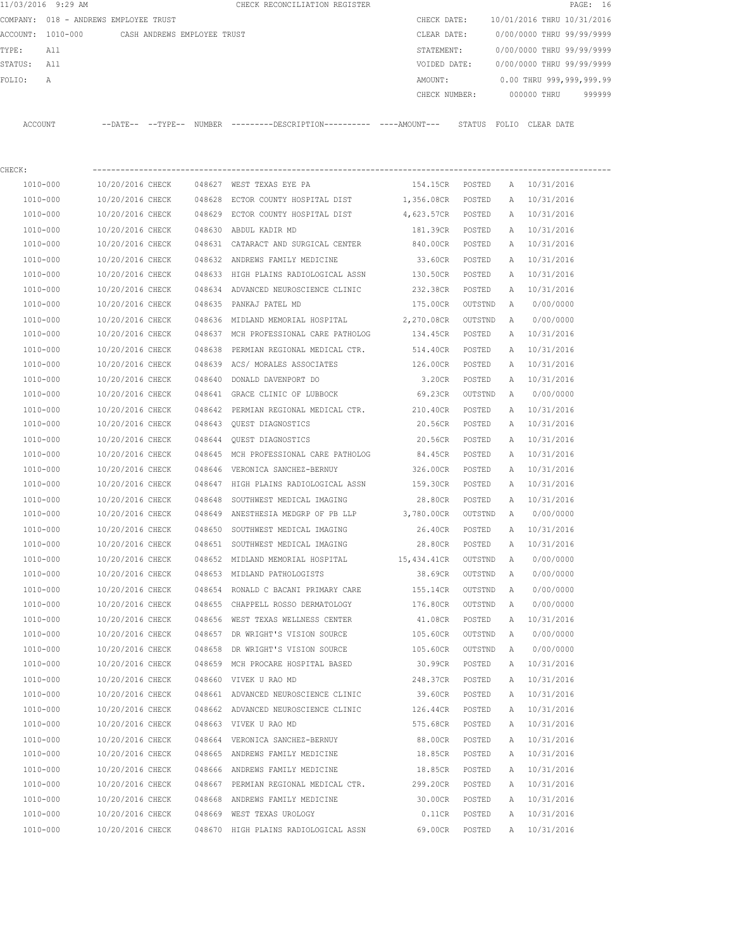|         | 11/03/2016 9:29 AM                    |                  |                             |        | CHECK RECONCILIATION REGISTER                                                             |                   |         |   |                            | PAGE: 16 |
|---------|---------------------------------------|------------------|-----------------------------|--------|-------------------------------------------------------------------------------------------|-------------------|---------|---|----------------------------|----------|
|         | COMPANY: 018 - ANDREWS EMPLOYEE TRUST |                  |                             |        |                                                                                           | CHECK DATE:       |         |   | 10/01/2016 THRU 10/31/2016 |          |
|         | ACCOUNT: 1010-000                     |                  | CASH ANDREWS EMPLOYEE TRUST |        |                                                                                           | CLEAR DATE:       |         |   | 0/00/0000 THRU 99/99/9999  |          |
| TYPE:   | All                                   |                  |                             |        |                                                                                           | STATEMENT:        |         |   | 0/00/0000 THRU 99/99/9999  |          |
| STATUS: | All                                   |                  |                             |        |                                                                                           | VOIDED DATE:      |         |   | 0/00/0000 THRU 99/99/9999  |          |
| FOLIO:  | Α                                     |                  |                             |        |                                                                                           | AMOUNT:           |         |   | 0.00 THRU 999,999,999.99   |          |
|         |                                       |                  |                             |        |                                                                                           | CHECK NUMBER:     |         |   | 000000 THRU                | 999999   |
|         | ACCOUNT                               |                  |                             |        | --DATE-- --TYPE-- NUMBER --------DESCRIPTION--------- ---AMOUNT--- STATUS FOLIO CLEARDATE |                   |         |   |                            |          |
| CHECK:  |                                       |                  |                             |        |                                                                                           |                   |         |   |                            |          |
|         | 1010-000                              | 10/20/2016 CHECK |                             |        | 048627 WEST TEXAS EYE PA                                                                  | 154.15CR POSTED   |         |   | A 10/31/2016               |          |
|         | 1010-000                              | 10/20/2016 CHECK |                             |        | 048628 ECTOR COUNTY HOSPITAL DIST                                                         | 1,356.08CR POSTED |         |   | A 10/31/2016               |          |
|         | 1010-000                              | 10/20/2016 CHECK |                             |        | 048629 ECTOR COUNTY HOSPITAL DIST                                                         | 4,623.57CR POSTED |         |   | A 10/31/2016               |          |
|         | 1010-000                              | 10/20/2016 CHECK |                             |        | 048630 ABDUL KADIR MD                                                                     | 181.39CR POSTED   |         |   | A 10/31/2016               |          |
|         | 1010-000                              | 10/20/2016 CHECK |                             |        | 048631 CATARACT AND SURGICAL CENTER                                                       | 840.00CR POSTED   |         |   | A 10/31/2016               |          |
|         | 1010-000                              | 10/20/2016 CHECK |                             |        | 048632 ANDREWS FAMILY MEDICINE                                                            | 33.60CR           | POSTED  | A | 10/31/2016                 |          |
|         | 1010-000                              | 10/20/2016 CHECK |                             |        | 048633 HIGH PLAINS RADIOLOGICAL ASSN                                                      | 130.50CR          | POSTED  | A | 10/31/2016                 |          |
|         | 1010-000                              | 10/20/2016 CHECK |                             |        | 048634 ADVANCED NEUROSCIENCE CLINIC                                                       | 232.38CR          | POSTED  |   | A 10/31/2016               |          |
|         | 1010-000                              | 10/20/2016 CHECK |                             |        | 048635 PANKAJ PATEL MD                                                                    | 175.00CR          | OUTSTND | A | 0/00/0000                  |          |
|         | 1010-000                              | 10/20/2016 CHECK |                             |        | 048636 MIDLAND MEMORIAL HOSPITAL 2,270.08CR                                               |                   | OUTSTND | A | 0/00/0000                  |          |
|         | 1010-000                              | 10/20/2016 CHECK |                             |        | 048637 MCH PROFESSIONAL CARE PATHOLOG 134.45CR                                            |                   | POSTED  | A | 10/31/2016                 |          |
|         | 1010-000                              | 10/20/2016 CHECK |                             | 048638 | PERMIAN REGIONAL MEDICAL CTR.                                                             | 514.40CR          | POSTED  | Α | 10/31/2016                 |          |
|         | 1010-000                              | 10/20/2016 CHECK |                             |        | 048639 ACS/ MORALES ASSOCIATES                                                            | 126.00CR          | POSTED  | A | 10/31/2016                 |          |
|         | 1010-000                              | 10/20/2016 CHECK |                             |        | 048640 DONALD DAVENPORT DO                                                                | 3.20CR            | POSTED  |   | A 10/31/2016               |          |
|         | 1010-000                              | 10/20/2016 CHECK |                             |        | 048641 GRACE CLINIC OF LUBBOCK                                                            | 69.23CR           | OUTSTND | A | 0/00/0000                  |          |
|         | 1010-000                              | 10/20/2016 CHECK |                             |        | 048642 PERMIAN REGIONAL MEDICAL CTR.                                                      | 210.40CR          | POSTED  |   | A 10/31/2016               |          |
|         | 1010-000                              | 10/20/2016 CHECK |                             |        | 048643 QUEST DIAGNOSTICS                                                                  | 20.56CR           | POSTED  |   | A 10/31/2016               |          |
|         | 1010-000                              | 10/20/2016 CHECK |                             | 048644 | <b>OUEST DIAGNOSTICS</b>                                                                  | 20.56CR           | POSTED  | A | 10/31/2016                 |          |
|         | 1010-000                              | 10/20/2016 CHECK |                             | 048645 | MCH PROFESSIONAL CARE PATHOLOG                                                            | 84.45CR           | POSTED  | A | 10/31/2016                 |          |
|         | 1010-000                              | 10/20/2016 CHECK |                             |        | 048646 VERONICA SANCHEZ-BERNUY                                                            | 326.00CR          | POSTED  |   | A 10/31/2016               |          |
|         | 1010-000                              | 10/20/2016 CHECK |                             |        | 048647 HIGH PLAINS RADIOLOGICAL ASSN 159.30CR                                             |                   | POSTED  |   | A 10/31/2016               |          |
|         | 1010-000                              | 10/20/2016 CHECK |                             | 048648 | SOUTHWEST MEDICAL IMAGING                                                                 | 28.80CR           | POSTED  |   | A 10/31/2016               |          |
|         | 1010-000                              | 10/20/2016 CHECK |                             |        | 048649 ANESTHESIA MEDGRP OF PB LLP 3,780.00CR                                             |                   | OUTSTND | A | 0/00/0000                  |          |
|         | 1010-000                              | 10/20/2016 CHECK |                             |        | 048650 SOUTHWEST MEDICAL IMAGING                                                          | 26.40CR           | POSTED  | A | 10/31/2016                 |          |
|         | 1010-000                              | 10/20/2016 CHECK |                             |        | 048651 SOUTHWEST MEDICAL IMAGING                                                          | 28.80CR           | POSTED  | Α | 10/31/2016                 |          |
|         | 1010-000                              | 10/20/2016 CHECK |                             |        | 048652 MIDLAND MEMORIAL HOSPITAL                                                          | 15,434.41CR       | OUTSTND | Α | 0/00/0000                  |          |
|         | 1010-000                              | 10/20/2016 CHECK |                             |        | 048653 MIDLAND PATHOLOGISTS                                                               | 38.69CR           | OUTSTND | Α | 0/00/0000                  |          |
|         | 1010-000                              | 10/20/2016 CHECK |                             |        | 048654 RONALD C BACANI PRIMARY CARE                                                       | 155.14CR          | OUTSTND | Α | 0/00/0000                  |          |
|         | 1010-000                              | 10/20/2016 CHECK |                             |        | 048655 CHAPPELL ROSSO DERMATOLOGY                                                         | 176.80CR          | OUTSTND | Α | 0/00/0000                  |          |
|         | 1010-000                              | 10/20/2016 CHECK |                             |        | 048656 WEST TEXAS WELLNESS CENTER                                                         | 41.08CR           | POSTED  | Α | 10/31/2016                 |          |
|         | $1010 - 000$                          | 10/20/2016 CHECK |                             |        | 048657 DR WRIGHT'S VISION SOURCE                                                          | 105.60CR          | OUTSTND | Α | 0/00/0000                  |          |
|         | $1010 - 000$                          | 10/20/2016 CHECK |                             |        | 048658 DR WRIGHT'S VISION SOURCE                                                          | 105.60CR          | OUTSTND | Α | 0/00/0000                  |          |
|         | 1010-000                              | 10/20/2016 CHECK |                             |        | 048659 MCH PROCARE HOSPITAL BASED                                                         | 30.99CR           | POSTED  | Α | 10/31/2016                 |          |
|         | 1010-000                              | 10/20/2016 CHECK |                             |        | 048660 VIVEK U RAO MD                                                                     | 248.37CR          | POSTED  | Α | 10/31/2016                 |          |
|         | 1010-000                              | 10/20/2016 CHECK |                             |        | 048661 ADVANCED NEUROSCIENCE CLINIC                                                       | 39.60CR           | POSTED  | Α | 10/31/2016                 |          |
|         | 1010-000                              | 10/20/2016 CHECK |                             |        | 048662 ADVANCED NEUROSCIENCE CLINIC                                                       | 126.44CR          | POSTED  | Α | 10/31/2016                 |          |
|         | 1010-000                              | 10/20/2016 CHECK |                             |        | 048663 VIVEK U RAO MD                                                                     | 575.68CR          | POSTED  | Α | 10/31/2016                 |          |
|         | 1010-000                              | 10/20/2016 CHECK |                             |        | 048664 VERONICA SANCHEZ-BERNUY                                                            | 88.00CR           | POSTED  | Α | 10/31/2016                 |          |
|         | 1010-000                              | 10/20/2016 CHECK |                             |        | 048665 ANDREWS FAMILY MEDICINE                                                            | 18.85CR           | POSTED  | Α | 10/31/2016                 |          |
|         | 1010-000                              | 10/20/2016 CHECK |                             |        | 048666 ANDREWS FAMILY MEDICINE                                                            | 18.85CR           | POSTED  | Α | 10/31/2016                 |          |
|         | 1010-000                              | 10/20/2016 CHECK |                             |        | 048667 PERMIAN REGIONAL MEDICAL CTR.                                                      | 299.20CR          | POSTED  | Α | 10/31/2016                 |          |
|         | 1010-000                              | 10/20/2016 CHECK |                             |        | 048668 ANDREWS FAMILY MEDICINE                                                            | 30.00CR           | POSTED  | Α | 10/31/2016                 |          |
|         | 1010-000                              | 10/20/2016 CHECK |                             |        | 048669 WEST TEXAS UROLOGY                                                                 | $0.11$ CR         | POSTED  | Α | 10/31/2016                 |          |
|         | 1010-000                              | 10/20/2016 CHECK |                             |        | 048670 HIGH PLAINS RADIOLOGICAL ASSN                                                      | 69.00CR           | POSTED  | Α | 10/31/2016                 |          |
|         |                                       |                  |                             |        |                                                                                           |                   |         |   |                            |          |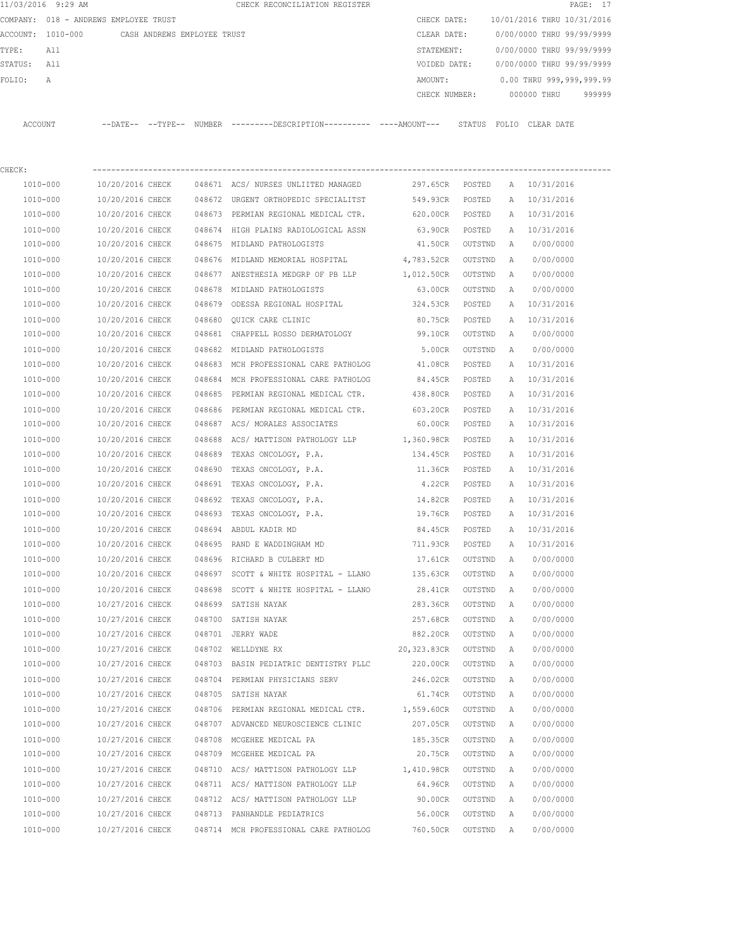|         | 11/03/2016 9:29 AM                    |                  |                             |        | CHECK RECONCILIATION REGISTER                                                              |                 |         |   |                            | PAGE: 17 |
|---------|---------------------------------------|------------------|-----------------------------|--------|--------------------------------------------------------------------------------------------|-----------------|---------|---|----------------------------|----------|
|         | COMPANY: 018 - ANDREWS EMPLOYEE TRUST |                  |                             |        |                                                                                            | CHECK DATE:     |         |   | 10/01/2016 THRU 10/31/2016 |          |
|         | ACCOUNT: 1010-000                     |                  | CASH ANDREWS EMPLOYEE TRUST |        |                                                                                            | CLEAR DATE:     |         |   | 0/00/0000 THRU 99/99/9999  |          |
| TYPE:   | All                                   |                  |                             |        |                                                                                            | STATEMENT:      |         |   | 0/00/0000 THRU 99/99/9999  |          |
| STATUS: | All                                   |                  |                             |        |                                                                                            | VOIDED DATE:    |         |   | 0/00/0000 THRU 99/99/9999  |          |
| FOLIO:  | А                                     |                  |                             |        |                                                                                            | AMOUNT:         |         |   | 0.00 THRU 999,999,999.99   |          |
|         |                                       |                  |                             |        |                                                                                            | CHECK NUMBER:   |         |   | 000000 THRU                | 999999   |
|         | ACCOUNT                               |                  |                             |        | --DATE-- --TYPE-- NUMBER --------DESCRIPTION--------- ----AMOUNT--- STATUS FOLIO CLEARDATE |                 |         |   |                            |          |
| CHECK:  |                                       |                  |                             |        |                                                                                            |                 |         |   |                            |          |
|         | 1010-000                              | 10/20/2016 CHECK |                             |        | 048671 ACS/ NURSES UNLIITED MANAGED                                                        | 297.65CR POSTED |         |   | A 10/31/2016               |          |
|         | 1010-000                              | 10/20/2016 CHECK |                             |        | 048672 URGENT ORTHOPEDIC SPECIALITST                                                       | 549.93CR        | POSTED  | A | 10/31/2016                 |          |
|         | 1010-000                              | 10/20/2016 CHECK |                             |        | 048673 PERMIAN REGIONAL MEDICAL CTR.                                                       | 620.00CR POSTED |         | A | 10/31/2016                 |          |
|         | 1010-000                              | 10/20/2016 CHECK |                             |        | 048674 HIGH PLAINS RADIOLOGICAL ASSN                                                       | 63.90CR         | POSTED  | A | 10/31/2016                 |          |
|         | 1010-000                              | 10/20/2016 CHECK |                             |        | 048675 MIDLAND PATHOLOGISTS                                                                | 41.50CR         | OUTSTND | A | 0/00/0000                  |          |
|         | 1010-000                              | 10/20/2016 CHECK |                             |        | 048676 MIDLAND MEMORIAL HOSPITAL                                                           | 4,783.52CR      | OUTSTND | A | 0/00/0000                  |          |
|         | 1010-000                              | 10/20/2016 CHECK |                             |        | 048677 ANESTHESIA MEDGRP OF PB LLP                                                         | 1,012.50CR      | OUTSTND | A | 0/00/0000                  |          |
|         | 1010-000                              | 10/20/2016 CHECK |                             |        | 048678 MIDLAND PATHOLOGISTS                                                                | 63.00CR         | OUTSTND | A | 0/00/0000                  |          |
|         | 1010-000                              | 10/20/2016 CHECK |                             |        | 048679 ODESSA REGIONAL HOSPITAL                                                            | 324.53CR        | POSTED  | Α | 10/31/2016                 |          |
|         | 1010-000                              | 10/20/2016 CHECK |                             |        | 048680 OUICK CARE CLINIC                                                                   | 80.75CR         | POSTED  | Α | 10/31/2016                 |          |
|         | 1010-000                              | 10/20/2016 CHECK |                             |        | 048681 CHAPPELL ROSSO DERMATOLOGY                                                          | 99.10CR         | OUTSTND | Α | 0/00/0000                  |          |
|         | 1010-000                              | 10/20/2016 CHECK |                             |        | 048682 MIDLAND PATHOLOGISTS                                                                | 5.00CR          | OUTSTND | A | 0/00/0000                  |          |
|         | 1010-000                              | 10/20/2016 CHECK |                             |        | 048683 MCH PROFESSIONAL CARE PATHOLOG                                                      | 41.08CR         | POSTED  | A | 10/31/2016                 |          |
|         | 1010-000                              | 10/20/2016 CHECK |                             |        | 048684 MCH PROFESSIONAL CARE PATHOLOG                                                      | 84.45CR         | POSTED  | Α | 10/31/2016                 |          |
|         | 1010-000                              | 10/20/2016 CHECK |                             |        | 048685 PERMIAN REGIONAL MEDICAL CTR.                                                       | 438.80CR        | POSTED  | A | 10/31/2016                 |          |
|         | 1010-000                              | 10/20/2016 CHECK |                             |        | 048686 PERMIAN REGIONAL MEDICAL CTR.                                                       | 603.20CR        | POSTED  | A | 10/31/2016                 |          |
|         | 1010-000                              | 10/20/2016 CHECK |                             |        | 048687 ACS/ MORALES ASSOCIATES                                                             | 60.00CR         | POSTED  | A | 10/31/2016                 |          |
|         | 1010-000                              | 10/20/2016 CHECK |                             | 048688 | ACS/ MATTISON PATHOLOGY LLP                                                                | 1,360.98CR      | POSTED  | A | 10/31/2016                 |          |
|         | 1010-000                              | 10/20/2016 CHECK |                             | 048689 | TEXAS ONCOLOGY, P.A.                                                                       | 134.45CR        | POSTED  | A | 10/31/2016                 |          |
|         | 1010-000                              | 10/20/2016 CHECK |                             | 048690 | TEXAS ONCOLOGY, P.A.                                                                       | 11.36CR         | POSTED  | Α | 10/31/2016                 |          |
|         | 1010-000                              | 10/20/2016 CHECK |                             | 048691 | TEXAS ONCOLOGY, P.A.                                                                       | 4.22CR          | POSTED  |   | A 10/31/2016               |          |
|         | 1010-000                              | 10/20/2016 CHECK |                             | 048692 | TEXAS ONCOLOGY, P.A.                                                                       | 14.82CR         | POSTED  |   | A 10/31/2016               |          |
|         | $1010 - 000$                          | 10/20/2016 CHECK |                             | 048693 | TEXAS ONCOLOGY, P.A.                                                                       | 19.76CR         | POSTED  | A | 10/31/2016                 |          |
|         | 1010-000                              | 10/20/2016 CHECK |                             |        | 048694 ABDUL KADIR MD                                                                      | 84.45CR         | POSTED  |   | A 10/31/2016               |          |
|         | 1010-000                              | 10/20/2016 CHECK |                             |        | 048695 RAND E WADDINGHAM MD                                                                | 711.93CR        | POSTED  | А | 10/31/2016                 |          |
|         | 1010-000                              | 10/20/2016 CHECK |                             |        | 048696 RICHARD B CULBERT MD                                                                | 17.61CR         | OUTSTND | A | 0/00/0000                  |          |
|         | 1010-000                              | 10/20/2016 CHECK |                             |        | 048697 SCOTT & WHITE HOSPITAL - LLANO                                                      | 135.63CR        | OUTSTND | Α | 0/00/0000                  |          |
|         | 1010-000                              | 10/20/2016 CHECK |                             |        | 048698 SCOTT & WHITE HOSPITAL - LLANO                                                      | 28.41CR         | OUTSTND | Α | 0/00/0000                  |          |
|         | 1010-000                              | 10/27/2016 CHECK |                             |        | 048699 SATISH NAYAK                                                                        | 283.36CR        | OUTSTND | Α | 0/00/0000                  |          |
|         | 1010-000                              | 10/27/2016 CHECK |                             |        | 048700 SATISH NAYAK                                                                        | 257.68CR        | OUTSTND | Α | 0/00/0000                  |          |
|         | 1010-000                              | 10/27/2016 CHECK |                             |        | 048701 JERRY WADE                                                                          | 882.20CR        | OUTSTND | Α | 0/00/0000                  |          |
|         | 1010-000                              | 10/27/2016 CHECK |                             |        | 048702 WELLDYNE RX                                                                         | 20,323.83CR     | OUTSTND | Α | 0/00/0000                  |          |
|         | 1010-000                              | 10/27/2016 CHECK |                             |        | 048703 BASIN PEDIATRIC DENTISTRY PLLC                                                      | 220.00CR        | OUTSTND | Α | 0/00/0000                  |          |
|         | 1010-000                              | 10/27/2016 CHECK |                             |        | 048704 PERMIAN PHYSICIANS SERV                                                             | 246.02CR        | OUTSTND | Α | 0/00/0000                  |          |
|         | 1010-000                              | 10/27/2016 CHECK |                             |        | 048705 SATISH NAYAK                                                                        | 61.74CR         | OUTSTND | Α | 0/00/0000                  |          |
|         | 1010-000                              | 10/27/2016 CHECK |                             |        | 048706 PERMIAN REGIONAL MEDICAL CTR. 1,559.60CR                                            |                 | OUTSTND | Α | 0/00/0000                  |          |
|         | 1010-000                              | 10/27/2016 CHECK |                             |        | 048707 ADVANCED NEUROSCIENCE CLINIC                                                        | 207.05CR        | OUTSTND | Α | 0/00/0000                  |          |
|         | 1010-000                              | 10/27/2016 CHECK |                             |        | 048708 MCGEHEE MEDICAL PA                                                                  | 185.35CR        | OUTSTND | Α | 0/00/0000                  |          |
|         | 1010-000                              | 10/27/2016 CHECK |                             |        | 048709 MCGEHEE MEDICAL PA                                                                  | 20.75CR         | OUTSTND | Α | 0/00/0000                  |          |
|         | 1010-000                              | 10/27/2016 CHECK |                             |        | 048710 ACS/ MATTISON PATHOLOGY LLP                                                         | 1,410.98CR      | OUTSTND | Α | 0/00/0000                  |          |
|         | 1010-000                              | 10/27/2016 CHECK |                             |        | 048711 ACS/ MATTISON PATHOLOGY LLP                                                         | 64.96CR         | OUTSTND | Α | 0/00/0000                  |          |
|         | 1010-000                              | 10/27/2016 CHECK |                             |        | 048712 ACS/ MATTISON PATHOLOGY LLP                                                         | 90.00CR         | OUTSTND | Α | 0/00/0000                  |          |
|         | 1010-000                              | 10/27/2016 CHECK |                             |        | 048713 PANHANDLE PEDIATRICS                                                                | 56.00CR         | OUTSTND | Α | 0/00/0000                  |          |
|         | 1010-000                              | 10/27/2016 CHECK |                             |        | 048714 MCH PROFESSIONAL CARE PATHOLOG                                                      | 760.50CR        | OUTSTND | Α | 0/00/0000                  |          |
|         |                                       |                  |                             |        |                                                                                            |                 |         |   |                            |          |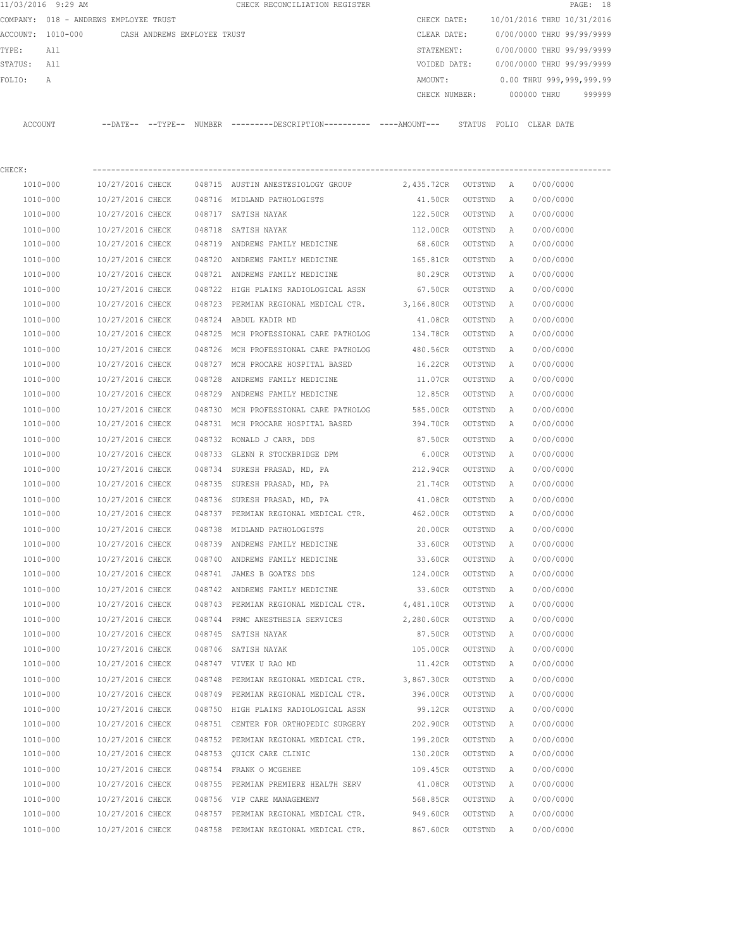|             | 11/03/2016 9:29 AM                            |                  |        | CHECK RECONCILIATION REGISTER                                                                |               |         |   |                            | PAGE: 18 |
|-------------|-----------------------------------------------|------------------|--------|----------------------------------------------------------------------------------------------|---------------|---------|---|----------------------------|----------|
|             | COMPANY: 018 - ANDREWS EMPLOYEE TRUST         |                  |        |                                                                                              | CHECK DATE:   |         |   | 10/01/2016 THRU 10/31/2016 |          |
|             | ACCOUNT: 1010-000 CASH ANDREWS EMPLOYEE TRUST |                  |        |                                                                                              | CLEAR DATE:   |         |   | 0/00/0000 THRU 99/99/9999  |          |
| TYPE:       | All                                           |                  |        |                                                                                              | STATEMENT:    |         |   | 0/00/0000 THRU 99/99/9999  |          |
| STATUS: All |                                               |                  |        |                                                                                              | VOIDED DATE:  |         |   | 0/00/0000 THRU 99/99/9999  |          |
| FOLIO:      | Α                                             |                  |        |                                                                                              | AMOUNT:       |         |   | 0.00 THRU 999,999,999.99   |          |
|             |                                               |                  |        |                                                                                              | CHECK NUMBER: |         |   | 000000 THRU                | 999999   |
|             | ACCOUNT                                       |                  |        | --DATE-- --TYPE-- NUMBER ---------DESCRIPTION---------- ----AMOUNT--- STATUS FOLIO CLEARDATE |               |         |   |                            |          |
| CHECK:      |                                               |                  |        |                                                                                              |               |         |   |                            |          |
|             | 1010-000                                      | 10/27/2016 CHECK |        | 048715 AUSTIN ANESTESIOLOGY GROUP 2,435.72CR OUTSTND A                                       |               |         |   | 0/00/0000                  |          |
|             | 1010-000                                      | 10/27/2016 CHECK |        | 048716 MIDLAND PATHOLOGISTS                                                                  | 41.50CR       | OUTSTND | A | 0/00/0000                  |          |
|             | 1010-000                                      | 10/27/2016 CHECK |        | 048717 SATISH NAYAK                                                                          | 122.50CR      | OUTSTND | A | 0/00/0000                  |          |
|             | 1010-000                                      | 10/27/2016 CHECK |        | 048718 SATISH NAYAK                                                                          | 112.00CR      | OUTSTND | A | 0/00/0000                  |          |
|             | 1010-000                                      | 10/27/2016 CHECK |        | 048719 ANDREWS FAMILY MEDICINE                                                               | 68.60CR       | OUTSTND | A | 0/00/0000                  |          |
|             | 1010-000                                      | 10/27/2016 CHECK |        | 048720 ANDREWS FAMILY MEDICINE                                                               | 165.81CR      | OUTSTND | A | 0/00/0000                  |          |
|             | 1010-000                                      | 10/27/2016 CHECK |        | 048721 ANDREWS FAMILY MEDICINE                                                               | 80.29CR       | OUTSTND | A | 0/00/0000                  |          |
|             | 1010-000                                      | 10/27/2016 CHECK |        | 048722 HIGH PLAINS RADIOLOGICAL ASSN                                                         | 67.50CR       | OUTSTND | A | 0/00/0000                  |          |
|             | 1010-000                                      | 10/27/2016 CHECK |        | 048723 PERMIAN REGIONAL MEDICAL CTR. 3,166.80CR                                              |               | OUTSTND | A | 0/00/0000                  |          |
|             | 1010-000                                      | 10/27/2016 CHECK |        | 048724 ABDUL KADIR MD                                                                        | 41.08CR       | OUTSTND | A | 0/00/0000                  |          |
|             | 1010-000                                      | 10/27/2016 CHECK |        | 048725 MCH PROFESSIONAL CARE PATHOLOG 134.78CR                                               |               | OUTSTND | A | 0/00/0000                  |          |
|             | 1010-000                                      | 10/27/2016 CHECK |        | 048726 MCH PROFESSIONAL CARE PATHOLOG                                                        | 480.56CR      | OUTSTND | Α | 0/00/0000                  |          |
|             | 1010-000                                      | 10/27/2016 CHECK |        | 048727 MCH PROCARE HOSPITAL BASED                                                            | 16.22CR       | OUTSTND | Α | 0/00/0000                  |          |
|             | 1010-000                                      | 10/27/2016 CHECK |        | 048728 ANDREWS FAMILY MEDICINE                                                               | 11.07CR       | OUTSTND | A | 0/00/0000                  |          |
|             | 1010-000                                      | 10/27/2016 CHECK |        | 048729 ANDREWS FAMILY MEDICINE                                                               | 12.85CR       | OUTSTND | A | 0/00/0000                  |          |
|             | 1010-000                                      | 10/27/2016 CHECK |        | 048730 MCH PROFESSIONAL CARE PATHOLOG                                                        | 585.00CR      | OUTSTND | Α | 0/00/0000                  |          |
|             | 1010-000                                      | 10/27/2016 CHECK |        | 048731 MCH PROCARE HOSPITAL BASED                                                            | 394.70CR      | OUTSTND | A | 0/00/0000                  |          |
|             | 1010-000                                      | 10/27/2016 CHECK |        | 048732 RONALD J CARR, DDS                                                                    | 87.50CR       | OUTSTND | A | 0/00/0000                  |          |
|             | 1010-000                                      | 10/27/2016 CHECK |        | 048733 GLENN R STOCKBRIDGE DPM                                                               | 6.00CR        | OUTSTND | A | 0/00/0000                  |          |
|             | 1010-000                                      | 10/27/2016 CHECK |        | 048734 SURESH PRASAD, MD, PA                                                                 | 212.94CR      | OUTSTND | A | 0/00/0000                  |          |
|             | 1010-000                                      | 10/27/2016 CHECK |        | 048735 SURESH PRASAD, MD, PA                                                                 | 21.74CR       | OUTSTND | A | 0/00/0000                  |          |
|             | 1010-000                                      | 10/27/2016 CHECK |        | 048736 SURESH PRASAD, MD, PA                                                                 | 41.08CR       | OUTSTND | Α | 0/00/0000                  |          |
|             | 1010-000                                      | 10/27/2016 CHECK |        | 048737 PERMIAN REGIONAL MEDICAL CTR. 462.00CR                                                |               | OUTSTND | Α | 0/00/0000                  |          |
|             | 1010-000                                      | 10/27/2016 CHECK |        | 048738 MIDLAND PATHOLOGISTS                                                                  | 20.00CR       | OUTSTND | A | 0/00/0000                  |          |
|             | 1010-000                                      | 10/27/2016 CHECK |        | 048739 ANDREWS FAMILY MEDICINE                                                               | 33.60CR       | OUTSTND | A | 0/00/0000                  |          |
|             | $1010 - 000$                                  | 10/27/2016 CHECK |        | 048740 ANDREWS FAMILY MEDICINE                                                               | 33.60CR       | OUTSTND | Α | 0/00/0000                  |          |
|             | 1010-000                                      | 10/27/2016 CHECK |        | 048741 JAMES B GOATES DDS                                                                    | 124.00CR      | OUTSTND | Α | 0/00/0000                  |          |
|             | 1010-000                                      | 10/27/2016 CHECK |        | 048742 ANDREWS FAMILY MEDICINE                                                               | 33.60CR       | OUTSTND | Α | 0/00/0000                  |          |
|             | 1010-000                                      | 10/27/2016 CHECK |        | 048743 PERMIAN REGIONAL MEDICAL CTR.                                                         | 4,481.10CR    | OUTSTND | Α | 0/00/0000                  |          |
|             | $1010 - 000$                                  | 10/27/2016 CHECK |        | 048744 PRMC ANESTHESIA SERVICES                                                              | 2,280.60CR    | OUTSTND | Α | 0/00/0000                  |          |
|             | 1010-000                                      | 10/27/2016 CHECK |        | 048745 SATISH NAYAK                                                                          | 87.50CR       | OUTSTND | Α | 0/00/0000                  |          |
|             | $1010 - 000$                                  | 10/27/2016 CHECK |        | 048746 SATISH NAYAK                                                                          | 105.00CR      | OUTSTND | Α | 0/00/0000                  |          |
|             | 1010-000                                      | 10/27/2016 CHECK |        | 048747 VIVEK U RAO MD                                                                        | 11.42CR       | OUTSTND | Α | 0/00/0000                  |          |
|             | $1010 - 000$                                  | 10/27/2016 CHECK | 048748 | PERMIAN REGIONAL MEDICAL CTR.                                                                | 3,867.30CR    | OUTSTND | Α | 0/00/0000                  |          |
|             | 1010-000                                      | 10/27/2016 CHECK |        | 048749 PERMIAN REGIONAL MEDICAL CTR.                                                         | 396.00CR      | OUTSTND | Α | 0/00/0000                  |          |
|             | 1010-000                                      | 10/27/2016 CHECK |        | 048750 HIGH PLAINS RADIOLOGICAL ASSN                                                         | 99.12CR       | OUTSTND | Α | 0/00/0000                  |          |
|             | 1010-000                                      | 10/27/2016 CHECK |        | 048751 CENTER FOR ORTHOPEDIC SURGERY                                                         | 202.90CR      | OUTSTND | Α | 0/00/0000                  |          |
|             | 1010-000                                      | 10/27/2016 CHECK |        | 048752 PERMIAN REGIONAL MEDICAL CTR.                                                         | 199.20CR      | OUTSTND | Α | 0/00/0000                  |          |
|             | 1010-000                                      | 10/27/2016 CHECK |        | 048753 QUICK CARE CLINIC                                                                     | 130.20CR      | OUTSTND | Α | 0/00/0000                  |          |
|             | 1010-000                                      | 10/27/2016 CHECK |        | 048754 FRANK O MCGEHEE                                                                       | 109.45CR      | OUTSTND | Α | 0/00/0000                  |          |
|             | 1010-000                                      | 10/27/2016 CHECK |        | 048755 PERMIAN PREMIERE HEALTH SERV                                                          | 41.08CR       | OUTSTND | Α | 0/00/0000                  |          |
|             | 1010-000                                      | 10/27/2016 CHECK |        | 048756 VIP CARE MANAGEMENT                                                                   | 568.85CR      | OUTSTND | Α | 0/00/0000                  |          |
|             | 1010-000                                      | 10/27/2016 CHECK |        | 048757 PERMIAN REGIONAL MEDICAL CTR.                                                         | 949.60CR      | OUTSTND | Α | 0/00/0000                  |          |
|             | 1010-000                                      | 10/27/2016 CHECK |        | 048758 PERMIAN REGIONAL MEDICAL CTR.                                                         | 867.60CR      | OUTSTND | Α | 0/00/0000                  |          |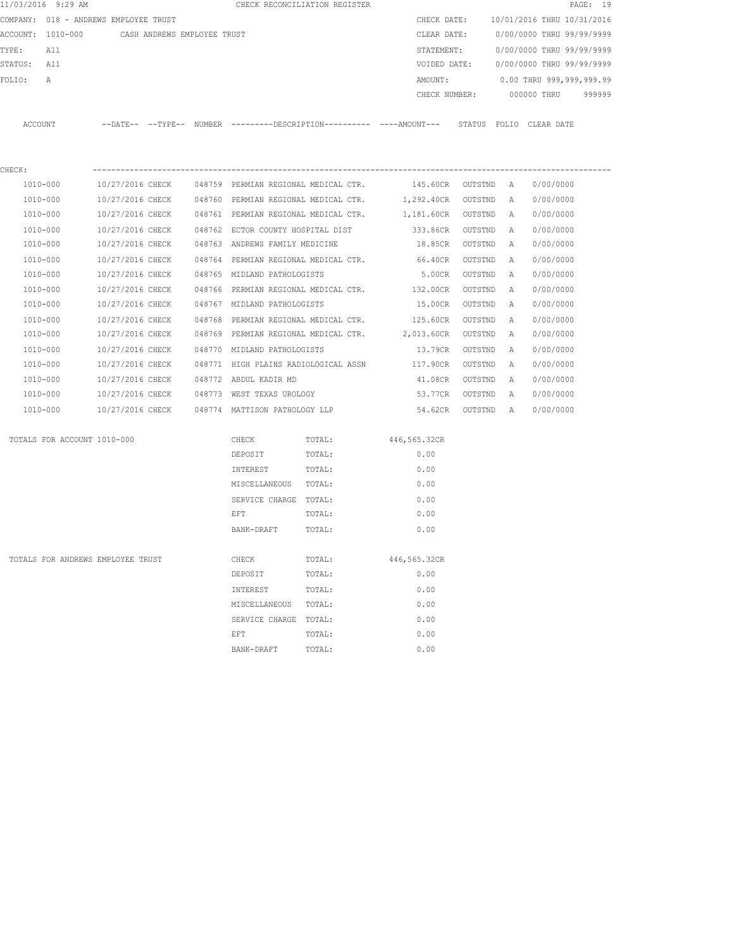| 11/03/2016 9:29 AM                            |                  |  |                                                | CHECK RECONCILIATION REGISTER |                                                                                              |         |          | PAGE: 19                   |  |
|-----------------------------------------------|------------------|--|------------------------------------------------|-------------------------------|----------------------------------------------------------------------------------------------|---------|----------|----------------------------|--|
| COMPANY: 018 - ANDREWS EMPLOYEE TRUST         |                  |  |                                                |                               | CHECK DATE:                                                                                  |         |          | 10/01/2016 THRU 10/31/2016 |  |
| ACCOUNT: 1010-000 CASH ANDREWS EMPLOYEE TRUST |                  |  |                                                |                               | CLEAR DATE:                                                                                  |         |          | 0/00/0000 THRU 99/99/9999  |  |
| TYPE:<br>All                                  |                  |  |                                                |                               | STATEMENT:                                                                                   |         |          | 0/00/0000 THRU 99/99/9999  |  |
| STATUS: All                                   |                  |  |                                                |                               | VOIDED DATE:                                                                                 |         |          | 0/00/0000 THRU 99/99/9999  |  |
| FOLIO:<br>$\mathbb{A}$                        |                  |  |                                                |                               | AMOUNT:                                                                                      |         |          | 0.00 THRU 999,999,999.99   |  |
|                                               |                  |  |                                                |                               | CHECK NUMBER:                                                                                |         |          | 000000 THRU<br>999999      |  |
| ACCOUNT                                       |                  |  |                                                |                               | --DATE-- --TYPE-- NUMBER ---------DESCRIPTION---------- ---AMOUNT--- STATUS FOLIO CLEAR-DATE |         |          |                            |  |
| CHECK:                                        |                  |  |                                                |                               |                                                                                              |         |          |                            |  |
| 1010-000                                      | 10/27/2016 CHECK |  |                                                |                               | 048759 PERMIAN REGIONAL MEDICAL CTR. 145.60CR OUTSTND A                                      |         |          | 0/00/0000                  |  |
| 1010-000                                      | 10/27/2016 CHECK |  |                                                |                               | 048760 PERMIAN REGIONAL MEDICAL CTR. 1,292.40CR OUTSTND                                      |         | A        | 0/00/0000                  |  |
| 1010-000                                      | 10/27/2016 CHECK |  | 048761 PERMIAN REGIONAL MEDICAL CTR.           |                               | 1,181.60CR OUTSTND                                                                           |         | A        | 0/00/0000                  |  |
| 1010-000                                      | 10/27/2016 CHECK |  | 048762 ECTOR COUNTY HOSPITAL DIST              |                               | 333.86CR OUTSTND                                                                             |         | A        | 0/00/0000                  |  |
| 1010-000                                      | 10/27/2016 CHECK |  | 048763 ANDREWS FAMILY MEDICINE                 |                               | 18.85CR OUTSTND                                                                              |         | A        | 0/00/0000                  |  |
| 1010-000                                      | 10/27/2016 CHECK |  | 048764 PERMIAN REGIONAL MEDICAL CTR.           |                               | 66.40CR OUTSTND                                                                              |         | A        | 0/00/0000                  |  |
| 1010-000                                      | 10/27/2016 CHECK |  | 048765 MIDLAND PATHOLOGISTS                    |                               | 5.00CR OUTSTND                                                                               |         | A        | 0/00/0000                  |  |
| 1010-000                                      | 10/27/2016 CHECK |  |                                                |                               | 048766 PERMIAN REGIONAL MEDICAL CTR. 132.00CR                                                | OUTSTND | A        | 0/00/0000                  |  |
| 1010-000                                      | 10/27/2016 CHECK |  | 048767 MIDLAND PATHOLOGISTS                    |                               | 15.00CR                                                                                      | OUTSTND | A        | 0/00/0000                  |  |
| 1010-000                                      | 10/27/2016 CHECK |  |                                                |                               | 048768 PERMIAN REGIONAL MEDICAL CTR. 125.60CR                                                | OUTSTND | <b>A</b> | 0/00/0000                  |  |
| 1010-000                                      | 10/27/2016 CHECK |  |                                                |                               | 048769 PERMIAN REGIONAL MEDICAL CTR. 2,013.60CR OUTSTND                                      |         | A        | 0/00/0000                  |  |
| 1010-000                                      | 10/27/2016 CHECK |  | 048770 MIDLAND PATHOLOGISTS                    |                               | 13.79CR OUTSTND                                                                              |         | A        | 0/00/0000                  |  |
| 1010-000                                      | 10/27/2016 CHECK |  |                                                |                               | 048771 HIGH PLAINS RADIOLOGICAL ASSN 117.90CR OUTSTND                                        |         | A        | 0/00/0000                  |  |
| 1010-000                                      | 10/27/2016 CHECK |  | 048772 ABDUL KADIR MD                          |                               | 41.08CR                                                                                      | OUTSTND | A        | 0/00/0000                  |  |
| 1010-000                                      | 10/27/2016 CHECK |  | 048773 WEST TEXAS UROLOGY                      |                               | 53.77CR OUTSTND                                                                              |         | A        | 0/00/0000                  |  |
| 1010-000                                      |                  |  | 10/27/2016 CHECK 048774 MATTISON PATHOLOGY LLP |                               | 54.62CR OUTSTND A                                                                            |         |          | 0/00/0000                  |  |
| TOTALS FOR ACCOUNT 1010-000                   |                  |  | CHECK                                          | TOTAL:                        | 446,565.32CR                                                                                 |         |          |                            |  |
|                                               |                  |  | DEPOSIT                                        | TOTAL:                        | 0.00                                                                                         |         |          |                            |  |
|                                               |                  |  | INTEREST                                       | TOTAL:                        | 0.00                                                                                         |         |          |                            |  |
|                                               |                  |  | MISCELLANEOUS TOTAL:                           |                               | 0.00                                                                                         |         |          |                            |  |
|                                               |                  |  | SERVICE CHARGE TOTAL:                          |                               | 0.00                                                                                         |         |          |                            |  |
|                                               |                  |  | EFT                                            | TOTAL:                        | 0.00                                                                                         |         |          |                            |  |
|                                               |                  |  | BANK-DRAFT                                     | TOTAL:                        | 0.00                                                                                         |         |          |                            |  |
| TOTALS FOR ANDREWS EMPLOYEE TRUST             |                  |  | CHECK                                          | TOTAL:                        | 446,565.32CR                                                                                 |         |          |                            |  |
|                                               |                  |  | DEPOSIT                                        | TOTAL:                        | 0.00                                                                                         |         |          |                            |  |
|                                               |                  |  | INTEREST                                       | TOTAL:                        | 0.00                                                                                         |         |          |                            |  |
|                                               |                  |  | MISCELLANEOUS                                  | TOTAL:                        | 0.00                                                                                         |         |          |                            |  |
|                                               |                  |  | SERVICE CHARGE TOTAL:                          |                               | 0.00                                                                                         |         |          |                            |  |
|                                               |                  |  | EFT                                            | TOTAL:                        | 0.00                                                                                         |         |          |                            |  |
|                                               |                  |  | BANK-DRAFT                                     | TOTAL:                        | 0.00                                                                                         |         |          |                            |  |
|                                               |                  |  |                                                |                               |                                                                                              |         |          |                            |  |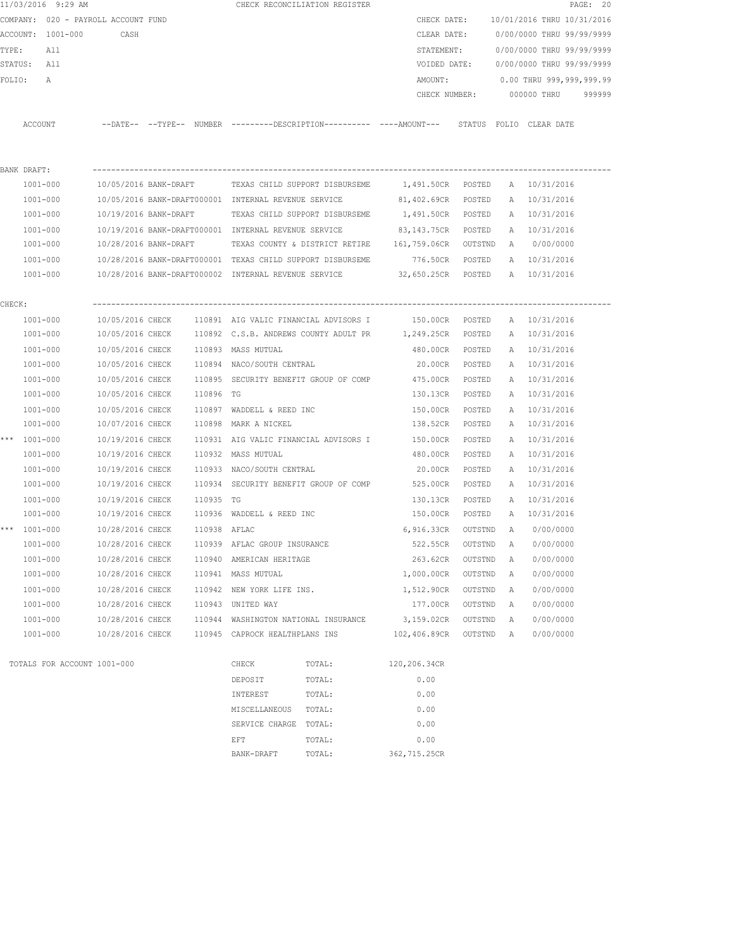|        | 11/03/2016 9:29 AM                  |                  |              |                                            | CHECK RECONCILIATION REGISTER                          |                                                                                             |         |   |                            | PAGE: 20 |
|--------|-------------------------------------|------------------|--------------|--------------------------------------------|--------------------------------------------------------|---------------------------------------------------------------------------------------------|---------|---|----------------------------|----------|
|        | COMPANY: 020 - PAYROLL ACCOUNT FUND |                  |              |                                            |                                                        | CHECK DATE:                                                                                 |         |   | 10/01/2016 THRU 10/31/2016 |          |
|        | ACCOUNT: 1001-000                   | CASH             |              |                                            |                                                        | CLEAR DATE:                                                                                 |         |   | 0/00/0000 THRU 99/99/9999  |          |
| TYPE:  | All                                 |                  |              |                                            |                                                        | STATEMENT:                                                                                  |         |   | 0/00/0000 THRU 99/99/9999  |          |
|        | STATUS: All                         |                  |              |                                            |                                                        | VOIDED DATE:                                                                                |         |   | 0/00/0000 THRU 99/99/9999  |          |
|        | FOLIO:<br>А                         |                  |              |                                            |                                                        | AMOUNT:                                                                                     |         |   | $0.00$ THRU 999,999,999.99 |          |
|        |                                     |                  |              |                                            |                                                        |                                                                                             |         |   | CHECK NUMBER: 000000 THRU  | 999999   |
|        |                                     |                  |              |                                            |                                                        |                                                                                             |         |   |                            |          |
|        | ACCOUNT                             |                  |              |                                            |                                                        | --DATE-- --TYPE-- NUMBER --------DESCRIPTION---------- ---AMOUNT--- STATUS FOLIO CLEAR-DATE |         |   |                            |          |
|        | BANK DRAFT:                         |                  |              |                                            |                                                        |                                                                                             |         |   |                            |          |
|        | 1001-000                            |                  |              |                                            | 10/05/2016 BANK-DRAFT TEXAS CHILD SUPPORT DISBURSEME   | 1,491.50CR POSTED A 10/31/2016                                                              |         |   |                            |          |
|        | 1001-000                            |                  |              |                                            | 10/05/2016 BANK-DRAFT000001 INTERNAL REVENUE SERVICE   | 81,402.69CR POSTED                                                                          |         |   | A 10/31/2016               |          |
|        | 1001-000                            |                  |              |                                            | 10/19/2016 BANK-DRAFT TEXAS CHILD SUPPORT DISBURSEME   | 1,491.50CR POSTED                                                                           |         |   | A 10/31/2016               |          |
|        | 1001-000                            |                  |              |                                            | 10/19/2016 BANK-DRAFT000001 INTERNAL REVENUE SERVICE   | 83,143.75CR POSTED                                                                          |         |   | A 10/31/2016               |          |
|        | 1001-000                            |                  |              |                                            |                                                        | 10/28/2016 BANK-DRAFT TEXAS COUNTY & DISTRICT RETIRE 161,759.06CR OUTSTND A 0/00/0000       |         |   |                            |          |
|        | 1001-000                            |                  |              |                                            |                                                        | 10/28/2016 BANK-DRAFT000001 TEXAS CHILD SUPPORT DISBURSEME 776.50CR POSTED                  |         |   | A 10/31/2016               |          |
|        | 1001-000                            |                  |              |                                            |                                                        | 10/28/2016 BANK-DRAFT000002 INTERNAL REVENUE SERVICE 32,650.25CR POSTED A 10/31/2016        |         |   |                            |          |
| CHECK: |                                     |                  |              |                                            |                                                        |                                                                                             |         |   |                            |          |
|        | $1001 - 000$                        |                  |              |                                            | 10/05/2016 CHECK 110891 AIG VALIC FINANCIAL ADVISORS I | 150.00CR POSTED                                                                             |         |   | A 10/31/2016               |          |
|        | 1001-000                            |                  |              |                                            | 10/05/2016 CHECK 110892 C.S.B. ANDREWS COUNTY ADULT PR | 1,249.25CR POSTED                                                                           |         |   | A 10/31/2016               |          |
|        | 1001-000                            |                  |              | 10/05/2016 CHECK 110893 MASS MUTUAL        |                                                        | 480.00CR POSTED                                                                             |         |   | A 10/31/2016               |          |
|        | 1001-000                            | 10/05/2016 CHECK |              | 110894 NACO/SOUTH CENTRAL                  |                                                        | 20.00CR POSTED                                                                              |         |   | A 10/31/2016               |          |
|        | 1001-000                            | 10/05/2016 CHECK |              |                                            | 110895 SECURITY BENEFIT GROUP OF COMP                  | 475.00CR                                                                                    | POSTED  |   | A 10/31/2016               |          |
|        | 1001-000                            | 10/05/2016 CHECK | 110896 TG    |                                            |                                                        | 130.13CR POSTED                                                                             |         |   | A 10/31/2016               |          |
|        | 1001-000                            | 10/05/2016 CHECK |              | 110897 WADDELL & REED INC                  |                                                        | 150.00CR                                                                                    | POSTED  |   | A 10/31/2016               |          |
|        | 1001-000                            | 10/07/2016 CHECK |              | 110898 MARK A NICKEL                       |                                                        | 138.52CR POSTED                                                                             |         |   | A 10/31/2016               |          |
|        | *** 1001-000                        | 10/19/2016 CHECK |              |                                            | 110931 AIG VALIC FINANCIAL ADVISORS I                  | 150.00CR                                                                                    | POSTED  |   | A 10/31/2016               |          |
|        | 1001-000                            | 10/19/2016 CHECK |              | 110932 MASS MUTUAL                         |                                                        | 480.00CR                                                                                    | POSTED  |   | A 10/31/2016               |          |
|        | 1001-000                            | 10/19/2016 CHECK |              | 110933 NACO/SOUTH CENTRAL                  |                                                        | 20.00CR                                                                                     | POSTED  |   | A 10/31/2016               |          |
|        | $1001 - 000$                        |                  |              |                                            |                                                        | 10/19/2016 CHECK 110934 SECURITY BENEFIT GROUP OF COMP 525.00CR                             | POSTED  |   | A 10/31/2016               |          |
|        |                                     | 10/19/2016 CHECK |              |                                            |                                                        |                                                                                             |         |   |                            |          |
|        | 1001-000                            |                  | 110935 TG    | 10/19/2016 CHECK 110936 WADDELL & REED INC |                                                        | 130.13CR POSTED                                                                             |         |   | A 10/31/2016               |          |
|        | 1001-000                            |                  | 110938 AFLAC |                                            |                                                        | 150.00CR POSTED                                                                             |         |   | A 10/31/2016               |          |
|        | *** 1001-000                        | 10/28/2016 CHECK |              |                                            |                                                        | 6,916.33CR OUTSTND                                                                          |         |   | A 0/00/0000                |          |
|        | $1001 - 000$                        | 10/28/2016 CHECK |              | 110939 AFLAC GROUP INSURANCE               |                                                        | 522.55CR                                                                                    | OUTSTND | Α | 0/00/0000                  |          |
|        | $1001 - 000$                        | 10/28/2016 CHECK |              | 110940 AMERICAN HERITAGE                   |                                                        | 263.62CR                                                                                    | OUTSTND | Α | 0/00/0000                  |          |
|        | $1001 - 000$                        | 10/28/2016 CHECK |              | 110941 MASS MUTUAL                         |                                                        | 1,000.00CR                                                                                  | OUTSTND | Α | 0/00/0000                  |          |
|        | $1001 - 000$                        | 10/28/2016 CHECK |              | 110942 NEW YORK LIFE INS.                  |                                                        | 1,512.90CR                                                                                  | OUTSTND | Α | 0/00/0000                  |          |
|        | 1001-000                            | 10/28/2016 CHECK |              | 110943 UNITED WAY                          |                                                        | 177.00CR                                                                                    | OUTSTND | Α | 0/00/0000                  |          |
|        | $1001 - 000$                        | 10/28/2016 CHECK | 110944       | WASHINGTON NATIONAL INSURANCE              |                                                        | 3,159.02CR                                                                                  | OUTSTND | Α | 0/00/0000                  |          |
|        | 1001-000                            | 10/28/2016 CHECK |              | 110945 CAPROCK HEALTHPLANS INS             |                                                        | 102,406.89CR                                                                                | OUTSTND | Α | 0/00/0000                  |          |
|        | TOTALS FOR ACCOUNT 1001-000         |                  |              | CHECK                                      | TOTAL:                                                 | 120,206.34CR                                                                                |         |   |                            |          |
|        |                                     |                  |              | DEPOSIT                                    | TOTAL:                                                 | 0.00                                                                                        |         |   |                            |          |
|        |                                     |                  |              | INTEREST                                   | TOTAL:                                                 | 0.00                                                                                        |         |   |                            |          |
|        |                                     |                  |              | MISCELLANEOUS                              | TOTAL:                                                 | 0.00                                                                                        |         |   |                            |          |
|        |                                     |                  |              | SERVICE CHARGE                             | TOTAL:                                                 | 0.00                                                                                        |         |   |                            |          |
|        |                                     |                  |              | EFT                                        | TOTAL:                                                 | 0.00                                                                                        |         |   |                            |          |

BANK-DRAFT TOTAL: 362,715.25CR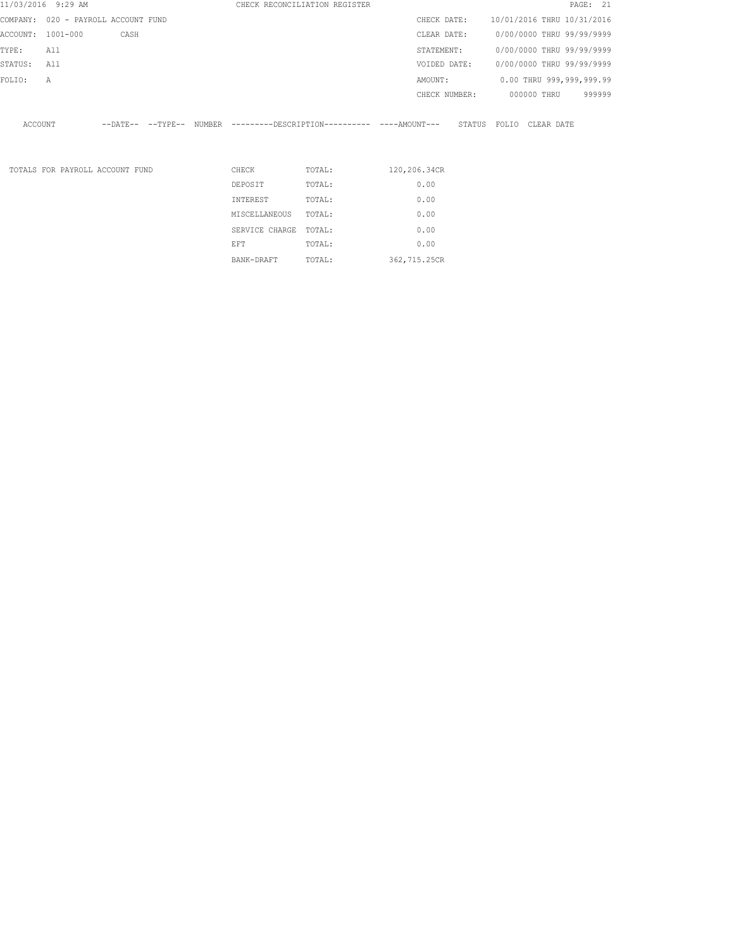|          | 11/03/2016 9:29 AM                  |      |  |                | CHECK RECONCILIATION REGISTER                                         |               |                            |             |                           | PAGE: 21 |
|----------|-------------------------------------|------|--|----------------|-----------------------------------------------------------------------|---------------|----------------------------|-------------|---------------------------|----------|
|          | COMPANY: 020 - PAYROLL ACCOUNT FUND |      |  |                |                                                                       | CHECK DATE:   | 10/01/2016 THRU 10/31/2016 |             |                           |          |
| ACCOUNT: | $1001 - 000$                        | CASH |  |                |                                                                       | CLEAR DATE:   | 0/00/0000 THRU 99/99/9999  |             |                           |          |
| TYPE:    | All                                 |      |  |                |                                                                       | STATEMENT:    |                            |             | 0/00/0000 THRU 99/99/9999 |          |
| STATUS:  | All                                 |      |  |                |                                                                       | VOIDED DATE:  |                            |             | 0/00/0000 THRU 99/99/9999 |          |
| FOLIO:   | Α                                   |      |  |                |                                                                       | AMOUNT:       |                            |             | 0.00 THRU 999,999,999.99  |          |
|          |                                     |      |  |                |                                                                       | CHECK NUMBER: |                            | 000000 THRU |                           | 999999   |
|          |                                     |      |  |                |                                                                       |               |                            |             |                           |          |
| ACCOUNT  |                                     |      |  |                | --DATE-- --TYPE-- NUMBER ---------DESCRIPTION---------- ----AMOUNT--- |               | STATUS FOLIO CLEAR DATE    |             |                           |          |
|          |                                     |      |  |                |                                                                       |               |                            |             |                           |          |
|          |                                     |      |  |                |                                                                       |               |                            |             |                           |          |
|          | TOTALS FOR PAYROLL ACCOUNT FUND     |      |  | CHECK          | TOTAL:                                                                | 120,206.34CR  |                            |             |                           |          |
|          |                                     |      |  | DEPOSIT        | TOTAL:                                                                | 0.00          |                            |             |                           |          |
|          |                                     |      |  | INTEREST       | TOTAL:                                                                | 0.00          |                            |             |                           |          |
|          |                                     |      |  | MISCELLANEOUS  | TOTAL:                                                                | 0.00          |                            |             |                           |          |
|          |                                     |      |  | SERVICE CHARGE | TOTAL:                                                                | 0.00          |                            |             |                           |          |
|          |                                     |      |  | EFT            | TOTAL:                                                                | 0.00          |                            |             |                           |          |

BANK-DRAFT TOTAL: 362,715.25CR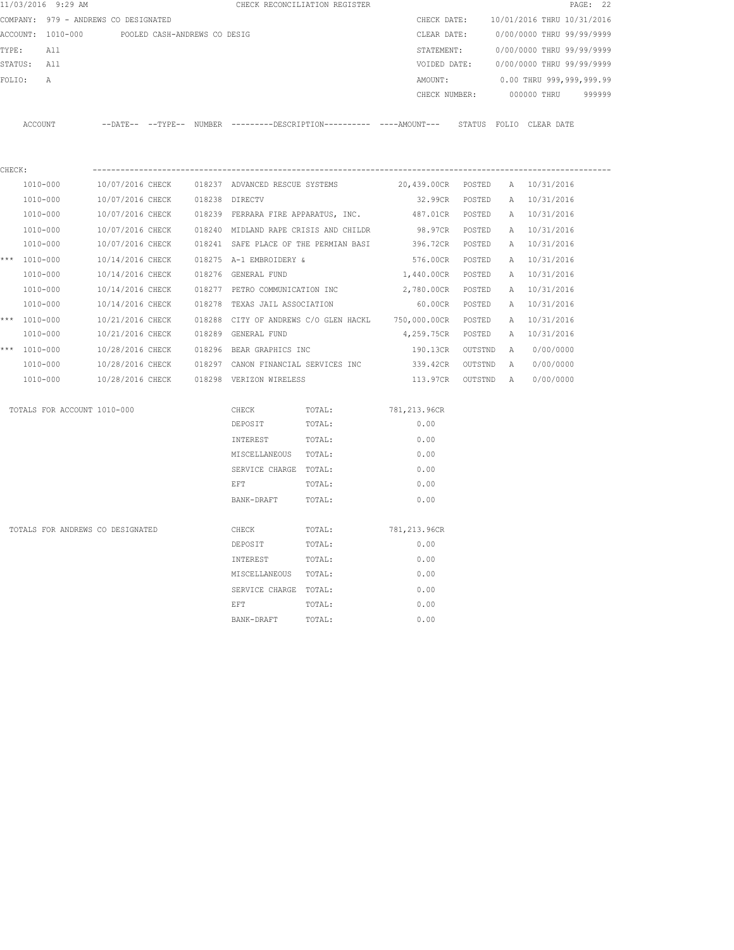|        | 11/03/2016 9:29 AM                   |                  |                              |                                                 | CHECK RECONCILIATION REGISTER                                                                 |                                 |  |                                        | PAGE: 22 |
|--------|--------------------------------------|------------------|------------------------------|-------------------------------------------------|-----------------------------------------------------------------------------------------------|---------------------------------|--|----------------------------------------|----------|
|        | COMPANY: 979 - ANDREWS CO DESIGNATED |                  |                              |                                                 |                                                                                               |                                 |  | CHECK DATE: 10/01/2016 THRU 10/31/2016 |          |
|        | ACCOUNT: 1010-000                    |                  | POOLED CASH-ANDREWS CO DESIG |                                                 |                                                                                               | CLEAR DATE:                     |  | 0/00/0000 THRU 99/99/9999              |          |
|        | TYPE: All                            |                  |                              |                                                 |                                                                                               | STATEMENT:                      |  | 0/00/0000 THRU 99/99/9999              |          |
|        | STATUS: All                          |                  |                              |                                                 |                                                                                               | VOIDED DATE:                    |  | 0/00/0000 THRU 99/99/9999              |          |
|        | FOLIO:<br>А                          |                  |                              |                                                 |                                                                                               | AMOUNT:                         |  | 0.00 THRU 999,999,999.99               |          |
|        |                                      |                  |                              |                                                 |                                                                                               |                                 |  | CHECK NUMBER: 000000 THRU 999999       |          |
|        | ACCOUNT                              |                  |                              |                                                 | --DATE-- --TYPE-- NUMBER ---------DESCRIPTION---------- ----AMOUNT--- STATUS FOLIO CLEAR DATE |                                 |  |                                        |          |
| CHECK: |                                      |                  |                              |                                                 |                                                                                               |                                 |  |                                        |          |
|        | 1010-000                             |                  |                              | 10/07/2016 CHECK 018237 ADVANCED RESCUE SYSTEMS |                                                                                               | 20,439.00CR POSTED A 10/31/2016 |  |                                        |          |
|        | 1010-000                             | 10/07/2016 CHECK |                              | 018238 DIRECTV                                  |                                                                                               | 32.99CR POSTED                  |  | A 10/31/2016                           |          |
|        | 1010-000                             |                  |                              |                                                 | 10/07/2016 CHECK 018239 FERRARA FIRE APPARATUS, INC.                                          | 487.01CR POSTED A 10/31/2016    |  |                                        |          |
|        | 1010-000                             |                  |                              |                                                 | 10/07/2016 CHECK 018240 MIDLAND RAPE CRISIS AND CHILDR                                        |                                 |  | 98.97CR POSTED A 10/31/2016            |          |
|        | 1010-000                             |                  |                              |                                                 | 10/07/2016 CHECK 018241 SAFE PLACE OF THE PERMIAN BASI                                        |                                 |  | 396.72CR POSTED A 10/31/2016           |          |
|        | *** 1010-000                         | 10/14/2016 CHECK |                              | 018275 A-1 EMBROIDERY &                         |                                                                                               |                                 |  | 576.00CR POSTED A 10/31/2016           |          |
|        | 1010-000                             | 10/14/2016 CHECK |                              | 018276 GENERAL FUND                             |                                                                                               | 1,440.00CR POSTED               |  | A 10/31/2016                           |          |
|        | 1010-000                             | 10/14/2016 CHECK |                              | 018277 PETRO COMMUNICATION INC                  |                                                                                               | 2,780.00CR POSTED               |  | A 10/31/2016                           |          |
|        | 1010-000                             |                  |                              | 10/14/2016 CHECK 018278 TEXAS JAIL ASSOCIATION  |                                                                                               | 60.00CR POSTED                  |  | A 10/31/2016                           |          |
|        | *** $1010 - 000$                     |                  |                              |                                                 | 10/21/2016 CHECK 018288 CITY OF ANDREWS C/O GLEN HACKL 750,000.00CR POSTED                    |                                 |  | A 10/31/2016                           |          |
|        | 1010-000                             | 10/21/2016 CHECK |                              | 018289 GENERAL FUND                             |                                                                                               | 4,259.75CR POSTED               |  | A 10/31/2016                           |          |
|        | *** 1010-000                         | 10/28/2016 CHECK |                              | 018296 BEAR GRAPHICS INC                        |                                                                                               |                                 |  | 190.13CR OUTSTND A 0/00/0000           |          |
|        | 1010-000                             |                  |                              |                                                 | 10/28/2016 CHECK 018297 CANON FINANCIAL SERVICES INC                                          |                                 |  | 339.42CR OUTSTND A 0/00/0000           |          |
|        | 1010-000                             |                  |                              | 10/28/2016 CHECK 018298 VERIZON WIRELESS        |                                                                                               |                                 |  | 113.97CR OUTSTND A 0/00/0000           |          |
|        | TOTALS FOR ACCOUNT 1010-000          |                  |                              | CHECK                                           | TOTAL:                                                                                        | 781,213.96CR                    |  |                                        |          |
|        |                                      |                  |                              | DEPOSIT                                         | TOTAL:                                                                                        | 0.00                            |  |                                        |          |
|        |                                      |                  |                              | INTEREST                                        | TOTAL:                                                                                        | 0.00                            |  |                                        |          |
|        |                                      |                  |                              | MISCELLANEOUS TOTAL:                            |                                                                                               | 0.00                            |  |                                        |          |
|        |                                      |                  |                              | SERVICE CHARGE TOTAL:                           |                                                                                               | 0.00                            |  |                                        |          |
|        |                                      |                  |                              | EFT                                             | TOTAL:                                                                                        | 0.00                            |  |                                        |          |
|        |                                      |                  |                              | BANK-DRAFT                                      | TOTAL:                                                                                        | 0.00                            |  |                                        |          |
|        | TOTALS FOR ANDREWS CO DESIGNATED     |                  |                              | CHECK                                           | TOTAL:                                                                                        | 781,213.96CR                    |  |                                        |          |
|        |                                      |                  |                              | DEPOSIT                                         | TOTAL:                                                                                        | 0.00                            |  |                                        |          |
|        |                                      |                  |                              | INTEREST                                        | TOTAL:                                                                                        | 0.00                            |  |                                        |          |
|        |                                      |                  |                              | MISCELLANEOUS TOTAL:                            |                                                                                               | 0.00                            |  |                                        |          |
|        |                                      |                  |                              | SERVICE CHARGE TOTAL:                           |                                                                                               | 0.00                            |  |                                        |          |
|        |                                      |                  |                              | <b>EFT</b>                                      | TOTAL:                                                                                        | 0.00                            |  |                                        |          |
|        |                                      |                  |                              | BANK-DRAFT                                      | TOTAL:                                                                                        | 0.00                            |  |                                        |          |
|        |                                      |                  |                              |                                                 |                                                                                               |                                 |  |                                        |          |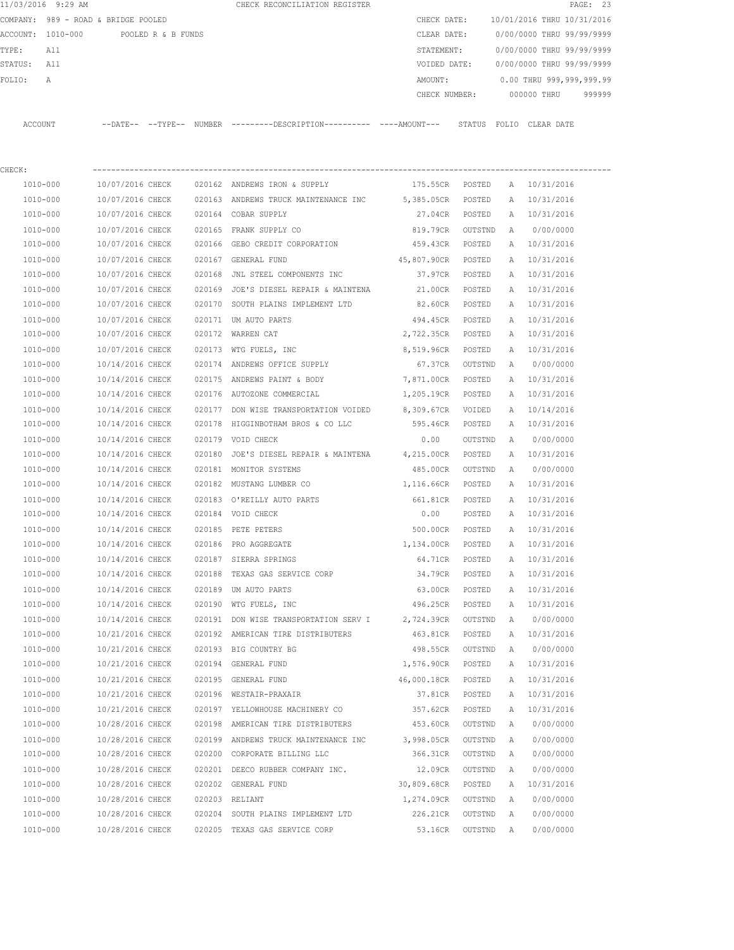|                | 11/03/2016 9:29 AM                  |                            |                    |               | CHECK RECONCILIATION REGISTER |               |        |                            |             | PAGE: 23 |        |
|----------------|-------------------------------------|----------------------------|--------------------|---------------|-------------------------------|---------------|--------|----------------------------|-------------|----------|--------|
|                | COMPANY: 989 - ROAD & BRIDGE POOLED |                            |                    |               |                               | CHECK DATE:   |        | 10/01/2016 THRU 10/31/2016 |             |          |        |
|                | ACCOUNT: 1010-000                   |                            | POOLED R & B FUNDS |               |                               | CLEAR DATE:   |        | 0/00/0000 THRU 99/99/9999  |             |          |        |
| TYPE:          | All                                 |                            |                    |               |                               | STATEMENT:    |        | 0/00/0000 THRU 99/99/9999  |             |          |        |
| STATUS:        | All                                 |                            |                    |               |                               | VOIDED DATE:  |        | 0/00/0000 THRU 99/99/9999  |             |          |        |
| FOLTO:         | A                                   |                            |                    |               |                               | AMOUNT:       |        | 0.00 THRU 999,999,999.99   |             |          |        |
|                |                                     |                            |                    |               |                               | CHECK NUMBER: |        |                            | 000000 THRU |          | 999999 |
|                |                                     |                            |                    |               |                               |               |        |                            |             |          |        |
| <b>ACCOUNT</b> |                                     | $--$ DATE $- --$ TYPE $--$ |                    | <b>NUMBER</b> |                               |               | STATUS | FOLTO                      | CLEAR DATE  |          |        |

| CHECK:       |                  |        |                                                        |                    |         |              |              |
|--------------|------------------|--------|--------------------------------------------------------|--------------------|---------|--------------|--------------|
| 1010-000     | 10/07/2016 CHECK |        | 020162 ANDREWS IRON & SUPPLY                           | 175.55CR POSTED    |         |              | A 10/31/2016 |
| 1010-000     | 10/07/2016 CHECK |        | 020163 ANDREWS TRUCK MAINTENANCE INC 5,385.05CR POSTED |                    |         | A            | 10/31/2016   |
| 1010-000     | 10/07/2016 CHECK |        | 020164 COBAR SUPPLY                                    | 27.04CR POSTED     |         |              | A 10/31/2016 |
| 1010-000     | 10/07/2016 CHECK |        | 020165 FRANK SUPPLY CO                                 | 819.79CR OUTSTND   |         | A            | 0/00/0000    |
| 1010-000     | 10/07/2016 CHECK |        | 020166 GEBO CREDIT CORPORATION                         | 459.43CR POSTED    |         |              | A 10/31/2016 |
| 1010-000     | 10/07/2016 CHECK |        | 020167 GENERAL FUND                                    | 45,807.90CR POSTED |         |              | A 10/31/2016 |
| 1010-000     | 10/07/2016 CHECK |        | 020168 JNL STEEL COMPONENTS INC                        | 37.97CR POSTED     |         |              | A 10/31/2016 |
| 1010-000     | 10/07/2016 CHECK |        | 020169 JOE'S DIESEL REPAIR & MAINTENA                  | 21.00CR POSTED     |         |              | A 10/31/2016 |
| 1010-000     | 10/07/2016 CHECK |        | 020170 SOUTH PLAINS IMPLEMENT LTD                      | 82.60CR POSTED     |         | $\mathbb{A}$ | 10/31/2016   |
| 1010-000     | 10/07/2016 CHECK |        | 020171 UM AUTO PARTS                                   | 494.45CR POSTED    |         |              | A 10/31/2016 |
| 1010-000     | 10/07/2016 CHECK |        | 020172 WARREN CAT                                      | 2,722.35CR POSTED  |         |              | A 10/31/2016 |
| 1010-000     | 10/07/2016 CHECK |        | 020173 WTG FUELS, INC                                  | 8,519.96CR POSTED  |         |              | A 10/31/2016 |
| 1010-000     | 10/14/2016 CHECK |        | 020174 ANDREWS OFFICE SUPPLY                           | 67.37CR OUTSTND    |         |              | A 0/00/0000  |
| 1010-000     | 10/14/2016 CHECK |        | 020175 ANDREWS PAINT & BODY                            | 7,871.00CR POSTED  |         | A            | 10/31/2016   |
| 1010-000     | 10/14/2016 CHECK |        | 020176 AUTOZONE COMMERCIAL                             | 1,205.19CR POSTED  |         | A            | 10/31/2016   |
| 1010-000     | 10/14/2016 CHECK |        | 020177 DON WISE TRANSPORTATION VOIDED                  | 8,309.67CR VOIDED  |         |              | A 10/14/2016 |
| 1010-000     | 10/14/2016 CHECK |        | 020178 HIGGINBOTHAM BROS & CO LLC                      | 595.46CR POSTED    |         |              | A 10/31/2016 |
| 1010-000     | 10/14/2016 CHECK |        | 020179 VOID CHECK                                      | 0.00               | OUTSTND | A            | 0/00/0000    |
| 1010-000     | 10/14/2016 CHECK |        | 020180 JOE'S DIESEL REPAIR & MAINTENA                  | 4,215.00CR POSTED  |         |              | A 10/31/2016 |
| 1010-000     | 10/14/2016 CHECK |        | 020181 MONITOR SYSTEMS                                 | 485.00CR           | OUTSTND | A            | 0/00/0000    |
| 1010-000     | 10/14/2016 CHECK |        | 020182 MUSTANG LUMBER CO                               | 1,116.66CR         | POSTED  |              | A 10/31/2016 |
| 1010-000     | 10/14/2016 CHECK |        | 020183 O'REILLY AUTO PARTS                             | 661.81CR           | POSTED  |              | A 10/31/2016 |
| 1010-000     | 10/14/2016 CHECK |        | 020184 VOID CHECK                                      | 0.00               | POSTED  |              | A 10/31/2016 |
| 1010-000     | 10/14/2016 CHECK |        | 020185 PETE PETERS                                     | 500.00CR POSTED    |         |              | A 10/31/2016 |
| 1010-000     | 10/14/2016 CHECK |        | 020186 PRO AGGREGATE                                   | 1,134.00CR POSTED  |         |              | A 10/31/2016 |
| 1010-000     | 10/14/2016 CHECK |        | 020187 SIERRA SPRINGS                                  | 64.71CR            | POSTED  | A            | 10/31/2016   |
| 1010-000     | 10/14/2016 CHECK |        | 020188 TEXAS GAS SERVICE CORP                          | 34.79CR POSTED     |         | A            | 10/31/2016   |
| 1010-000     | 10/14/2016 CHECK |        | 020189 UM AUTO PARTS                                   | 63.00CR POSTED     |         | A            | 10/31/2016   |
| 1010-000     | 10/14/2016 CHECK |        | 020190 WTG FUELS, INC                                  | 496.25CR POSTED    |         |              | A 10/31/2016 |
| 1010-000     | 10/14/2016 CHECK |        | 020191 DON WISE TRANSPORTATION SERV I                  | 2,724.39CR OUTSTND |         | A            | 0/00/0000    |
| 1010-000     | 10/21/2016 CHECK |        | 020192 AMERICAN TIRE DISTRIBUTERS                      | 463.81CR POSTED    |         |              | A 10/31/2016 |
| 1010-000     | 10/21/2016 CHECK |        | 020193 BIG COUNTRY BG                                  | 498.55CR OUTSTND   |         | A            | 0/00/0000    |
| 1010-000     | 10/21/2016 CHECK |        | 020194 GENERAL FUND                                    | 1,576.90CR POSTED  |         |              | A 10/31/2016 |
| $1010 - 000$ | 10/21/2016 CHECK |        | 020195 GENERAL FUND                                    | 46,000.18CR POSTED |         |              | A 10/31/2016 |
| 1010-000     | 10/21/2016 CHECK |        | 020196 WESTAIR-PRAXAIR                                 | 37.81CR            | POSTED  | A            | 10/31/2016   |
| 1010-000     | 10/21/2016 CHECK |        | 020197 YELLOWHOUSE MACHINERY CO                        | 357.62CR           | POSTED  | А            | 10/31/2016   |
| 1010-000     | 10/28/2016 CHECK | 020198 | AMERICAN TIRE DISTRIBUTERS                             | 453.60CR           | OUTSTND | Α            | 0/00/0000    |
| 1010-000     | 10/28/2016 CHECK |        | 020199 ANDREWS TRUCK MAINTENANCE INC                   | 3,998.05CR         | OUTSTND | Α            | 0/00/0000    |
| 1010-000     | 10/28/2016 CHECK | 020200 | CORPORATE BILLING LLC                                  | 366.31CR           | OUTSTND | Α            | 0/00/0000    |
| 1010-000     | 10/28/2016 CHECK |        | 020201 DEECO RUBBER COMPANY INC.                       | 12.09CR            | OUTSTND | Α            | 0/00/0000    |
| 1010-000     | 10/28/2016 CHECK |        | 020202 GENERAL FUND                                    | 30,809.68CR        | POSTED  | Α            | 10/31/2016   |
| 1010-000     | 10/28/2016 CHECK |        | 020203 RELIANT                                         | 1,274.09CR         | OUTSTND | Α            | 0/00/0000    |
| 1010-000     | 10/28/2016 CHECK |        | 020204 SOUTH PLAINS IMPLEMENT LTD                      | 226.21CR           | OUTSTND | Α            | 0/00/0000    |
| 1010-000     | 10/28/2016 CHECK |        | 020205 TEXAS GAS SERVICE CORP                          | 53.16CR            | OUTSTND | Α            | 0/00/0000    |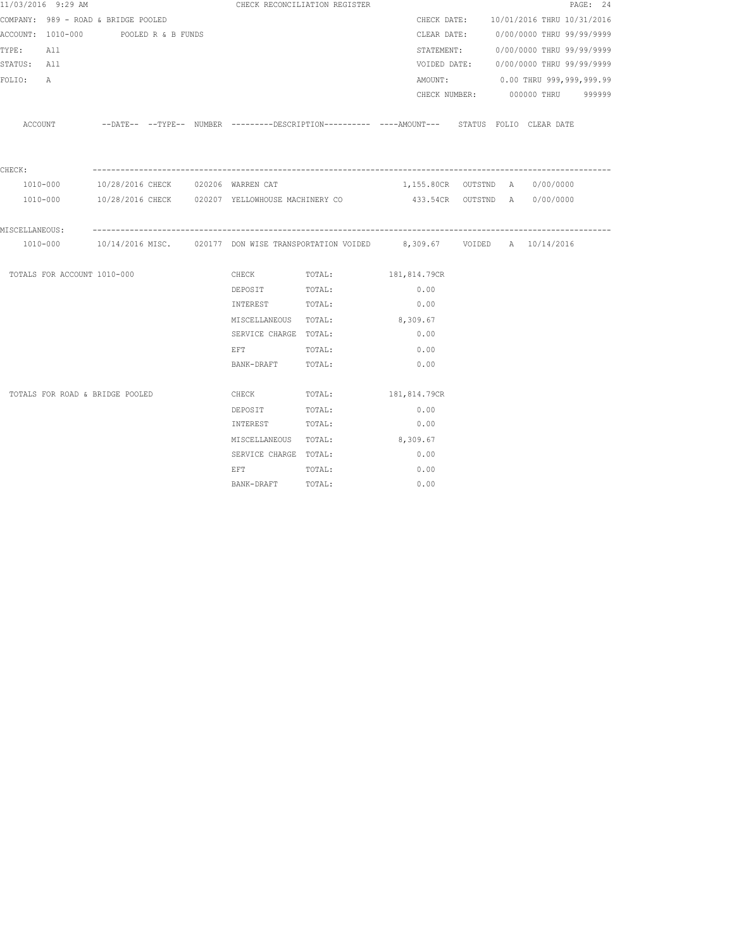| 11/03/2016 9:29 AM                   |  |  |  | CHECK RECONCILIATION REGISTER      |                               |                                                                                                        |  | PAGE: 24                               |  |
|--------------------------------------|--|--|--|------------------------------------|-------------------------------|--------------------------------------------------------------------------------------------------------|--|----------------------------------------|--|
| COMPANY: 989 - ROAD & BRIDGE POOLED  |  |  |  |                                    |                               |                                                                                                        |  | CHECK DATE: 10/01/2016 THRU 10/31/2016 |  |
| ACCOUNT: 1010-000 POOLED R & B FUNDS |  |  |  |                                    |                               |                                                                                                        |  | CLEAR DATE: 0/00/0000 THRU 99/99/9999  |  |
| TYPE:<br>All                         |  |  |  |                                    |                               |                                                                                                        |  | STATEMENT: 0/00/0000 THRU 99/99/9999   |  |
| STATUS: All                          |  |  |  |                                    |                               |                                                                                                        |  | VOIDED DATE: 0/00/0000 THRU 99/99/9999 |  |
| FOLIO:<br>A                          |  |  |  |                                    |                               |                                                                                                        |  | AMOUNT: 0.00 THRU 999,999,999.99       |  |
|                                      |  |  |  |                                    |                               |                                                                                                        |  | CHECK NUMBER: 000000 THRU 999999       |  |
| ACCOUNT                              |  |  |  |                                    |                               | --DATE-- --TYPE-- NUMBER --------DESCRIPTION--------- ----AMOUNT--- STATUS FOLIO CLEAR-DATE            |  |                                        |  |
| CHECK:                               |  |  |  |                                    |                               |                                                                                                        |  |                                        |  |
| 1010-000                             |  |  |  | 10/28/2016 CHECK 020206 WARREN CAT |                               | 1,155.80CR OUTSTND A 0/00/0000                                                                         |  |                                        |  |
|                                      |  |  |  |                                    |                               | 1010-000 10/28/2016 CHECK 020207 YELLOWHOUSE MACHINERY CO 433.54CR OUTSTND A 0/00/0000                 |  |                                        |  |
| MISCELLANEOUS:                       |  |  |  |                                    |                               |                                                                                                        |  |                                        |  |
| 1010-000                             |  |  |  |                                    |                               | 10/14/2016 MISC.      020177 DON WISE TRANSPORTATION VOIDED       8,309.67     VOIDED   A   10/14/2016 |  |                                        |  |
| TOTALS FOR ACCOUNT 1010-000          |  |  |  |                                    | CHECK TOTAL: 181,814.79CR     |                                                                                                        |  |                                        |  |
|                                      |  |  |  | DEPOSIT                            | TOTAL:                        | 0.00                                                                                                   |  |                                        |  |
|                                      |  |  |  | INTEREST TOTAL:                    |                               | 0.00                                                                                                   |  |                                        |  |
|                                      |  |  |  |                                    | MISCELLANEOUS TOTAL: 8,309.67 |                                                                                                        |  |                                        |  |
|                                      |  |  |  | SERVICE CHARGE TOTAL:              |                               | 0.00                                                                                                   |  |                                        |  |
|                                      |  |  |  | EFT TOTAL:                         |                               | 0.00                                                                                                   |  |                                        |  |
|                                      |  |  |  | BANK-DRAFT TOTAL:                  |                               | 0.00                                                                                                   |  |                                        |  |
| TOTALS FOR ROAD & BRIDGE POOLED      |  |  |  | CHECK                              | TOTAL:                        | 181,814.79CR                                                                                           |  |                                        |  |
|                                      |  |  |  | DEPOSIT                            | TOTAL:                        | 0.00                                                                                                   |  |                                        |  |
|                                      |  |  |  | INTEREST TOTAL:                    |                               | 0.00                                                                                                   |  |                                        |  |
|                                      |  |  |  | MISCELLANEOUS TOTAL:               |                               | 8,309.67                                                                                               |  |                                        |  |
|                                      |  |  |  | SERVICE CHARGE TOTAL:              |                               | 0.00                                                                                                   |  |                                        |  |
|                                      |  |  |  | EFT                                | TOTAL:                        | 0.00                                                                                                   |  |                                        |  |
|                                      |  |  |  | BANK-DRAFT TOTAL:                  |                               | 0.00                                                                                                   |  |                                        |  |
|                                      |  |  |  |                                    |                               |                                                                                                        |  |                                        |  |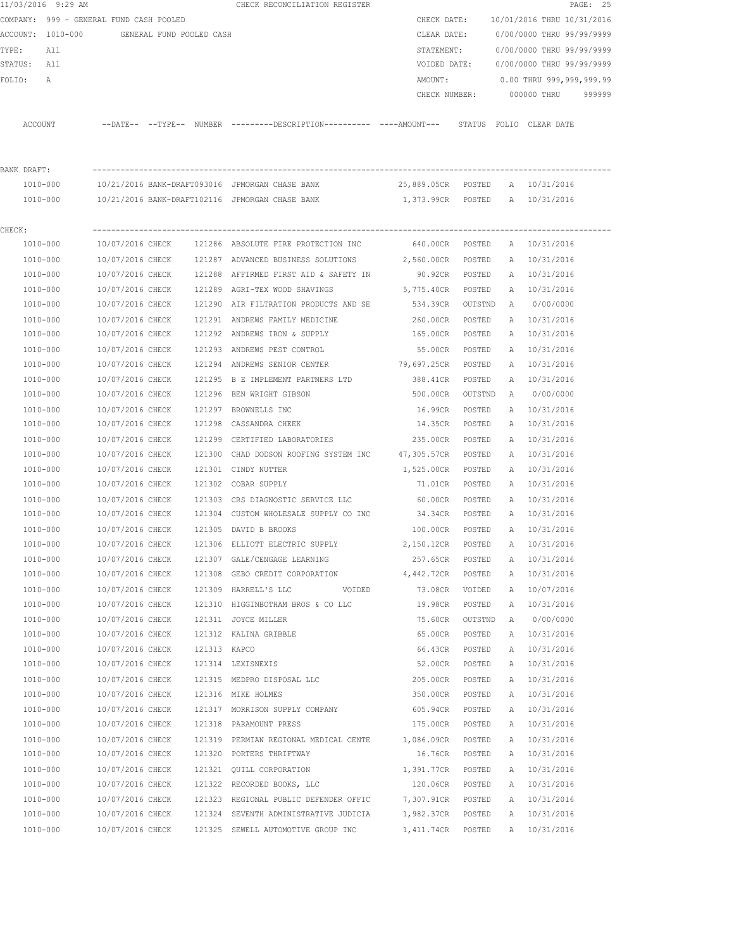|             | 11/03/2016 9:29 AM                      |                  |                          |              | CHECK RECONCILIATION REGISTER                                                                      |                                         |         |   |                              | PAGE: 25 |
|-------------|-----------------------------------------|------------------|--------------------------|--------------|----------------------------------------------------------------------------------------------------|-----------------------------------------|---------|---|------------------------------|----------|
|             | COMPANY: 999 - GENERAL FUND CASH POOLED |                  |                          |              |                                                                                                    | CHECK DATE:                             |         |   | 10/01/2016 THRU 10/31/2016   |          |
|             | ACCOUNT: 1010-000                       |                  | GENERAL FUND POOLED CASH |              |                                                                                                    | CLEAR DATE:                             |         |   | 0/00/0000 THRU 99/99/9999    |          |
| TYPE:       | All                                     |                  |                          |              |                                                                                                    | STATEMENT:                              |         |   | 0/00/0000 THRU 99/99/9999    |          |
| STATUS: All |                                         |                  |                          |              |                                                                                                    | VOIDED DATE:                            |         |   | 0/00/0000 THRU 99/99/9999    |          |
| FOLIO:      | Α                                       |                  |                          |              |                                                                                                    | AMOUNT:                                 |         |   | 0.00 THRU 999,999,999.99     |          |
|             |                                         |                  |                          |              |                                                                                                    | CHECK NUMBER:                           |         |   | 000000 THRU                  | 999999   |
|             | ACCOUNT                                 |                  |                          |              | --DATE-- --TYPE-- NUMBER --------DESCRIPTION--------- ----AMOUNT--- STATUS FOLIO CLEARDATE         |                                         |         |   |                              |          |
|             |                                         |                  |                          |              |                                                                                                    |                                         |         |   |                              |          |
| BANK DRAFT: |                                         |                  |                          |              |                                                                                                    |                                         |         |   |                              |          |
|             | 1010-000<br>1010-000                    |                  |                          |              | 10/21/2016 BANK-DRAFT093016 JPMORGAN CHASE BANK<br>10/21/2016 BANK-DRAFT102116 JPMORGAN CHASE BANK | 25,889.05CR POSTED<br>1,373.99CR POSTED |         |   | A 10/31/2016<br>A 10/31/2016 |          |
|             |                                         |                  |                          |              |                                                                                                    |                                         |         |   |                              |          |
| CHECK:      |                                         |                  |                          |              |                                                                                                    |                                         |         |   |                              |          |
|             | 1010-000                                |                  |                          |              | 10/07/2016 CHECK 121286 ABSOLUTE FIRE PROTECTION INC                                               | 640.00CR POSTED                         |         |   | A 10/31/2016                 |          |
|             | 1010-000                                | 10/07/2016 CHECK |                          |              | 121287 ADVANCED BUSINESS SOLUTIONS                                                                 | 2,560.00CR                              | POSTED  |   | A 10/31/2016                 |          |
|             | 1010-000                                | 10/07/2016 CHECK |                          |              | 121288 AFFIRMED FIRST AID & SAFETY IN                                                              | 90.92CR POSTED                          |         |   | A 10/31/2016                 |          |
|             | 1010-000                                | 10/07/2016 CHECK |                          |              | 121289 AGRI-TEX WOOD SHAVINGS                                                                      | 5,775.40CR                              | POSTED  |   | A 10/31/2016                 |          |
|             | 1010-000                                | 10/07/2016 CHECK |                          |              | 121290 AIR FILTRATION PRODUCTS AND SE                                                              | 534.39CR                                | OUTSTND | A | 0/00/0000                    |          |
|             | 1010-000                                | 10/07/2016 CHECK |                          |              | 121291 ANDREWS FAMILY MEDICINE                                                                     | 260.00CR                                | POSTED  |   | A 10/31/2016                 |          |
|             | 1010-000                                | 10/07/2016 CHECK |                          |              | 121292 ANDREWS IRON & SUPPLY                                                                       | 165.00CR                                | POSTED  | A | 10/31/2016                   |          |
|             | 1010-000                                | 10/07/2016 CHECK |                          |              | 121293 ANDREWS PEST CONTROL                                                                        | 55.00CR                                 | POSTED  | Α | 10/31/2016                   |          |
|             | 1010-000                                | 10/07/2016 CHECK |                          |              | 121294 ANDREWS SENIOR CENTER                                                                       | 79,697.25CR                             | POSTED  | A | 10/31/2016                   |          |
|             | 1010-000                                | 10/07/2016 CHECK |                          |              | 121295 B E IMPLEMENT PARTNERS LTD                                                                  | 388.41CR                                | POSTED  | Α | 10/31/2016                   |          |
|             | 1010-000                                | 10/07/2016 CHECK |                          |              | 121296 BEN WRIGHT GIBSON                                                                           | 500.00CR                                | OUTSTND | A | 0/00/0000                    |          |
|             | 1010-000                                | 10/07/2016 CHECK |                          |              | 121297 BROWNELLS INC                                                                               | 16.99CR                                 | POSTED  | Α | 10/31/2016                   |          |
|             | 1010-000                                | 10/07/2016 CHECK |                          |              | 121298 CASSANDRA CHEEK                                                                             | 14.35CR                                 | POSTED  | A | 10/31/2016                   |          |
|             | 1010-000                                | 10/07/2016 CHECK |                          |              | 121299 CERTIFIED LABORATORIES                                                                      | 235.00CR                                | POSTED  | A | 10/31/2016                   |          |
|             | 1010-000                                | 10/07/2016 CHECK |                          |              | 121300 CHAD DODSON ROOFING SYSTEM INC                                                              | 47,305.57CR                             | POSTED  | A | 10/31/2016                   |          |
|             | 1010-000                                | 10/07/2016 CHECK |                          |              | 121301 CINDY NUTTER                                                                                | 1,525.00CR                              | POSTED  | Α | 10/31/2016                   |          |
|             | 1010-000                                | 10/07/2016 CHECK |                          |              | 121302 COBAR SUPPLY                                                                                | 71.01CR                                 | POSTED  | A | 10/31/2016                   |          |
|             | 1010-000                                | 10/07/2016 CHECK |                          |              | 121303 CRS DIAGNOSTIC SERVICE LLC                                                                  | 60.00CR                                 | POSTED  |   | A 10/31/2016                 |          |
|             | 1010-000                                | 10/07/2016 CHECK |                          |              | 121304 CUSTOM WHOLESALE SUPPLY CO INC 34.34CR                                                      |                                         | POSTED  |   | A 10/31/2016                 |          |
|             | 1010-000                                | 10/07/2016 CHECK |                          |              | 121305 DAVID B BROOKS                                                                              | 100.00CR                                | POSTED  |   | A 10/31/2016                 |          |
|             | 1010-000                                | 10/07/2016 CHECK |                          |              | 121306 ELLIOTT ELECTRIC SUPPLY                                                                     | 2,150.12CR                              | POSTED  | A | 10/31/2016                   |          |
|             | 1010-000                                | 10/07/2016 CHECK |                          |              | 121307 GALE/CENGAGE LEARNING                                                                       | 257.65CR                                | POSTED  | Α | 10/31/2016                   |          |
|             | 1010-000                                | 10/07/2016 CHECK |                          |              | 121308 GEBO CREDIT CORPORATION 4,442.72CR                                                          |                                         | POSTED  | Α | 10/31/2016                   |          |
|             | $1010 - 000$                            | 10/07/2016 CHECK |                          |              | 121309 HARRELL'S LLC<br>VOIDED                                                                     | 73.08CR                                 | VOIDED  | Α | 10/07/2016                   |          |
|             | 1010-000                                | 10/07/2016 CHECK |                          |              | 121310 HIGGINBOTHAM BROS & CO LLC                                                                  | 19.98CR                                 | POSTED  | Α | 10/31/2016                   |          |
|             | 1010-000                                | 10/07/2016 CHECK |                          |              | 121311 JOYCE MILLER                                                                                | 75.60CR                                 | OUTSTND | A | 0/00/0000                    |          |
|             | 1010-000                                | 10/07/2016 CHECK |                          |              | 121312 KALINA GRIBBLE                                                                              | 65.00CR                                 | POSTED  | Α | 10/31/2016                   |          |
|             | $1010 - 000$                            | 10/07/2016 CHECK |                          | 121313 KAPCO |                                                                                                    | 66.43CR                                 | POSTED  | Α | 10/31/2016                   |          |
|             | 1010-000                                | 10/07/2016 CHECK |                          |              | 121314 LEXISNEXIS                                                                                  | 52.00CR                                 | POSTED  | Α | 10/31/2016                   |          |
|             | 1010-000                                | 10/07/2016 CHECK |                          |              | 121315 MEDPRO DISPOSAL LLC                                                                         | 205.00CR                                | POSTED  | Α | 10/31/2016                   |          |
|             | 1010-000                                | 10/07/2016 CHECK |                          |              | 121316 MIKE HOLMES                                                                                 | 350.00CR                                | POSTED  | Α | 10/31/2016                   |          |
|             | 1010-000                                | 10/07/2016 CHECK |                          |              | 121317 MORRISON SUPPLY COMPANY                                                                     | 605.94CR POSTED                         |         | Α | 10/31/2016                   |          |
|             | 1010-000                                | 10/07/2016 CHECK |                          |              | 121318 PARAMOUNT PRESS                                                                             | 175.00CR                                | POSTED  | Α | 10/31/2016                   |          |
|             | 1010-000                                | 10/07/2016 CHECK |                          |              | 121319 PERMIAN REGIONAL MEDICAL CENTE 1,086.09CR                                                   |                                         | POSTED  | Α | 10/31/2016                   |          |
|             | 1010-000                                | 10/07/2016 CHECK |                          |              | 121320 PORTERS THRIFTWAY                                                                           | 16.76CR                                 | POSTED  | Α | 10/31/2016                   |          |
|             | 1010-000                                | 10/07/2016 CHECK |                          |              | 121321 QUILL CORPORATION                                                                           | 1,391.77CR POSTED                       |         | Α | 10/31/2016                   |          |
|             | 1010-000                                | 10/07/2016 CHECK |                          |              | 121322 RECORDED BOOKS, LLC                                                                         | 120.06CR POSTED                         |         | Α | 10/31/2016                   |          |
|             | 1010-000                                | 10/07/2016 CHECK |                          |              | 121323 REGIONAL PUBLIC DEFENDER OFFIC                                                              | 7,307.91CR POSTED                       |         | Α | 10/31/2016                   |          |
|             | 1010-000                                | 10/07/2016 CHECK |                          |              | 121324 SEVENTH ADMINISTRATIVE JUDICIA                                                              | 1,982.37CR POSTED                       |         | Α | 10/31/2016                   |          |
|             | 1010-000                                | 10/07/2016 CHECK |                          |              | 121325 SEWELL AUTOMOTIVE GROUP INC                                                                 | 1,411.74CR                              | POSTED  |   | A 10/31/2016                 |          |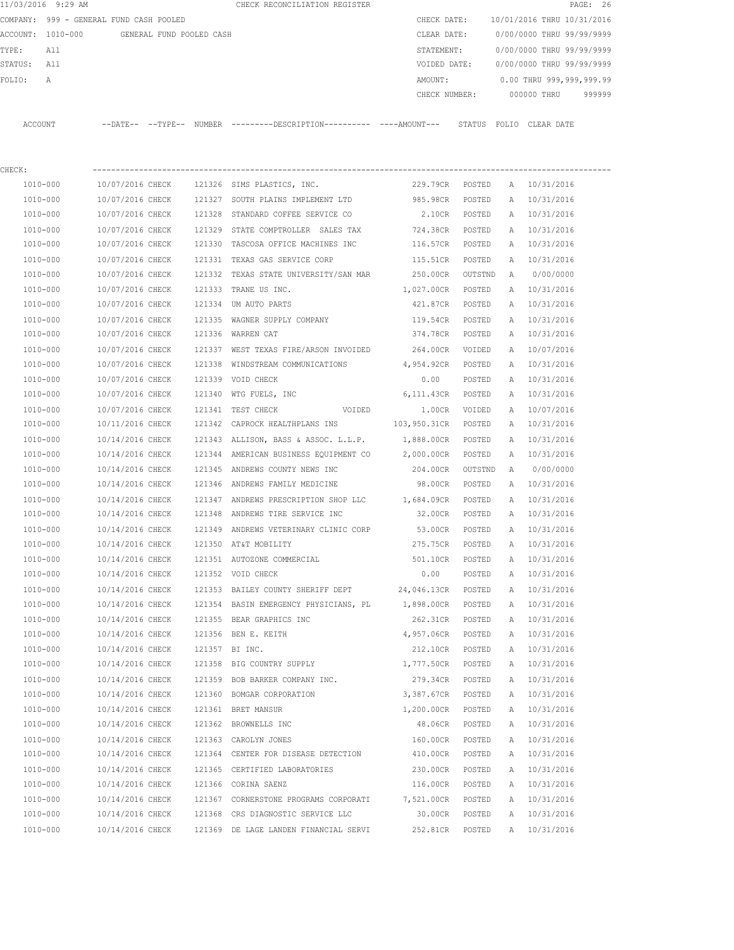|             | 11/03/2016 9:29 AM                         |                  |  | CHECK RECONCILIATION REGISTER                                                               |                     |               |   |                                        | PAGE: 26 |
|-------------|--------------------------------------------|------------------|--|---------------------------------------------------------------------------------------------|---------------------|---------------|---|----------------------------------------|----------|
|             | COMPANY: 999 - GENERAL FUND CASH POOLED    |                  |  |                                                                                             | CHECK DATE:         |               |   | 10/01/2016 THRU 10/31/2016             |          |
|             | ACCOUNT: 1010-000 GENERAL FUND POOLED CASH |                  |  |                                                                                             | CLEAR DATE:         |               |   | 0/00/0000 THRU 99/99/9999              |          |
| TYPE:       | All                                        |                  |  |                                                                                             | STATEMENT:          |               |   | 0/00/0000 THRU 99/99/9999              |          |
| STATUS: All |                                            |                  |  |                                                                                             |                     |               |   | VOIDED DATE: 0/00/0000 THRU 99/99/9999 |          |
| FOLIO:      | A                                          |                  |  |                                                                                             | AMOUNT:             |               |   | 0.00 THRU 999,999,999.99               |          |
|             |                                            |                  |  |                                                                                             | CHECK NUMBER:       |               |   | 000000 THRU                            | 999999   |
|             | ACCOUNT                                    |                  |  | --DATE-- --TYPE-- NUMBER ---------DESCRIPTION--------- ----AMOUNT--- STATUS FOLIO CLEARDATE |                     |               |   |                                        |          |
| CHECK:      |                                            |                  |  |                                                                                             |                     |               |   |                                        |          |
|             | 1010-000                                   |                  |  | 10/07/2016 CHECK 121326 SIMS PLASTICS, INC.                                                 |                     |               |   | 229.79CR POSTED A 10/31/2016           |          |
|             | 1010-000                                   |                  |  | 10/07/2016 CHECK 121327 SOUTH PLAINS IMPLEMENT LTD 985.98CR POSTED                          |                     |               |   | A 10/31/2016                           |          |
|             | 1010-000                                   |                  |  | 10/07/2016 CHECK 121328 STANDARD COFFEE SERVICE CO                                          | 2.10CR POSTED       |               |   | A 10/31/2016                           |          |
|             | 1010-000                                   |                  |  | 10/07/2016 CHECK 121329 STATE COMPTROLLER SALES TAX                                         | 724.38CR POSTED     |               |   | A 10/31/2016                           |          |
|             | 1010-000                                   | 10/07/2016 CHECK |  | 121330 TASCOSA OFFICE MACHINES INC                                                          | 116.57CR POSTED     |               |   | A 10/31/2016                           |          |
|             | 1010-000                                   | 10/07/2016 CHECK |  | 121331 TEXAS GAS SERVICE CORP                                                               | 115.51CR POSTED     |               |   | A 10/31/2016                           |          |
|             | 1010-000                                   | 10/07/2016 CHECK |  | 121332 TEXAS STATE UNIVERSITY/SAN MAR                                                       | 250.00CR OUTSTND    |               |   | A 0/00/0000                            |          |
|             | 1010-000                                   | 10/07/2016 CHECK |  | 121333 TRANE US INC.                                                                        | 1,027.00CR POSTED   |               |   | A 10/31/2016                           |          |
|             | 1010-000                                   | 10/07/2016 CHECK |  | 121334 UM AUTO PARTS                                                                        | 421.87CR POSTED     |               |   | A 10/31/2016                           |          |
|             | 1010-000                                   | 10/07/2016 CHECK |  | 121335 WAGNER SUPPLY COMPANY                                                                | 119.54CR POSTED     |               |   | A 10/31/2016                           |          |
|             | 1010-000                                   | 10/07/2016 CHECK |  | 121336 WARREN CAT                                                                           | 374.78CR POSTED     |               |   | A 10/31/2016                           |          |
|             | 1010-000                                   | 10/07/2016 CHECK |  | 121337 WEST TEXAS FIRE/ARSON INVOIDED 264.00CR VOIDED                                       |                     |               |   | A 10/07/2016                           |          |
|             | 1010-000                                   | 10/07/2016 CHECK |  | 121338 WINDSTREAM COMMUNICATIONS 4,954.92CR POSTED                                          |                     |               |   | A 10/31/2016                           |          |
|             | 1010-000                                   | 10/07/2016 CHECK |  | 121339 VOID CHECK                                                                           | 0.00                | POSTED        |   | A 10/31/2016                           |          |
|             | 1010-000                                   | 10/07/2016 CHECK |  | 121340 WTG FUELS, INC                                                                       | 6,111.43CR POSTED   |               |   | A 10/31/2016                           |          |
|             | 1010-000                                   | 10/07/2016 CHECK |  | 121341 TEST CHECK<br>VOIDED                                                                 |                     | 1.00CR VOIDED |   | A 10/07/2016                           |          |
|             | 1010-000                                   | 10/11/2016 CHECK |  | 121342 CAPROCK HEALTHPLANS INS                                                              | 103,950.31CR POSTED |               |   | A 10/31/2016                           |          |
|             | 1010-000                                   | 10/14/2016 CHECK |  | 121343 ALLISON, BASS & ASSOC. L.L.P.                                                        | 1,888.00CR POSTED   |               |   | A 10/31/2016                           |          |
|             | 1010-000                                   | 10/14/2016 CHECK |  | 121344 AMERICAN BUSINESS EQUIPMENT CO                                                       | 2,000.00CR POSTED   |               |   | A 10/31/2016                           |          |
|             | 1010-000                                   | 10/14/2016 CHECK |  | 121345 ANDREWS COUNTY NEWS INC                                                              | 204.00CR OUTSTND    |               |   | A 0/00/0000                            |          |
|             | 1010-000                                   | 10/14/2016 CHECK |  | 121346 ANDREWS FAMILY MEDICINE                                                              | 98.00CR POSTED      |               |   | A 10/31/2016                           |          |
|             | 1010-000                                   | 10/14/2016 CHECK |  | 121347 ANDREWS PRESCRIPTION SHOP LLC 1,684.09CR POSTED                                      |                     |               |   | A 10/31/2016                           |          |
|             | 1010-000                                   |                  |  | $10/14/2016$ CHECK $121348$ ANDREWS TIRE SERVICE INC                                        | 32.00CR POSTED      |               |   | A 10/31/2016                           |          |
|             | 1010-000                                   |                  |  | 10/14/2016 CHECK 121349 ANDREWS VETERINARY CLINIC CORP 53.00CR                              |                     | POSTED        |   | A 10/31/2016                           |          |
|             | 1010-000                                   | 10/14/2016 CHECK |  | 121350 AT&T MOBILITY                                                                        | 275.75CR            | POSTED        | A | 10/31/2016                             |          |
|             | $1010 - 000$                               | 10/14/2016 CHECK |  | 121351 AUTOZONE COMMERCIAL                                                                  | 501.10CR            | POSTED        | Α | 10/31/2016                             |          |
|             | 1010-000                                   | 10/14/2016 CHECK |  | 121352 VOID CHECK                                                                           | 0.00                | POSTED        | Α | 10/31/2016                             |          |
|             | 1010-000                                   | 10/14/2016 CHECK |  | 121353 BAILEY COUNTY SHERIFF DEPT                                                           | 24,046.13CR POSTED  |               | Α | 10/31/2016                             |          |
|             | 1010-000                                   | 10/14/2016 CHECK |  | 121354 BASIN EMERGENCY PHYSICIANS, PL                                                       | 1,898.00CR POSTED   |               | Α | 10/31/2016                             |          |
|             | 1010-000                                   | 10/14/2016 CHECK |  | 121355 BEAR GRAPHICS INC                                                                    | 262.31CR            | POSTED        | Α | 10/31/2016                             |          |
|             | 1010-000                                   | 10/14/2016 CHECK |  | 121356 BEN E. KEITH                                                                         | 4,957.06CR          | POSTED        | Α | 10/31/2016                             |          |
|             | 1010-000                                   | 10/14/2016 CHECK |  | 121357 BI INC.                                                                              | 212.10CR            | POSTED        | Α | 10/31/2016                             |          |
|             | 1010-000                                   | 10/14/2016 CHECK |  | 121358 BIG COUNTRY SUPPLY                                                                   | 1,777.50CR POSTED   |               | Α | 10/31/2016                             |          |
|             | 1010-000                                   | 10/14/2016 CHECK |  | 121359 BOB BARKER COMPANY INC.                                                              | 279.34CR            | POSTED        | Α | 10/31/2016                             |          |
|             | 1010-000                                   | 10/14/2016 CHECK |  | 121360 BOMGAR CORPORATION                                                                   | 3,387.67CR POSTED   |               | Α | 10/31/2016                             |          |
|             | 1010-000                                   | 10/14/2016 CHECK |  | 121361 BRET MANSUR                                                                          | 1,200.00CR          | POSTED        | A | 10/31/2016                             |          |
|             | 1010-000                                   | 10/14/2016 CHECK |  | 121362 BROWNELLS INC                                                                        | 48.06CR             | POSTED        | A | 10/31/2016                             |          |
|             | 1010-000                                   | 10/14/2016 CHECK |  | 121363 CAROLYN JONES                                                                        | 160.00CR            | POSTED        | Α | 10/31/2016                             |          |
|             | 1010-000                                   | 10/14/2016 CHECK |  | 121364 CENTER FOR DISEASE DETECTION                                                         | 410.00CR            | POSTED        | Α | 10/31/2016                             |          |
|             | 1010-000                                   | 10/14/2016 CHECK |  | 121365 CERTIFIED LABORATORIES                                                               | 230.00CR            | POSTED        | A | 10/31/2016                             |          |
|             | 1010-000                                   | 10/14/2016 CHECK |  | 121366 CORINA SAENZ                                                                         | 116.00CR POSTED     |               |   | A 10/31/2016                           |          |
|             | 1010-000                                   | 10/14/2016 CHECK |  | 121367 CORNERSTONE PROGRAMS CORPORATI                                                       | 7,521.00CR POSTED   |               |   | A 10/31/2016                           |          |
|             | 1010-000                                   | 10/14/2016 CHECK |  | 121368 CRS DIAGNOSTIC SERVICE LLC                                                           | 30.00CR             | POSTED        |   | A 10/31/2016                           |          |
|             | 1010-000                                   | 10/14/2016 CHECK |  | 121369 DE LAGE LANDEN FINANCIAL SERVI                                                       | 252.81CR            | POSTED        |   | A 10/31/2016                           |          |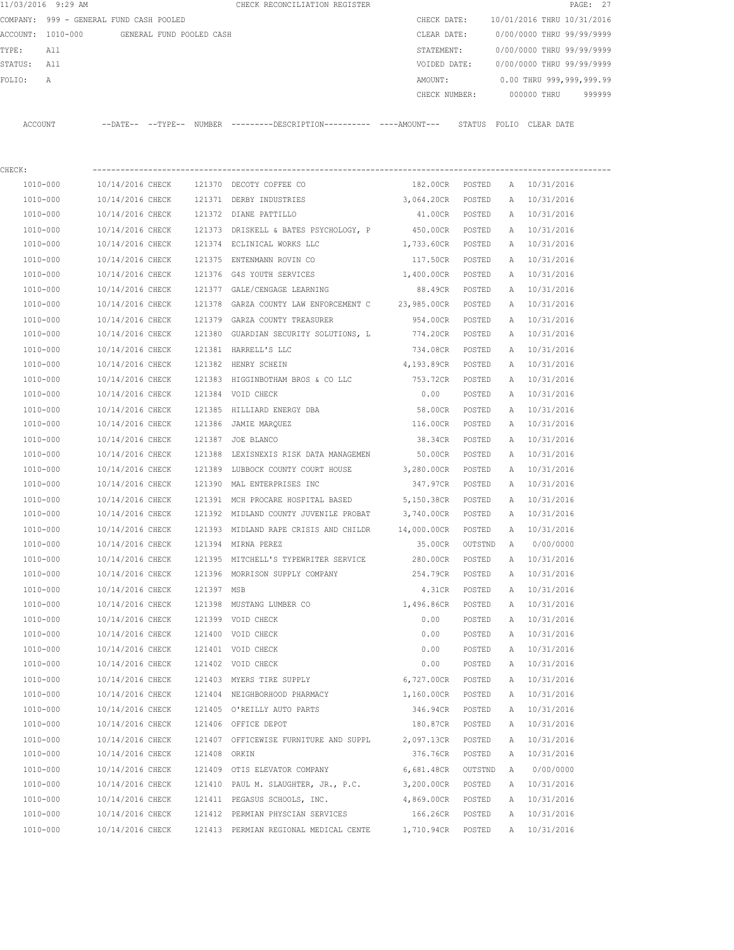| CHECK:   |                                         |                            |                          |                                                     |  |              |               |       |                            |          |
|----------|-----------------------------------------|----------------------------|--------------------------|-----------------------------------------------------|--|--------------|---------------|-------|----------------------------|----------|
| ACCOUNT  |                                         | $--$ DATE $- --$ TYPE $--$ |                          | NUMBER ---------DESCRIPTION---------- ----AMOUNT--- |  |              | STATUS        | FOLIO | CLEAR DATE                 |          |
|          |                                         |                            |                          |                                                     |  |              | CHECK NUMBER: |       | 000000 THRU                | 999999   |
| FOLIO:   | Α                                       |                            |                          |                                                     |  | AMOUNT:      |               |       | 0.00 THRU 999,999,999.99   |          |
| STATUS:  | All                                     |                            |                          |                                                     |  | VOIDED DATE: |               |       | 0/00/0000 THRU 99/99/9999  |          |
| TYPE:    | All                                     |                            |                          |                                                     |  | STATEMENT:   |               |       | 0/00/0000 THRU 99/99/9999  |          |
| ACCOUNT: | 1010-000                                |                            | GENERAL FUND POOLED CASH |                                                     |  | CLEAR DATE:  |               |       | 0/00/0000 THRU 99/99/9999  |          |
|          | COMPANY: 999 - GENERAL FUND CASH POOLED |                            |                          |                                                     |  | CHECK DATE:  |               |       | 10/01/2016 THRU 10/31/2016 |          |
|          | 11/03/2016 9:29 AM                      |                            |                          | CHECK RECONCILIATION REGISTER                       |  |              |               |       |                            | PAGE: 27 |

| 1010-000 | 10/14/2016 CHECK | 121370       | DECOTY COFFEE CO                      | 182.00CR    | POSTED  | А | 10/31/2016   |
|----------|------------------|--------------|---------------------------------------|-------------|---------|---|--------------|
| 1010-000 | 10/14/2016 CHECK |              | 121371 DERBY INDUSTRIES               | 3,064.20CR  | POSTED  | Α | 10/31/2016   |
| 1010-000 | 10/14/2016 CHECK |              | 121372 DIANE PATTILLO                 | 41.00CR     | POSTED  | Α | 10/31/2016   |
| 1010-000 | 10/14/2016 CHECK |              | 121373 DRISKELL & BATES PSYCHOLOGY, P | 450.00CR    | POSTED  | Α | 10/31/2016   |
| 1010-000 | 10/14/2016 CHECK |              | 121374 ECLINICAL WORKS LLC            | 1,733.60CR  | POSTED  | Α | 10/31/2016   |
| 1010-000 | 10/14/2016 CHECK |              | 121375 ENTENMANN ROVIN CO             | 117.50CR    | POSTED  | Α | 10/31/2016   |
| 1010-000 | 10/14/2016 CHECK | 121376       | G4S YOUTH SERVICES                    | 1,400.00CR  | POSTED  | Α | 10/31/2016   |
| 1010-000 | 10/14/2016 CHECK | 121377       | GALE/CENGAGE LEARNING                 | 88.49CR     | POSTED  | Α | 10/31/2016   |
| 1010-000 | 10/14/2016 CHECK | 121378       | GARZA COUNTY LAW ENFORCEMENT C        | 23,985.00CR | POSTED  | Α | 10/31/2016   |
| 1010-000 | 10/14/2016 CHECK |              | 121379 GARZA COUNTY TREASURER         | 954.00CR    | POSTED  | Α | 10/31/2016   |
| 1010-000 | 10/14/2016 CHECK | 121380       | GUARDIAN SECURITY SOLUTIONS, L        | 774.20CR    | POSTED  | Α | 10/31/2016   |
| 1010-000 | 10/14/2016 CHECK |              | 121381 HARRELL'S LLC                  | 734.08CR    | POSTED  | Α | 10/31/2016   |
| 1010-000 | 10/14/2016 CHECK | 121382       | HENRY SCHEIN                          | 4,193.89CR  | POSTED  | Α | 10/31/2016   |
| 1010-000 | 10/14/2016 CHECK | 121383       | HIGGINBOTHAM BROS & CO LLC            | 753.72CR    | POSTED  | Α | 10/31/2016   |
| 1010-000 | 10/14/2016 CHECK |              | 121384 VOID CHECK                     | 0.00        | POSTED  | А | 10/31/2016   |
| 1010-000 | 10/14/2016 CHECK |              | 121385 HILLIARD ENERGY DBA            | 58.00CR     | POSTED  | Α | 10/31/2016   |
| 1010-000 | 10/14/2016 CHECK |              | 121386 JAMIE MARQUEZ                  | 116.00CR    | POSTED  | Α | 10/31/2016   |
| 1010-000 | 10/14/2016 CHECK |              | 121387 JOE BLANCO                     | 38.34CR     | POSTED  | Α | 10/31/2016   |
| 1010-000 | 10/14/2016 CHECK |              | 121388 LEXISNEXIS RISK DATA MANAGEMEN | 50.00CR     | POSTED  | Α | 10/31/2016   |
| 1010-000 | 10/14/2016 CHECK |              | 121389 LUBBOCK COUNTY COURT HOUSE     | 3,280.00CR  | POSTED  | Α | 10/31/2016   |
| 1010-000 | 10/14/2016 CHECK |              | 121390 MAL ENTERPRISES INC            | 347.97CR    | POSTED  | Α | 10/31/2016   |
| 1010-000 | 10/14/2016 CHECK |              | 121391 MCH PROCARE HOSPITAL BASED     | 5,150.38CR  | POSTED  | Α | 10/31/2016   |
| 1010-000 | 10/14/2016 CHECK |              | 121392 MIDLAND COUNTY JUVENILE PROBAT | 3,740.00CR  | POSTED  | Α | 10/31/2016   |
| 1010-000 | 10/14/2016 CHECK |              | 121393 MIDLAND RAPE CRISIS AND CHILDR | 14,000.00CR | POSTED  | Α | 10/31/2016   |
| 1010-000 | 10/14/2016 CHECK |              | 121394 MIRNA PEREZ                    | 35.00CR     | OUTSTND | Α | 0/00/0000    |
| 1010-000 | 10/14/2016 CHECK |              | 121395 MITCHELL'S TYPEWRITER SERVICE  | 280.00CR    | POSTED  | Α | 10/31/2016   |
| 1010-000 | 10/14/2016 CHECK |              | 121396 MORRISON SUPPLY COMPANY        | 254.79CR    | POSTED  | Α | 10/31/2016   |
| 1010-000 | 10/14/2016 CHECK | 121397 MSB   |                                       | 4.31CR      | POSTED  | Α | 10/31/2016   |
| 1010-000 | 10/14/2016 CHECK |              | 121398 MUSTANG LUMBER CO              | 1,496.86CR  | POSTED  | Α | 10/31/2016   |
| 1010-000 | 10/14/2016 CHECK | 121399       | VOID CHECK                            | 0.00        | POSTED  | Α | 10/31/2016   |
| 1010-000 | 10/14/2016 CHECK | 121400       | VOID CHECK                            | 0.00        | POSTED  | Α | 10/31/2016   |
| 1010-000 | 10/14/2016 CHECK |              | 121401 VOID CHECK                     | 0.00        | POSTED  | А | 10/31/2016   |
| 1010-000 | 10/14/2016 CHECK |              | 121402 VOID CHECK                     | 0.00        | POSTED  | А | 10/31/2016   |
| 1010-000 | 10/14/2016 CHECK |              | 121403 MYERS TIRE SUPPLY              | 6,727.00CR  | POSTED  | Α | 10/31/2016   |
| 1010-000 | 10/14/2016 CHECK |              | 121404 NEIGHBORHOOD PHARMACY          | 1,160.00CR  | POSTED  | Α | 10/31/2016   |
| 1010-000 | 10/14/2016 CHECK |              | 121405 O'REILLY AUTO PARTS            | 346.94CR    | POSTED  | A | 10/31/2016   |
| 1010-000 | 10/14/2016 CHECK |              | 121406 OFFICE DEPOT                   | 180.87CR    | POSTED  | A | 10/31/2016   |
| 1010-000 | 10/14/2016 CHECK |              | 121407 OFFICEWISE FURNITURE AND SUPPL | 2,097.13CR  | POSTED  | Α | 10/31/2016   |
| 1010-000 | 10/14/2016 CHECK | 121408 ORKIN |                                       | 376.76CR    | POSTED  | Α | 10/31/2016   |
| 1010-000 | 10/14/2016 CHECK |              | 121409 OTIS ELEVATOR COMPANY          | 6,681.48CR  | OUTSTND | Α | 0/00/0000    |
| 1010-000 | 10/14/2016 CHECK |              | 121410 PAUL M. SLAUGHTER, JR., P.C.   | 3,200.00CR  | POSTED  | Α | 10/31/2016   |
| 1010-000 | 10/14/2016 CHECK |              | 121411 PEGASUS SCHOOLS, INC.          | 4,869.00CR  | POSTED  | Α | 10/31/2016   |
| 1010-000 | 10/14/2016 CHECK |              | 121412 PERMIAN PHYSCIAN SERVICES      | 166.26CR    | POSTED  | Α | 10/31/2016   |
| 1010-000 | 10/14/2016 CHECK |              | 121413 PERMIAN REGIONAL MEDICAL CENTE | 1,710.94CR  | POSTED  |   | A 10/31/2016 |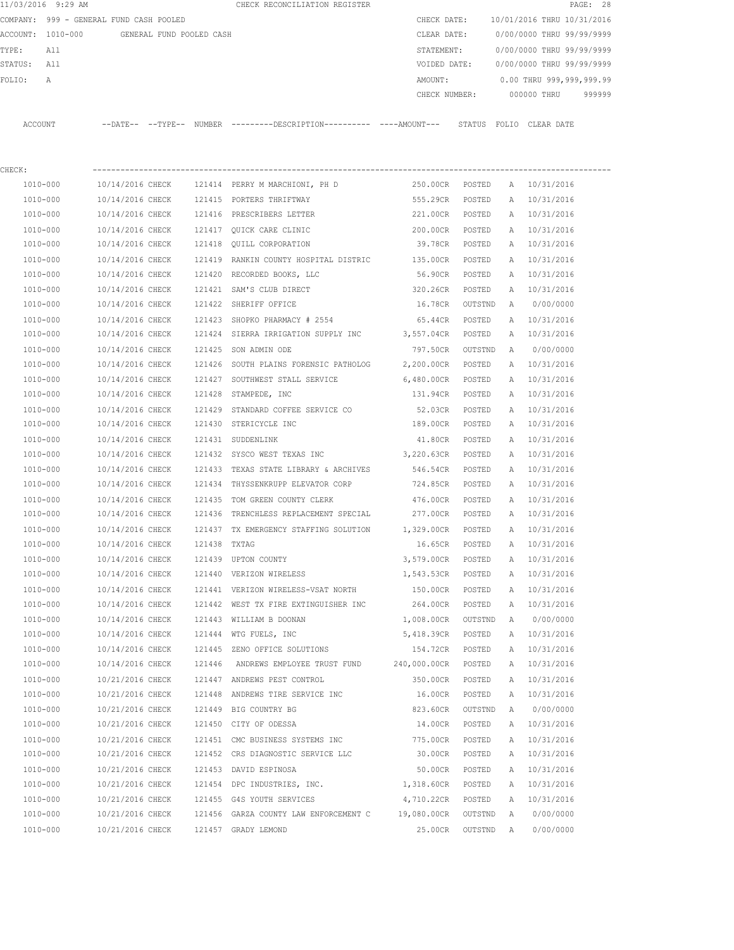| 11/03/2016 9:29 AM |                                         |              | CHECK RECONCILIATION REGISTER                                                               |                   |         |   |                                        | PAGE: 28 |
|--------------------|-----------------------------------------|--------------|---------------------------------------------------------------------------------------------|-------------------|---------|---|----------------------------------------|----------|
|                    | COMPANY: 999 - GENERAL FUND CASH POOLED |              |                                                                                             |                   |         |   | CHECK DATE: 10/01/2016 THRU 10/31/2016 |          |
| ACCOUNT: 1010-000  | GENERAL FUND POOLED CASH                |              |                                                                                             | CLEAR DATE:       |         |   | 0/00/0000 THRU 99/99/9999              |          |
| TYPE:<br>All       |                                         |              |                                                                                             | STATEMENT:        |         |   | 0/00/0000 THRU 99/99/9999              |          |
| STATUS:<br>All     |                                         |              |                                                                                             | VOIDED DATE:      |         |   | 0/00/0000 THRU 99/99/9999              |          |
| FOLIO:<br>Α        |                                         |              |                                                                                             | AMOUNT:           |         |   | 0.00 THRU 999,999,999.99               |          |
|                    |                                         |              |                                                                                             | CHECK NUMBER:     |         |   | 000000 THRU                            | 999999   |
| ACCOUNT            |                                         |              | --DATE-- --TYPE-- NUMBER ---------DESCRIPTION---------- ---AMOUNT--- STATUS FOLIO CLEARDATE |                   |         |   |                                        |          |
| CHECK:             |                                         |              |                                                                                             |                   |         |   |                                        |          |
| 1010-000           | 10/14/2016 CHECK                        |              | 121414 PERRY M MARCHIONI, PH D                                                              | 250.00CR POSTED   |         |   | A 10/31/2016                           |          |
| 1010-000           | 10/14/2016 CHECK                        |              | 121415 PORTERS THRIFTWAY                                                                    | 555.29CR POSTED   |         |   | A 10/31/2016                           |          |
| 1010-000           | 10/14/2016 CHECK                        |              | 121416 PRESCRIBERS LETTER                                                                   | 221.00CR POSTED   |         |   | A 10/31/2016                           |          |
| 1010-000           | 10/14/2016 CHECK                        |              | 121417 OUICK CARE CLINIC                                                                    | 200.00CR POSTED   |         |   | A 10/31/2016                           |          |
| 1010-000           | 10/14/2016 CHECK                        |              | 121418 QUILL CORPORATION                                                                    | 39.78CR POSTED    |         |   | A 10/31/2016                           |          |
| 1010-000           | 10/14/2016 CHECK                        |              | 121419 RANKIN COUNTY HOSPITAL DISTRIC 135.00CR POSTED                                       |                   |         | A | 10/31/2016                             |          |
| 1010-000           | 10/14/2016 CHECK                        |              | 121420 RECORDED BOOKS, LLC                                                                  | 56.90CR POSTED    |         |   | A 10/31/2016                           |          |
| 1010-000           | 10/14/2016 CHECK                        |              | 121421 SAM'S CLUB DIRECT                                                                    | 320.26CR          | POSTED  |   | A 10/31/2016                           |          |
| 1010-000           | 10/14/2016 CHECK                        |              | 121422 SHERIFF OFFICE                                                                       | 16.78CR           | OUTSTND | A | 0/00/0000                              |          |
| 1010-000           | 10/14/2016 CHECK                        |              | 121423 SHOPKO PHARMACY # 2554                                                               | 65.44CR           | POSTED  | A | 10/31/2016                             |          |
| 1010-000           | 10/14/2016 CHECK                        |              | 121424 SIERRA IRRIGATION SUPPLY INC 3,557.04CR                                              |                   | POSTED  | A | 10/31/2016                             |          |
| 1010-000           | 10/14/2016 CHECK                        |              | 121425 SON ADMIN ODE                                                                        | 797.50CR          | OUTSTND | A | 0/00/0000                              |          |
| 1010-000           | 10/14/2016 CHECK                        |              | 121426 SOUTH PLAINS FORENSIC PATHOLOG 2,200.00CR POSTED                                     |                   |         | A | 10/31/2016                             |          |
| 1010-000           | 10/14/2016 CHECK                        |              | 121427 SOUTHWEST STALL SERVICE                                                              | 6,480.00CR POSTED |         |   | A 10/31/2016                           |          |
| 1010-000           | 10/14/2016 CHECK                        |              | 121428 STAMPEDE, INC                                                                        | 131.94CR POSTED   |         |   | A 10/31/2016                           |          |
| 1010-000           | 10/14/2016 CHECK                        |              | 121429 STANDARD COFFEE SERVICE CO                                                           | 52.03CR POSTED    |         |   | A 10/31/2016                           |          |
| 1010-000           | 10/14/2016 CHECK                        |              | 121430 STERICYCLE INC                                                                       | 189.00CR POSTED   |         |   | A 10/31/2016                           |          |
| 1010-000           | 10/14/2016 CHECK                        |              | 121431 SUDDENLINK                                                                           | 41.80CR           | POSTED  |   | A 10/31/2016                           |          |
| 1010-000           | 10/14/2016 CHECK                        |              | 121432 SYSCO WEST TEXAS INC                                                                 | 3,220.63CR        | POSTED  |   | A 10/31/2016                           |          |
| 1010-000           | 10/14/2016 CHECK                        |              | 121433 TEXAS STATE LIBRARY & ARCHIVES                                                       | 546.54CR          | POSTED  |   | A 10/31/2016                           |          |
| 1010-000           | 10/14/2016 CHECK                        |              | 121434 THYSSENKRUPP ELEVATOR CORP                                                           | 724.85CR          | POSTED  |   | A 10/31/2016                           |          |
| 1010-000           | 10/14/2016 CHECK                        | 121435       | TOM GREEN COUNTY CLERK                                                                      | 476.00CR          | POSTED  |   | A 10/31/2016                           |          |
| 1010-000           |                                         |              | 10/14/2016 CHECK 121436 TRENCHLESS REPLACEMENT SPECIAL 277.00CR                             |                   | POSTED  |   | A 10/31/2016                           |          |
| 1010-000           | 10/14/2016 CHECK                        |              | 121437 TX EMERGENCY STAFFING SOLUTION 1,329.00CR                                            |                   | POSTED  | A | 10/31/2016                             |          |
| 1010-000           | 10/14/2016 CHECK                        | 121438 TXTAG |                                                                                             | 16.65CR           | POSTED  | А | 10/31/2016                             |          |
| 1010-000           | 10/14/2016 CHECK                        |              | 121439 UPTON COUNTY                                                                         | 3,579.00CR        | POSTED  | Α | 10/31/2016                             |          |
| 1010-000           | 10/14/2016 CHECK                        |              | 121440 VERIZON WIRELESS                                                                     | 1,543.53CR        | POSTED  | Α | 10/31/2016                             |          |
| 1010-000           | 10/14/2016 CHECK                        |              | 121441 VERIZON WIRELESS-VSAT NORTH                                                          | 150.00CR          | POSTED  | Α | 10/31/2016                             |          |
| 1010-000           | 10/14/2016 CHECK                        |              | 121442 WEST TX FIRE EXTINGUISHER INC                                                        | 264.00CR          | POSTED  | Α | 10/31/2016                             |          |
| $1010 - 000$       | 10/14/2016 CHECK                        |              | 121443 WILLIAM B DOONAN                                                                     | 1,008.00CR        | OUTSTND | Α | 0/00/0000                              |          |
| $1010 - 000$       | 10/14/2016 CHECK                        | 121444       | WTG FUELS, INC                                                                              | 5,418.39CR        | POSTED  | Α | 10/31/2016                             |          |
| 1010-000           | 10/14/2016 CHECK                        |              | 121445 ZENO OFFICE SOLUTIONS                                                                | 154.72CR          | POSTED  | Α | 10/31/2016                             |          |
| 1010-000           | 10/14/2016 CHECK                        | 121446       | ANDREWS EMPLOYEE TRUST FUND                                                                 | 240,000.00CR      | POSTED  | Α | 10/31/2016                             |          |
| 1010-000           | 10/21/2016 CHECK                        |              | 121447 ANDREWS PEST CONTROL                                                                 | 350.00CR          | POSTED  | Α | 10/31/2016                             |          |
| 1010-000           | 10/21/2016 CHECK                        |              | 121448 ANDREWS TIRE SERVICE INC                                                             | 16.00CR           | POSTED  | Α | 10/31/2016                             |          |
| 1010-000           | 10/21/2016 CHECK                        |              | 121449 BIG COUNTRY BG                                                                       | 823.60CR          | OUTSTND | Α | 0/00/0000                              |          |
| 1010-000           | 10/21/2016 CHECK                        | 121450       | CITY OF ODESSA                                                                              | 14.00CR           | POSTED  | Α | 10/31/2016                             |          |
| 1010-000           | 10/21/2016 CHECK                        |              | 121451 CMC BUSINESS SYSTEMS INC                                                             | 775.00CR          | POSTED  | Α | 10/31/2016                             |          |
| 1010-000           | 10/21/2016 CHECK                        |              | 121452 CRS DIAGNOSTIC SERVICE LLC                                                           | 30.00CR           | POSTED  | Α | 10/31/2016                             |          |
| 1010-000           | 10/21/2016 CHECK                        |              | 121453 DAVID ESPINOSA                                                                       | 50.00CR           | POSTED  | Α | 10/31/2016                             |          |
| 1010-000           | 10/21/2016 CHECK                        |              | 121454 DPC INDUSTRIES, INC.                                                                 | 1,318.60CR        | POSTED  | Α | 10/31/2016                             |          |
| 1010-000           | 10/21/2016 CHECK                        |              | 121455 G4S YOUTH SERVICES                                                                   | 4,710.22CR        | POSTED  | Α | 10/31/2016                             |          |
| 1010-000           | 10/21/2016 CHECK                        |              | 121456 GARZA COUNTY LAW ENFORCEMENT C 19,080.00CR                                           |                   | OUTSTND | Α | 0/00/0000                              |          |
| 1010-000           | 10/21/2016 CHECK                        |              | 121457 GRADY LEMOND                                                                         | 25.00CR           | OUTSTND | A | 0/00/0000                              |          |
|                    |                                         |              |                                                                                             |                   |         |   |                                        |          |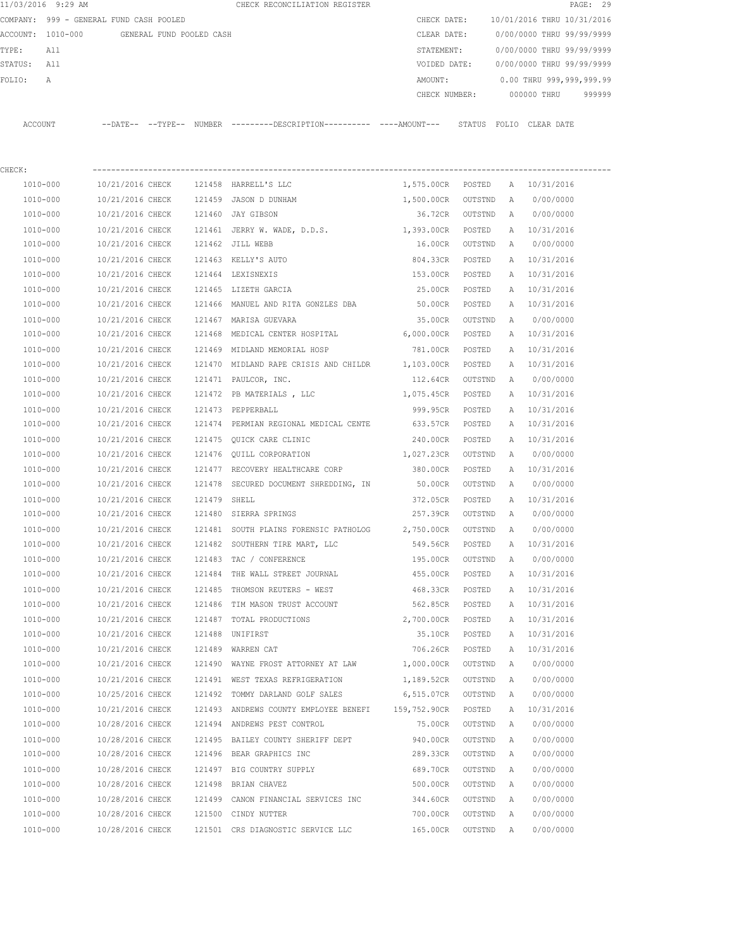|             | 11/03/2016 9:29 AM                         |                                   |              | CHECK RECONCILIATION REGISTER                                                              |                                |                 |   |                                        | PAGE: 29 |
|-------------|--------------------------------------------|-----------------------------------|--------------|--------------------------------------------------------------------------------------------|--------------------------------|-----------------|---|----------------------------------------|----------|
|             | COMPANY: 999 - GENERAL FUND CASH POOLED    |                                   |              |                                                                                            | CHECK DATE:                    |                 |   | 10/01/2016 THRU 10/31/2016             |          |
|             | ACCOUNT: 1010-000 GENERAL FUND POOLED CASH |                                   |              |                                                                                            | CLEAR DATE:                    |                 |   | 0/00/0000 THRU 99/99/9999              |          |
| TYPE:       | All                                        |                                   |              |                                                                                            | STATEMENT:                     |                 |   | 0/00/0000 THRU 99/99/9999              |          |
| STATUS: All |                                            |                                   |              |                                                                                            |                                |                 |   | VOIDED DATE: 0/00/0000 THRU 99/99/9999 |          |
| FOLIO:      | Α                                          |                                   |              |                                                                                            | AMOUNT:                        |                 |   | 0.00 THRU 999,999,999.99               |          |
|             |                                            |                                   |              |                                                                                            | CHECK NUMBER:                  |                 |   | 000000 THRU                            | 999999   |
|             | ACCOUNT                                    |                                   |              | --DATE-- --TYPE-- NUMBER --------DESCRIPTION--------- ----AMOUNT--- STATUS FOLIO CLEARDATE |                                |                 |   |                                        |          |
| CHECK:      |                                            |                                   |              |                                                                                            |                                |                 |   |                                        |          |
|             | 1010-000                                   |                                   |              | 10/21/2016 CHECK 121458 HARRELL'S LLC                                                      | 1,575.00CR POSTED A 10/31/2016 |                 |   |                                        |          |
|             | 1010-000                                   |                                   |              | 10/21/2016 CHECK 121459 JASON D DUNHAM                                                     | 1,500.00CR OUTSTND             |                 | A | 0/00/0000                              |          |
|             | 1010-000                                   |                                   |              | 10/21/2016 CHECK 121460 JAY GIBSON                                                         |                                | 36.72CR OUTSTND | A | 0/00/0000                              |          |
|             | 1010-000                                   |                                   |              | 10/21/2016 CHECK 121461 JERRY W. WADE, D.D.S.                                              | 1,393.00CR POSTED              |                 |   | A 10/31/2016                           |          |
|             | 1010-000                                   | 10/21/2016 CHECK 121462 JILL WEBB |              |                                                                                            | 16.00CR OUTSTND                |                 |   | A 0/00/0000                            |          |
|             | 1010-000                                   | 10/21/2016 CHECK                  |              | 121463 KELLY'S AUTO                                                                        | 804.33CR POSTED                |                 |   | A 10/31/2016                           |          |
|             | 1010-000                                   | 10/21/2016 CHECK                  |              | 121464 LEXISNEXIS                                                                          | 153.00CR POSTED                |                 |   | A 10/31/2016                           |          |
|             | 1010-000                                   | 10/21/2016 CHECK                  |              |                                                                                            | 25.00CR POSTED                 |                 |   | A 10/31/2016                           |          |
|             |                                            |                                   |              | 121465 LIZETH GARCIA<br>121466 MANUEL AND RITA GONZLES DBA                                 | 50.00CR POSTED                 |                 |   | A 10/31/2016                           |          |
|             | 1010-000                                   | 10/21/2016 CHECK                  |              |                                                                                            |                                |                 |   |                                        |          |
|             | 1010-000                                   | 10/21/2016 CHECK                  |              | 121467 MARISA GUEVARA                                                                      | 35.00CR                        | OUTSTND         | A | 0/00/0000                              |          |
|             | 1010-000                                   |                                   |              | 10/21/2016 CHECK 121468 MEDICAL CENTER HOSPITAL 6,000.00CR POSTED                          |                                |                 |   | A 10/31/2016                           |          |
|             | 1010-000                                   | 10/21/2016 CHECK                  |              | 121469 MIDLAND MEMORIAL HOSP                                                               | 781.00CR                       | POSTED          | A | 10/31/2016                             |          |
|             | 1010-000                                   | 10/21/2016 CHECK                  |              | 121470 MIDLAND RAPE CRISIS AND CHILDR 1,103.00CR POSTED                                    |                                |                 |   | A 10/31/2016                           |          |
|             | 1010-000                                   | 10/21/2016 CHECK                  |              | 121471 PAULCOR, INC.                                                                       | 112.64CR OUTSTND               |                 | A | 0/00/0000                              |          |
|             | 1010-000                                   | 10/21/2016 CHECK                  |              | 121472 PB MATERIALS, LLC                                                                   | 1,075.45CR POSTED              |                 |   | A 10/31/2016                           |          |
|             | 1010-000                                   | 10/21/2016 CHECK                  |              | 121473 PEPPERBALL                                                                          | 999.95CR POSTED                |                 | A | 10/31/2016                             |          |
|             | 1010-000                                   | 10/21/2016 CHECK                  |              | 121474 PERMIAN REGIONAL MEDICAL CENTE                                                      | 633.57CR POSTED                |                 | A | 10/31/2016                             |          |
|             | 1010-000                                   | 10/21/2016 CHECK                  |              | 121475 OUICK CARE CLINIC                                                                   | 240.00CR POSTED                |                 |   | A 10/31/2016                           |          |
|             | 1010-000                                   | 10/21/2016 CHECK                  |              | 121476 QUILL CORPORATION                                                                   | 1,027.23CR OUTSTND             |                 | A | 0/00/0000                              |          |
|             | 1010-000                                   | 10/21/2016 CHECK                  |              | 121477 RECOVERY HEALTHCARE CORP                                                            | 380.00CR POSTED                |                 |   | A 10/31/2016                           |          |
|             | 1010-000                                   | 10/21/2016 CHECK                  |              | 121478 SECURED DOCUMENT SHREDDING, IN                                                      | 50.00CR                        | OUTSTND         | A | 0/00/0000                              |          |
|             | 1010-000                                   | 10/21/2016 CHECK                  | 121479 SHELL |                                                                                            | 372.05CR                       | POSTED          |   | A 10/31/2016                           |          |
|             | 1010-000                                   |                                   |              | 10/21/2016 CHECK 121480 SIERRA SPRINGS                                                     | 257.39CR                       | OUTSTND         | A | 0/00/0000                              |          |
|             | 1010-000                                   |                                   |              | 10/21/2016 CHECK 121481 SOUTH PLAINS FORENSIC PATHOLOG 2,750.00CR                          |                                | OUTSTND         | A | 0/00/0000                              |          |
|             | 1010-000                                   | 10/21/2016 CHECK                  |              | 121482 SOUTHERN TIRE MART, LLC                                                             | 549.56CR                       | POSTED          | A | 10/31/2016                             |          |
|             | 1010-000                                   | 10/21/2016 CHECK                  |              | 121483 TAC / CONFERENCE                                                                    | 195.00CR                       | OUTSTND         | Α | 0/00/0000                              |          |
|             | 1010-000                                   | 10/21/2016 CHECK                  |              | 121484 THE WALL STREET JOURNAL                                                             | 455.00CR                       | POSTED          | Α | 10/31/2016                             |          |
|             | 1010-000                                   | 10/21/2016 CHECK                  |              | 121485 THOMSON REUTERS - WEST                                                              | 468.33CR                       | POSTED          | Α | 10/31/2016                             |          |
|             | 1010-000                                   | 10/21/2016 CHECK                  |              | 121486 TIM MASON TRUST ACCOUNT                                                             | 562.85CR                       | POSTED          | Α | 10/31/2016                             |          |
|             | 1010-000                                   | 10/21/2016 CHECK                  |              | 121487 TOTAL PRODUCTIONS                                                                   | 2,700.00CR POSTED              |                 | Α | 10/31/2016                             |          |
|             | 1010-000                                   | 10/21/2016 CHECK                  |              | 121488 UNIFIRST                                                                            | 35.10CR                        | POSTED          | Α | 10/31/2016                             |          |
|             | $1010 - 000$                               | 10/21/2016 CHECK                  |              | 121489 WARREN CAT                                                                          | 706.26CR                       | POSTED          | Α | 10/31/2016                             |          |
|             | 1010-000                                   | 10/21/2016 CHECK                  |              | 121490 WAYNE FROST ATTORNEY AT LAW                                                         | 1,000.00CR                     | OUTSTND         | Α | 0/00/0000                              |          |
|             | 1010-000                                   | 10/21/2016 CHECK                  |              | 121491 WEST TEXAS REFRIGERATION                                                            | 1,189.52CR                     | OUTSTND         | A | 0/00/0000                              |          |
|             | 1010-000                                   | 10/25/2016 CHECK                  |              | 121492 TOMMY DARLAND GOLF SALES                                                            | 6,515.07CR                     | OUTSTND         | Α | 0/00/0000                              |          |
|             | 1010-000                                   | 10/21/2016 CHECK                  |              | 121493 ANDREWS COUNTY EMPLOYEE BENEFI 159,752.90CR                                         |                                | POSTED          | Α | 10/31/2016                             |          |
|             | 1010-000                                   | 10/28/2016 CHECK                  |              | 121494 ANDREWS PEST CONTROL                                                                | 75.00CR                        | OUTSTND         | Α | 0/00/0000                              |          |
|             | 1010-000                                   | 10/28/2016 CHECK                  |              | 121495 BAILEY COUNTY SHERIFF DEPT                                                          | 940.00CR                       | OUTSTND         | Α | 0/00/0000                              |          |
|             | 1010-000                                   | 10/28/2016 CHECK                  |              | 121496 BEAR GRAPHICS INC                                                                   | 289.33CR                       | OUTSTND         | Α | 0/00/0000                              |          |
|             | 1010-000                                   | 10/28/2016 CHECK                  |              | 121497 BIG COUNTRY SUPPLY                                                                  | 689.70CR                       | OUTSTND         | Α | 0/00/0000                              |          |
|             | 1010-000                                   | 10/28/2016 CHECK                  |              | 121498 BRIAN CHAVEZ                                                                        | 500.00CR                       | OUTSTND         | Α | 0/00/0000                              |          |
|             | 1010-000                                   | 10/28/2016 CHECK                  |              | 121499 CANON FINANCIAL SERVICES INC                                                        | 344.60CR                       | OUTSTND         | Α | 0/00/0000                              |          |
|             | 1010-000                                   | 10/28/2016 CHECK                  |              | 121500 CINDY NUTTER                                                                        | 700.00CR                       | OUTSTND         | A | 0/00/0000                              |          |
|             | 1010-000                                   | 10/28/2016 CHECK                  |              | 121501 CRS DIAGNOSTIC SERVICE LLC                                                          | 165.00CR                       | OUTSTND         | Α | 0/00/0000                              |          |
|             |                                            |                                   |              |                                                                                            |                                |                 |   |                                        |          |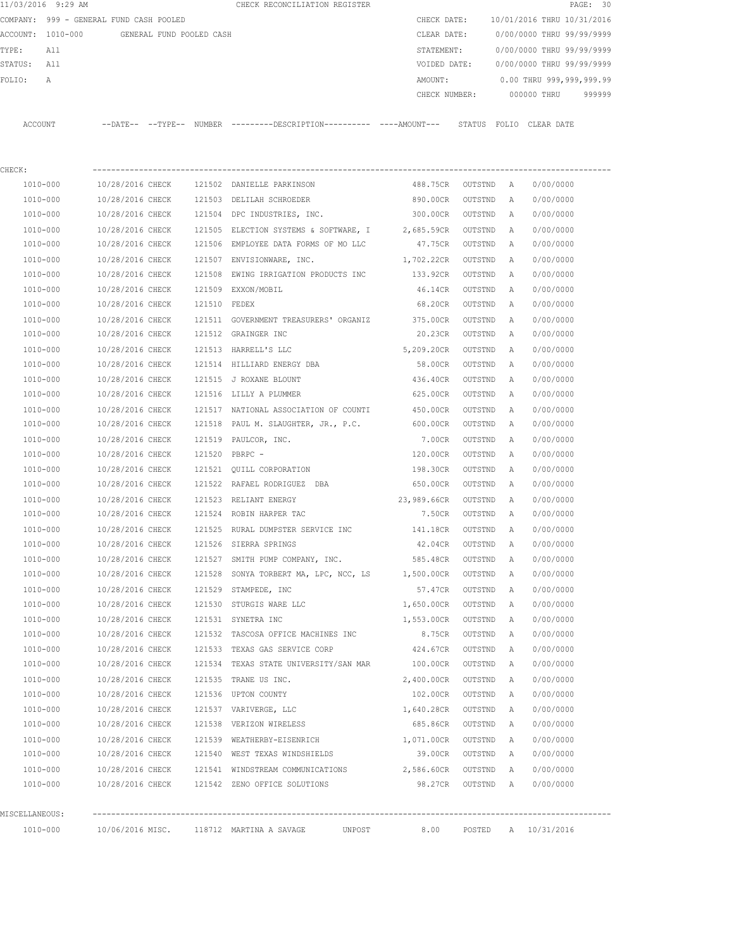|             | 11/03/2016 9:29 AM |                                            |              | CHECK RECONCILIATION REGISTER                                                              |                    |                |              |                                        | PAGE: 30 |
|-------------|--------------------|--------------------------------------------|--------------|--------------------------------------------------------------------------------------------|--------------------|----------------|--------------|----------------------------------------|----------|
|             |                    | COMPANY: 999 - GENERAL FUND CASH POOLED    |              |                                                                                            | CHECK DATE:        |                |              | 10/01/2016 THRU 10/31/2016             |          |
|             |                    | ACCOUNT: 1010-000 GENERAL FUND POOLED CASH |              |                                                                                            | CLEAR DATE:        |                |              | 0/00/0000 THRU 99/99/9999              |          |
| TYPE:       | All                |                                            |              |                                                                                            | STATEMENT:         |                |              | 0/00/0000 THRU 99/99/9999              |          |
| STATUS: All |                    |                                            |              |                                                                                            |                    |                |              | VOIDED DATE: 0/00/0000 THRU 99/99/9999 |          |
| FOLIO:      | А                  |                                            |              |                                                                                            | AMOUNT:            |                |              | 0.00 THRU 999,999,999.99               |          |
|             |                    |                                            |              |                                                                                            |                    |                |              | CHECK NUMBER: 000000 THRU              | 999999   |
|             |                    |                                            |              |                                                                                            |                    |                |              |                                        |          |
|             | ACCOUNT            |                                            |              | --DATE-- --TYPE-- NUMBER --------DESCRIPTION--------- ---AMOUNT--- STATUS FOLIO CLEAR DATE |                    |                |              |                                        |          |
|             |                    |                                            |              |                                                                                            |                    |                |              |                                        |          |
|             |                    |                                            |              |                                                                                            |                    |                |              |                                        |          |
| CHECK:      |                    |                                            |              |                                                                                            |                    |                |              |                                        |          |
|             | 1010-000           |                                            |              | 10/28/2016 CHECK 121502 DANIELLE PARKINSON                                                 | 488.75CR OUTSTND A |                |              | 0/00/0000                              |          |
|             | 1010-000           | 10/28/2016 CHECK                           |              | 121503 DELILAH SCHROEDER                                                                   | 890.00CR           | OUTSTND A      |              | 0/00/0000                              |          |
|             | 1010-000           | 10/28/2016 CHECK                           |              | 121504 DPC INDUSTRIES, INC.                                                                | 300.00CR           | OUTSTND A      |              | 0/00/0000                              |          |
|             | 1010-000           | 10/28/2016 CHECK                           |              | 121505 ELECTION SYSTEMS & SOFTWARE, I 2,685.59CR                                           |                    | OUTSTND        | A            | 0/00/0000                              |          |
|             | 1010-000           | 10/28/2016 CHECK                           |              | 121506 EMPLOYEE DATA FORMS OF MO LLC                                                       | 47.75CR            | OUTSTND        | A            | 0/00/0000                              |          |
|             | 1010-000           | 10/28/2016 CHECK                           |              | 121507 ENVISIONWARE, INC.                                                                  | 1,702.22CR         | OUTSTND        | Α            | 0/00/0000                              |          |
|             | 1010-000           | 10/28/2016 CHECK                           |              | 121508 EWING IRRIGATION PRODUCTS INC 133.92CR                                              |                    | OUTSTND        | Α            | 0/00/0000                              |          |
|             | 1010-000           | 10/28/2016 CHECK                           |              | 121509 EXXON/MOBIL                                                                         | 46.14CR            | OUTSTND        | A            | 0/00/0000                              |          |
|             | 1010-000           | 10/28/2016 CHECK                           | 121510 FEDEX |                                                                                            | 68.20CR            | OUTSTND        | A            | 0/00/0000                              |          |
|             | 1010-000           | 10/28/2016 CHECK                           |              | 121511 GOVERNMENT TREASURERS' ORGANIZ 375.00CR                                             |                    | OUTSTND        | Α            | 0/00/0000                              |          |
|             | 1010-000           | 10/28/2016 CHECK                           |              | 121512 GRAINGER INC                                                                        | 20.23CR            | OUTSTND        | Α            | 0/00/0000                              |          |
|             | 1010-000           | 10/28/2016 CHECK                           |              | 121513 HARRELL'S LLC                                                                       | 5,209.20CR         | OUTSTND        | Α            | 0/00/0000                              |          |
|             | 1010-000           | 10/28/2016 CHECK                           |              | 121514 HILLIARD ENERGY DBA                                                                 | 58.00CR            | OUTSTND        | Α            | 0/00/0000                              |          |
|             | 1010-000           | 10/28/2016 CHECK                           |              | 121515 J ROXANE BLOUNT                                                                     | 436.40CR           | OUTSTND        | A            | 0/00/0000                              |          |
|             | 1010-000           | 10/28/2016 CHECK                           |              | 121516 LILLY A PLUMMER                                                                     | 625.00CR           | OUTSTND        | A            | 0/00/0000                              |          |
|             | 1010-000           | 10/28/2016 CHECK                           |              | 121517 NATIONAL ASSOCIATION OF COUNTI                                                      | 450.00CR           | OUTSTND        | Α            | 0/00/0000                              |          |
|             | 1010-000           | 10/28/2016 CHECK                           |              | 121518 PAUL M. SLAUGHTER, JR., P.C. 600.00CR                                               |                    | OUTSTND        | A            | 0/00/0000                              |          |
|             | 1010-000           | 10/28/2016 CHECK                           |              | 121519 PAULCOR, INC.                                                                       | 7.00CR             | OUTSTND        | Α            | 0/00/0000                              |          |
|             | 1010-000           | 10/28/2016 CHECK                           |              | 121520 PBRPC -                                                                             | 120.00CR           | OUTSTND        | A            | 0/00/0000                              |          |
|             | 1010-000           | 10/28/2016 CHECK                           |              | 121521 QUILL CORPORATION                                                                   | 198.30CR           | OUTSTND        | A            | 0/00/0000                              |          |
|             | 1010-000           | 10/28/2016 CHECK                           |              | 121522 RAFAEL RODRIGUEZ DBA                                                                | 650.00CR           | OUTSTND        | A            | 0/00/0000                              |          |
|             | 1010-000           |                                            |              | 10/28/2016 CHECK 121523 RELIANT ENERGY                                                     | 23,989.66CR        | OUTSTND        | A            | 0/00/0000                              |          |
|             | 1010-000           | 10/28/2016 CHECK                           |              | 121524 ROBIN HARPER TAC                                                                    |                    | 7.50CR OUTSTND | A            | 0/00/0000                              |          |
|             | $1010 - 000$       |                                            |              | 10/28/2016 CHECK 121525 RURAL DUMPSTER SERVICE INC 141.18CR OUTSTND A                      |                    |                |              | 0/00/0000                              |          |
|             | 1010-000           | 10/28/2016 CHECK                           |              | 121526 SIERRA SPRINGS                                                                      | 42.04CR            | OUTSTND A      |              | 0/00/0000                              |          |
|             | $1010 - 000$       | 10/28/2016 CHECK                           |              | 121527 SMITH PUMP COMPANY, INC.                                                            | 585.48CR           | OUTSTND        | $\mathbb{A}$ | 0/00/0000                              |          |
|             | 1010-000           | 10/28/2016 CHECK                           |              | 121528 SONYA TORBERT MA, LPC, NCC, LS 1,500.00CR                                           |                    | OUTSTND        | $\mathbb{A}$ | 0/00/0000                              |          |
|             | 1010-000           | 10/28/2016 CHECK                           |              | 121529 STAMPEDE, INC                                                                       | 57.47CR            | OUTSTND        | A            | 0/00/0000                              |          |
|             | 1010-000           | 10/28/2016 CHECK                           |              | 121530 STURGIS WARE LLC                                                                    | 1,650.00CR         | OUTSTND        | A            | 0/00/0000                              |          |
|             | 1010-000           | 10/28/2016 CHECK                           |              | 121531 SYNETRA INC                                                                         | 1,553.00CR         | OUTSTND        | Α            | 0/00/0000                              |          |
|             | $1010 - 000$       | 10/28/2016 CHECK                           |              | 121532 TASCOSA OFFICE MACHINES INC                                                         | 8.75CR             | OUTSTND        | Α            | 0/00/0000                              |          |
|             | 1010-000           | 10/28/2016 CHECK                           |              | 121533 TEXAS GAS SERVICE CORP 424.67CR                                                     |                    | OUTSTND        | $\mathbb{A}$ | 0/00/0000                              |          |
|             | 1010-000           | 10/28/2016 CHECK                           |              | 121534 TEXAS STATE UNIVERSITY/SAN MAR 100.00CR                                             |                    | OUTSTND        | Α            | 0/00/0000                              |          |
|             | 1010-000           | 10/28/2016 CHECK                           |              | 121535 TRANE US INC.                                                                       | 2,400.00CR         | OUTSTND        | Α            | 0/00/0000                              |          |
|             | 1010-000           | 10/28/2016 CHECK                           |              | 121536 UPTON COUNTY                                                                        | 102.00CR           | OUTSTND        | Α            | 0/00/0000                              |          |
|             | 1010-000           | 10/28/2016 CHECK                           |              | 121537 VARIVERGE, LLC                                                                      | 1,640.28CR         | OUTSTND        | Α            | 0/00/0000                              |          |
|             | 1010-000           | 10/28/2016 CHECK                           |              | 121538 VERIZON WIRELESS                                                                    | 685.86CR           | OUTSTND        | $\mathbb{A}$ | 0/00/0000                              |          |
|             | 1010-000           | 10/28/2016 CHECK                           |              | 121539 WEATHERBY-EISENRICH                                                                 | 1,071.00CR         | OUTSTND A      |              | 0/00/0000                              |          |

MISCELLANEOUS: ----------------------------------------------------------------------------------------------------------------

 1010-000 10/28/2016 CHECK 121540 WEST TEXAS WINDSHIELDS 39.00CR OUTSTND A 0/00/0000 1010-000 10/28/2016 CHECK 121541 WINDSTREAM COMMUNICATIONS 2,586.60CR OUTSTND A 0/00/0000 1010-000 10/28/2016 CHECK 121542 ZENO OFFICE SOLUTIONS 98.27CR OUTSTND A 0/00/0000

1010-000 10/06/2016 MISC. 118712 MARTINA A SAVAGE UNPOST 8.00 POSTED A 10/31/2016